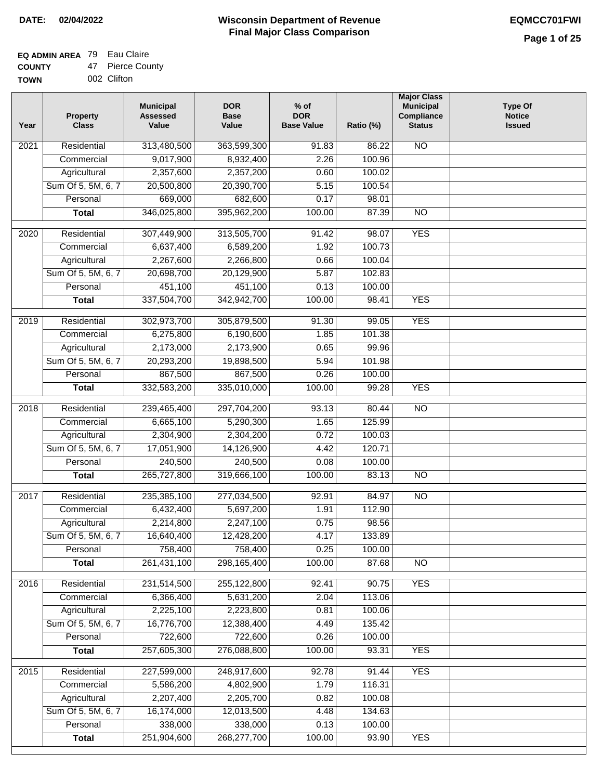#### **EQ ADMIN AREA** 79 Eau Claire **COUNTY** 47 Pierce County

| <b>UUUNIT</b> | T IGIVG OUUI |
|---------------|--------------|
| <b>TOWN</b>   | 002 Clifton  |

| Year              | <b>Property</b><br><b>Class</b> | <b>Municipal</b><br><b>Assessed</b><br>Value | <b>DOR</b><br><b>Base</b><br>Value | $%$ of<br><b>DOR</b><br><b>Base Value</b> | Ratio (%) | <b>Major Class</b><br><b>Municipal</b><br>Compliance<br><b>Status</b> | <b>Type Of</b><br><b>Notice</b><br><b>Issued</b> |
|-------------------|---------------------------------|----------------------------------------------|------------------------------------|-------------------------------------------|-----------|-----------------------------------------------------------------------|--------------------------------------------------|
| $\overline{202}1$ | Residential                     | 313,480,500                                  | 363,599,300                        | $\frac{1}{91.83}$                         | 86.22     | <b>NO</b>                                                             |                                                  |
|                   | Commercial                      | 9,017,900                                    | 8,932,400                          | 2.26                                      | 100.96    |                                                                       |                                                  |
|                   | Agricultural                    | 2,357,600                                    | 2,357,200                          | 0.60                                      | 100.02    |                                                                       |                                                  |
|                   | Sum Of 5, 5M, 6, 7              | 20,500,800                                   | 20,390,700                         | 5.15                                      | 100.54    |                                                                       |                                                  |
|                   | Personal                        | 669,000                                      | 682,600                            | 0.17                                      | 98.01     |                                                                       |                                                  |
|                   | <b>Total</b>                    | 346,025,800                                  | 395,962,200                        | 100.00                                    | 87.39     | <b>NO</b>                                                             |                                                  |
| $\overline{2020}$ | Residential                     | 307,449,900                                  | 313,505,700                        | 91.42                                     | 98.07     | <b>YES</b>                                                            |                                                  |
|                   | Commercial                      | 6,637,400                                    | 6,589,200                          | 1.92                                      | 100.73    |                                                                       |                                                  |
|                   | Agricultural                    | 2,267,600                                    | 2,266,800                          | 0.66                                      | 100.04    |                                                                       |                                                  |
|                   | Sum Of 5, 5M, 6, 7              | 20,698,700                                   | 20,129,900                         | 5.87                                      | 102.83    |                                                                       |                                                  |
|                   | Personal                        | 451,100                                      | 451,100                            | 0.13                                      | 100.00    |                                                                       |                                                  |
|                   | <b>Total</b>                    | 337,504,700                                  | 342,942,700                        | 100.00                                    | 98.41     | <b>YES</b>                                                            |                                                  |
| 2019              | Residential                     | 302,973,700                                  | 305,879,500                        | 91.30                                     | 99.05     | <b>YES</b>                                                            |                                                  |
|                   | Commercial                      | 6,275,800                                    | 6,190,600                          | 1.85                                      | 101.38    |                                                                       |                                                  |
|                   | Agricultural                    | 2,173,000                                    | 2,173,900                          | 0.65                                      | 99.96     |                                                                       |                                                  |
|                   | Sum Of 5, 5M, 6, 7              | 20,293,200                                   | 19,898,500                         | 5.94                                      | 101.98    |                                                                       |                                                  |
|                   | Personal                        | 867,500                                      | 867,500                            | 0.26                                      | 100.00    |                                                                       |                                                  |
|                   | <b>Total</b>                    | 332,583,200                                  | 335,010,000                        | 100.00                                    | 99.28     | <b>YES</b>                                                            |                                                  |
|                   |                                 |                                              |                                    |                                           |           |                                                                       |                                                  |
| 2018              | Residential                     | 239,465,400                                  | 297,704,200                        | 93.13                                     | 80.44     | $\overline{10}$                                                       |                                                  |
|                   | Commercial                      | 6,665,100                                    | 5,290,300                          | 1.65                                      | 125.99    |                                                                       |                                                  |
|                   | Agricultural                    | 2,304,900                                    | 2,304,200                          | 0.72                                      | 100.03    |                                                                       |                                                  |
|                   | Sum Of 5, 5M, 6, 7              | 17,051,900                                   | 14,126,900                         | 4.42                                      | 120.71    |                                                                       |                                                  |
|                   | Personal                        | 240,500                                      | 240,500                            | 0.08                                      | 100.00    |                                                                       |                                                  |
|                   | <b>Total</b>                    | 265,727,800                                  | 319,666,100                        | 100.00                                    | 83.13     | <b>NO</b>                                                             |                                                  |
| 2017              | Residential                     | 235,385,100                                  | 277,034,500                        | 92.91                                     | 84.97     | <b>NO</b>                                                             |                                                  |
|                   | Commercial                      | 6,432,400                                    | 5,697,200                          | 1.91                                      | 112.90    |                                                                       |                                                  |
|                   | Agricultural                    | 2,214,800                                    | 2,247,100                          | 0.75                                      | 98.56     |                                                                       |                                                  |
|                   | Sum Of 5, 5M, 6, 7              | 16,640,400                                   | 12,428,200                         | 4.17                                      | 133.89    |                                                                       |                                                  |
|                   | Personal                        | 758,400                                      | 758,400                            | 0.25                                      | 100.00    |                                                                       |                                                  |
|                   | <b>Total</b>                    | 261,431,100                                  | 298,165,400                        | 100.00                                    | 87.68     | <b>NO</b>                                                             |                                                  |
| 2016              | Residential                     | 231,514,500                                  | 255,122,800                        | 92.41                                     | 90.75     | <b>YES</b>                                                            |                                                  |
|                   | Commercial                      | 6,366,400                                    | 5,631,200                          | 2.04                                      | 113.06    |                                                                       |                                                  |
|                   | Agricultural                    | 2,225,100                                    | 2,223,800                          | 0.81                                      | 100.06    |                                                                       |                                                  |
|                   | Sum Of 5, 5M, 6, 7              | 16,776,700                                   | 12,388,400                         | 4.49                                      | 135.42    |                                                                       |                                                  |
|                   | Personal                        | 722,600                                      | 722,600                            | 0.26                                      | 100.00    |                                                                       |                                                  |
|                   | <b>Total</b>                    | 257,605,300                                  | 276,088,800                        | 100.00                                    | 93.31     | <b>YES</b>                                                            |                                                  |
| 2015              | Residential                     | 227,599,000                                  | 248,917,600                        | 92.78                                     | 91.44     | <b>YES</b>                                                            |                                                  |
|                   | Commercial                      | 5,586,200                                    | 4,802,900                          | 1.79                                      | 116.31    |                                                                       |                                                  |
|                   | Agricultural                    | 2,207,400                                    | 2,205,700                          | 0.82                                      | 100.08    |                                                                       |                                                  |
|                   | Sum Of 5, 5M, 6, 7              | 16,174,000                                   | 12,013,500                         | 4.48                                      | 134.63    |                                                                       |                                                  |
|                   | Personal                        | 338,000                                      | 338,000                            | 0.13                                      | 100.00    |                                                                       |                                                  |
|                   | <b>Total</b>                    | 251,904,600                                  | 268,277,700                        | 100.00                                    | 93.90     | <b>YES</b>                                                            |                                                  |
|                   |                                 |                                              |                                    |                                           |           |                                                                       |                                                  |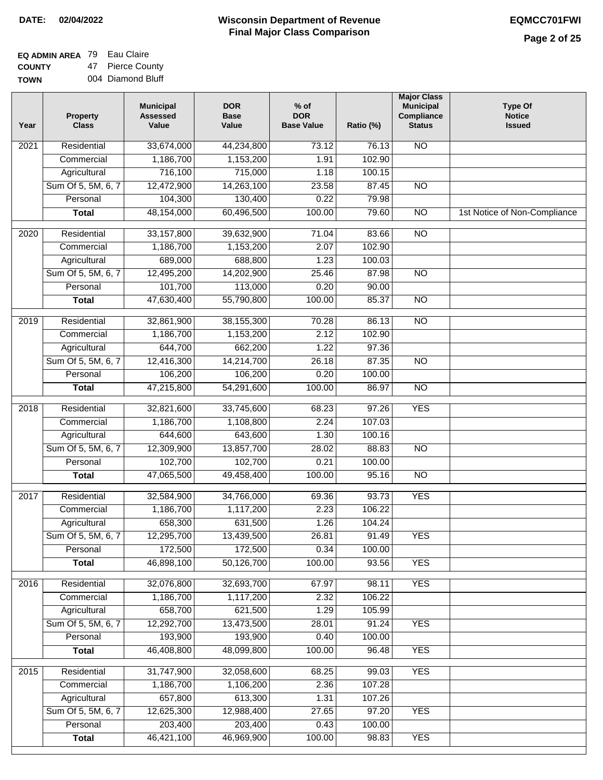| EQ ADMIN AREA 79 Eau Claire |                  |
|-----------------------------|------------------|
| <b>COUNTY</b>               | 47 Pierce County |

**TOWN** 004 Diamond Bluff

| Year              | <b>Property</b><br><b>Class</b> | <b>Municipal</b><br><b>Assessed</b><br>Value | <b>DOR</b><br><b>Base</b><br>Value | % of<br><b>DOR</b><br><b>Base Value</b> | Ratio (%) | <b>Major Class</b><br><b>Municipal</b><br>Compliance<br><b>Status</b> | <b>Type Of</b><br><b>Notice</b><br><b>Issued</b> |
|-------------------|---------------------------------|----------------------------------------------|------------------------------------|-----------------------------------------|-----------|-----------------------------------------------------------------------|--------------------------------------------------|
| $\overline{202}1$ | Residential                     | 33,674,000                                   | 44,234,800                         | 73.12                                   | 76.13     | $\overline{NO}$                                                       |                                                  |
|                   | Commercial                      | 1,186,700                                    | 1,153,200                          | 1.91                                    | 102.90    |                                                                       |                                                  |
|                   | Agricultural                    | 716,100                                      | 715,000                            | 1.18                                    | 100.15    |                                                                       |                                                  |
|                   | Sum Of 5, 5M, 6, 7              | 12,472,900                                   | 14,263,100                         | 23.58                                   | 87.45     | N <sub>O</sub>                                                        |                                                  |
|                   | Personal                        | 104,300                                      | 130,400                            | 0.22                                    | 79.98     |                                                                       |                                                  |
|                   | <b>Total</b>                    | 48,154,000                                   | 60,496,500                         | 100.00                                  | 79.60     | $\overline{NO}$                                                       | 1st Notice of Non-Compliance                     |
| $\overline{2020}$ | Residential                     | 33, 157, 800                                 | 39,632,900                         | 71.04                                   | 83.66     | $\overline{NO}$                                                       |                                                  |
|                   | Commercial                      | 1,186,700                                    | 1,153,200                          | 2.07                                    | 102.90    |                                                                       |                                                  |
|                   | Agricultural                    | 689,000                                      | 688,800                            | 1.23                                    | 100.03    |                                                                       |                                                  |
|                   | Sum Of 5, 5M, 6, 7              | 12,495,200                                   | 14,202,900                         | 25.46                                   | 87.98     | $\overline{NO}$                                                       |                                                  |
|                   | Personal                        | 101,700                                      | 113,000                            | 0.20                                    | 90.00     |                                                                       |                                                  |
|                   | <b>Total</b>                    | 47,630,400                                   | 55,790,800                         | 100.00                                  | 85.37     | $\overline{NO}$                                                       |                                                  |
| 2019              | Residential                     | 32,861,900                                   | 38,155,300                         | 70.28                                   | 86.13     | $\overline{NO}$                                                       |                                                  |
|                   | Commercial                      | 1,186,700                                    | 1,153,200                          | 2.12                                    | 102.90    |                                                                       |                                                  |
|                   | Agricultural                    | 644,700                                      | 662,200                            | 1.22                                    | 97.36     |                                                                       |                                                  |
|                   | Sum Of 5, 5M, 6, 7              | 12,416,300                                   | 14,214,700                         | 26.18                                   | 87.35     | $\overline{NO}$                                                       |                                                  |
|                   | Personal                        | 106,200                                      | 106,200                            | 0.20                                    | 100.00    |                                                                       |                                                  |
|                   | <b>Total</b>                    | 47,215,800                                   | 54,291,600                         | 100.00                                  | 86.97     | $\overline{NO}$                                                       |                                                  |
| 2018              | Residential                     | 32,821,600                                   | 33,745,600                         | 68.23                                   | 97.26     | <b>YES</b>                                                            |                                                  |
|                   | Commercial                      | 1,186,700                                    | 1,108,800                          | 2.24                                    | 107.03    |                                                                       |                                                  |
|                   | Agricultural                    | 644,600                                      | 643,600                            | 1.30                                    | 100.16    |                                                                       |                                                  |
|                   | Sum Of 5, 5M, 6, 7              | 12,309,900                                   | 13,857,700                         | 28.02                                   | 88.83     | $\overline{10}$                                                       |                                                  |
|                   | Personal                        | 102,700                                      | 102,700                            | 0.21                                    | 100.00    |                                                                       |                                                  |
|                   | <b>Total</b>                    | 47,065,500                                   | 49,458,400                         | 100.00                                  | 95.16     | <b>NO</b>                                                             |                                                  |
| 2017              | Residential                     | 32,584,900                                   | 34,766,000                         | 69.36                                   | 93.73     | <b>YES</b>                                                            |                                                  |
|                   | Commercial                      | 1,186,700                                    | 1,117,200                          | 2.23                                    | 106.22    |                                                                       |                                                  |
|                   | Agricultural                    | 658,300                                      | 631,500                            | 1.26                                    | 104.24    |                                                                       |                                                  |
|                   | Sum Of 5, 5M, 6, 7              | 12,295,700                                   | 13,439,500                         | 26.81                                   | 91.49     | <b>YES</b>                                                            |                                                  |
|                   | Personal                        | 172,500                                      | 172,500                            | 0.34                                    | 100.00    |                                                                       |                                                  |
|                   | <b>Total</b>                    | 46,898,100                                   | 50,126,700                         | 100.00                                  | 93.56     | <b>YES</b>                                                            |                                                  |
| 2016              | Residential                     | 32,076,800                                   | 32,693,700                         | 67.97                                   | 98.11     | <b>YES</b>                                                            |                                                  |
|                   | Commercial                      | 1,186,700                                    | 1,117,200                          | 2.32                                    | 106.22    |                                                                       |                                                  |
|                   | Agricultural                    | 658,700                                      | 621,500                            | 1.29                                    | 105.99    |                                                                       |                                                  |
|                   | Sum Of 5, 5M, 6, 7              | 12,292,700                                   | 13,473,500                         | 28.01                                   | 91.24     | <b>YES</b>                                                            |                                                  |
|                   | Personal                        | 193,900                                      | 193,900                            | 0.40                                    | 100.00    |                                                                       |                                                  |
|                   | <b>Total</b>                    | 46,408,800                                   | 48,099,800                         | 100.00                                  | 96.48     | <b>YES</b>                                                            |                                                  |
| 2015              | Residential                     | 31,747,900                                   | 32,058,600                         | 68.25                                   | 99.03     | <b>YES</b>                                                            |                                                  |
|                   | Commercial                      | 1,186,700                                    | 1,106,200                          | 2.36                                    | 107.28    |                                                                       |                                                  |
|                   | Agricultural                    | 657,800                                      | 613,300                            | 1.31                                    | 107.26    |                                                                       |                                                  |
|                   | Sum Of 5, 5M, 6, 7              | 12,625,300                                   | 12,988,400                         | 27.65                                   | 97.20     | <b>YES</b>                                                            |                                                  |
|                   | Personal                        | 203,400                                      | 203,400                            | 0.43                                    | 100.00    |                                                                       |                                                  |
|                   | <b>Total</b>                    | 46,421,100                                   | 46,969,900                         | 100.00                                  | 98.83     | <b>YES</b>                                                            |                                                  |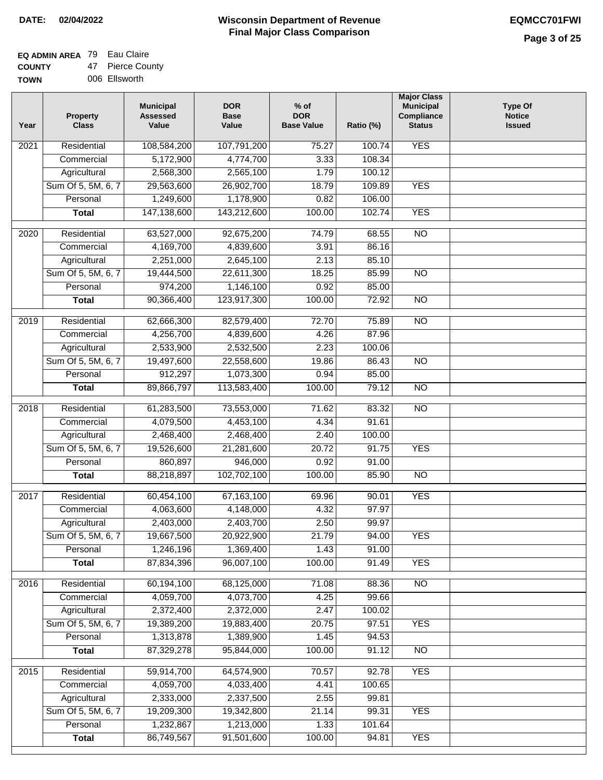#### **EQ ADMIN AREA** 79 Eau Claire **COUNTY** 47 Pierce County

**TOWN** 006 Ellsworth

| Year | <b>Property</b><br><b>Class</b> | <b>Municipal</b><br><b>Assessed</b><br>Value | <b>DOR</b><br><b>Base</b><br>Value | $%$ of<br><b>DOR</b><br><b>Base Value</b> | Ratio (%)       | <b>Major Class</b><br><b>Municipal</b><br>Compliance<br><b>Status</b> | <b>Type Of</b><br><b>Notice</b><br><b>Issued</b> |
|------|---------------------------------|----------------------------------------------|------------------------------------|-------------------------------------------|-----------------|-----------------------------------------------------------------------|--------------------------------------------------|
| 2021 | Residential                     | 108,584,200                                  | 107,791,200                        | 75.27                                     | 100.74          | <b>YES</b>                                                            |                                                  |
|      | Commercial                      | 5,172,900                                    | 4,774,700                          | 3.33                                      | 108.34          |                                                                       |                                                  |
|      | Agricultural                    | 2,568,300                                    | 2,565,100                          | 1.79                                      | 100.12          |                                                                       |                                                  |
|      | Sum Of 5, 5M, 6, 7              | 29,563,600                                   | 26,902,700                         | 18.79                                     | 109.89          | <b>YES</b>                                                            |                                                  |
|      | Personal                        | 1,249,600                                    | 1,178,900                          | 0.82                                      | 106.00          |                                                                       |                                                  |
|      | <b>Total</b>                    | 147,138,600                                  | 143,212,600                        | 100.00                                    | 102.74          | <b>YES</b>                                                            |                                                  |
| 2020 | Residential                     | 63,527,000                                   | 92,675,200                         | 74.79                                     | 68.55           | $\overline{10}$                                                       |                                                  |
|      | Commercial                      | 4,169,700                                    | 4,839,600                          | 3.91                                      | 86.16           |                                                                       |                                                  |
|      | Agricultural                    | 2,251,000                                    | 2,645,100                          | 2.13                                      | 85.10           |                                                                       |                                                  |
|      | Sum Of 5, 5M, 6, 7              | 19,444,500                                   | 22,611,300                         | 18.25                                     | 85.99           | $\overline{NO}$                                                       |                                                  |
|      | Personal                        | 974,200                                      | 1,146,100                          | 0.92                                      | 85.00           |                                                                       |                                                  |
|      | <b>Total</b>                    | 90,366,400                                   | 123,917,300                        | 100.00                                    | 72.92           | $\overline{NO}$                                                       |                                                  |
|      |                                 |                                              |                                    |                                           |                 |                                                                       |                                                  |
| 2019 | Residential                     | 62,666,300                                   | 82,579,400                         | 72.70                                     | 75.89           | <b>NO</b>                                                             |                                                  |
|      | Commercial                      | 4,256,700                                    | 4,839,600                          | 4.26                                      | 87.96           |                                                                       |                                                  |
|      | Agricultural                    | 2,533,900                                    | 2,532,500                          | 2.23                                      | 100.06          |                                                                       |                                                  |
|      | Sum Of 5, 5M, 6, 7              | 19,497,600                                   | 22,558,600                         | 19.86                                     | 86.43           | $\overline{NO}$                                                       |                                                  |
|      | Personal                        | 912,297                                      | 1,073,300                          | 0.94                                      | 85.00           |                                                                       |                                                  |
|      | <b>Total</b>                    | 89,866,797                                   | 113,583,400                        | 100.00                                    | 79.12           | $\overline{NO}$                                                       |                                                  |
| 2018 | Residential                     | 61,283,500                                   | 73,553,000                         | 71.62                                     | 83.32           | $\overline{10}$                                                       |                                                  |
|      | Commercial                      | 4,079,500                                    | 4,453,100                          | 4.34                                      | 91.61           |                                                                       |                                                  |
|      | Agricultural                    | 2,468,400                                    | 2,468,400                          | 2.40                                      | 100.00          |                                                                       |                                                  |
|      | Sum Of 5, 5M, 6, 7              | 19,526,600                                   | 21,281,600                         | 20.72                                     | 91.75           | <b>YES</b>                                                            |                                                  |
|      | Personal                        | 860,897                                      | 946,000                            | 0.92                                      | 91.00           |                                                                       |                                                  |
|      | <b>Total</b>                    | 88,218,897                                   | 102,702,100                        | 100.00                                    | 85.90           | $\overline{10}$                                                       |                                                  |
| 2017 | Residential                     | 60,454,100                                   | 67, 163, 100                       | 69.96                                     | 90.01           | <b>YES</b>                                                            |                                                  |
|      | Commercial                      | 4,063,600                                    | 4,148,000                          | 4.32                                      | 97.97           |                                                                       |                                                  |
|      | Agricultural                    | 2,403,000                                    | 2,403,700                          | 2.50                                      | 99.97           |                                                                       |                                                  |
|      | Sum Of 5, 5M, 6, 7              | 19,667,500                                   | 20,922,900                         | 21.79                                     | 94.00           | <b>YES</b>                                                            |                                                  |
|      | Personal                        | 1,246,196                                    | 1,369,400                          | 1.43                                      | 91.00           |                                                                       |                                                  |
|      | <b>Total</b>                    | 87,834,396                                   | 96,007,100                         | 100.00                                    | 91.49           | <b>YES</b>                                                            |                                                  |
| 2016 | Residential                     | 60,194,100                                   | 68,125,000                         | 71.08                                     | 88.36           | N <sub>O</sub>                                                        |                                                  |
|      | Commercial                      | 4,059,700                                    | 4,073,700                          | 4.25                                      | 99.66           |                                                                       |                                                  |
|      | Agricultural                    | 2,372,400                                    | 2,372,000                          | 2.47                                      | 100.02          |                                                                       |                                                  |
|      | Sum Of 5, 5M, 6, 7              | 19,389,200                                   | 19,883,400                         | 20.75                                     | 97.51           | <b>YES</b>                                                            |                                                  |
|      | Personal                        | 1,313,878                                    | 1,389,900                          | 1.45                                      | 94.53           |                                                                       |                                                  |
|      | <b>Total</b>                    | 87,329,278                                   | 95,844,000                         | 100.00                                    | 91.12           | $\overline{NO}$                                                       |                                                  |
|      |                                 |                                              |                                    |                                           |                 |                                                                       |                                                  |
| 2015 | Residential<br>Commercial       | 59,914,700<br>4,059,700                      | 64,574,900<br>4,033,400            | 70.57<br>4.41                             | 92.78<br>100.65 | <b>YES</b>                                                            |                                                  |
|      | Agricultural                    | 2,333,000                                    | 2,337,500                          | 2.55                                      | 99.81           |                                                                       |                                                  |
|      | Sum Of 5, 5M, 6, 7              | 19,209,300                                   | 19,342,800                         | 21.14                                     | 99.31           | <b>YES</b>                                                            |                                                  |
|      | Personal                        | 1,232,867                                    | 1,213,000                          | 1.33                                      | 101.64          |                                                                       |                                                  |
|      | <b>Total</b>                    | 86,749,567                                   | 91,501,600                         | 100.00                                    | 94.81           | <b>YES</b>                                                            |                                                  |
|      |                                 |                                              |                                    |                                           |                 |                                                                       |                                                  |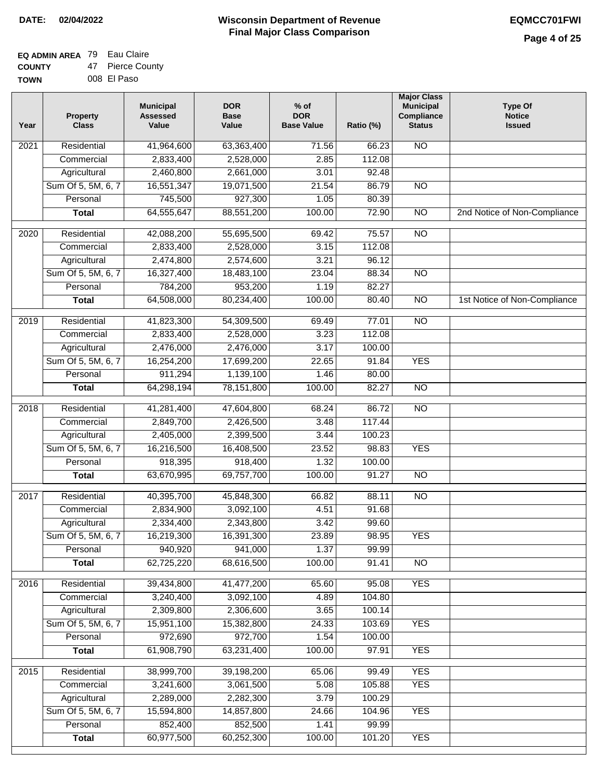### **EQ ADMIN AREA** 79 Eau Claire **COUNTY**

**TOWN** 47 Pierce County 008 El Paso

| Year              | <b>Property</b><br><b>Class</b> | <b>Municipal</b><br><b>Assessed</b><br>Value | <b>DOR</b><br><b>Base</b><br>Value | % of<br><b>DOR</b><br><b>Base Value</b> | Ratio (%) | <b>Major Class</b><br><b>Municipal</b><br>Compliance<br><b>Status</b> | <b>Type Of</b><br><b>Notice</b><br><b>Issued</b> |
|-------------------|---------------------------------|----------------------------------------------|------------------------------------|-----------------------------------------|-----------|-----------------------------------------------------------------------|--------------------------------------------------|
| $\overline{202}1$ | Residential                     | 41,964,600                                   | 63,363,400                         | 71.56                                   | 66.23     | $\overline{NO}$                                                       |                                                  |
|                   | Commercial                      | 2,833,400                                    | 2,528,000                          | 2.85                                    | 112.08    |                                                                       |                                                  |
|                   | Agricultural                    | 2,460,800                                    | 2,661,000                          | 3.01                                    | 92.48     |                                                                       |                                                  |
|                   | Sum Of 5, 5M, 6, 7              | 16,551,347                                   | 19,071,500                         | 21.54                                   | 86.79     | $\overline{NO}$                                                       |                                                  |
|                   | Personal                        | 745,500                                      | 927,300                            | 1.05                                    | 80.39     |                                                                       |                                                  |
|                   | <b>Total</b>                    | 64,555,647                                   | 88,551,200                         | 100.00                                  | 72.90     | $\overline{NO}$                                                       | 2nd Notice of Non-Compliance                     |
| $\overline{2020}$ | Residential                     | 42,088,200                                   | 55,695,500                         | 69.42                                   | 75.57     | $\overline{NO}$                                                       |                                                  |
|                   | Commercial                      | 2,833,400                                    | 2,528,000                          | 3.15                                    | 112.08    |                                                                       |                                                  |
|                   | Agricultural                    | 2,474,800                                    | 2,574,600                          | 3.21                                    | 96.12     |                                                                       |                                                  |
|                   | Sum Of 5, 5M, 6, 7              | 16,327,400                                   | 18,483,100                         | 23.04                                   | 88.34     | $\overline{NO}$                                                       |                                                  |
|                   | Personal                        | 784,200                                      | 953,200                            | 1.19                                    | 82.27     |                                                                       |                                                  |
|                   | <b>Total</b>                    | 64,508,000                                   | 80,234,400                         | 100.00                                  | 80.40     | $\overline{NO}$                                                       | 1st Notice of Non-Compliance                     |
| 2019              | Residential                     | 41,823,300                                   | 54,309,500                         | 69.49                                   | 77.01     | $\overline{N}$                                                        |                                                  |
|                   | Commercial                      | 2,833,400                                    | 2,528,000                          | 3.23                                    | 112.08    |                                                                       |                                                  |
|                   | Agricultural                    | 2,476,000                                    | 2,476,000                          | 3.17                                    | 100.00    |                                                                       |                                                  |
|                   | Sum Of 5, 5M, 6, 7              | 16,254,200                                   | 17,699,200                         | 22.65                                   | 91.84     | <b>YES</b>                                                            |                                                  |
|                   | Personal                        | 911,294                                      | 1,139,100                          | 1.46                                    | 80.00     |                                                                       |                                                  |
|                   | <b>Total</b>                    | 64,298,194                                   | 78,151,800                         | 100.00                                  | 82.27     | $\overline{NO}$                                                       |                                                  |
| 2018              | Residential                     | 41,281,400                                   | 47,604,800                         | 68.24                                   | 86.72     | $\overline{NO}$                                                       |                                                  |
|                   | Commercial                      | 2,849,700                                    | 2,426,500                          | 3.48                                    | 117.44    |                                                                       |                                                  |
|                   | Agricultural                    | 2,405,000                                    | 2,399,500                          | 3.44                                    | 100.23    |                                                                       |                                                  |
|                   | Sum Of 5, 5M, 6, 7              | 16,216,500                                   | 16,408,500                         | 23.52                                   | 98.83     | <b>YES</b>                                                            |                                                  |
|                   | Personal                        | 918,395                                      | 918,400                            | 1.32                                    | 100.00    |                                                                       |                                                  |
|                   | <b>Total</b>                    | 63,670,995                                   | 69,757,700                         | 100.00                                  | 91.27     | <b>NO</b>                                                             |                                                  |
| 2017              | Residential                     | 40,395,700                                   | 45,848,300                         | 66.82                                   | 88.11     | $\overline{NO}$                                                       |                                                  |
|                   | Commercial                      | 2,834,900                                    | 3,092,100                          | 4.51                                    | 91.68     |                                                                       |                                                  |
|                   | Agricultural                    | 2,334,400                                    | 2,343,800                          | 3.42                                    | 99.60     |                                                                       |                                                  |
|                   | Sum Of 5, 5M, 6, 7              | 16,219,300                                   | 16,391,300                         | 23.89                                   | 98.95     | <b>YES</b>                                                            |                                                  |
|                   | Personal                        | 940,920                                      | 941,000                            | 1.37                                    | 99.99     |                                                                       |                                                  |
|                   | <b>Total</b>                    | 62,725,220                                   | 68,616,500                         | 100.00                                  | 91.41     | <b>NO</b>                                                             |                                                  |
| 2016              | Residential                     | 39,434,800                                   | 41,477,200                         | 65.60                                   | 95.08     | <b>YES</b>                                                            |                                                  |
|                   | Commercial                      | 3,240,400                                    | 3,092,100                          | 4.89                                    | 104.80    |                                                                       |                                                  |
|                   | Agricultural                    | 2,309,800                                    | 2,306,600                          | 3.65                                    | 100.14    |                                                                       |                                                  |
|                   | Sum Of 5, 5M, 6, 7              | 15,951,100                                   | 15,382,800                         | 24.33                                   | 103.69    | <b>YES</b>                                                            |                                                  |
|                   | Personal                        | 972,690                                      | 972,700                            | 1.54                                    | 100.00    |                                                                       |                                                  |
|                   | <b>Total</b>                    | 61,908,790                                   | 63,231,400                         | 100.00                                  | 97.91     | <b>YES</b>                                                            |                                                  |
| 2015              | Residential                     | 38,999,700                                   | 39,198,200                         | 65.06                                   | 99.49     | <b>YES</b>                                                            |                                                  |
|                   | Commercial                      | 3,241,600                                    | 3,061,500                          | 5.08                                    | 105.88    | <b>YES</b>                                                            |                                                  |
|                   | Agricultural                    | 2,289,000                                    | 2,282,300                          | 3.79                                    | 100.29    |                                                                       |                                                  |
|                   | Sum Of 5, 5M, 6, 7              | 15,594,800                                   | 14,857,800                         | 24.66                                   | 104.96    | <b>YES</b>                                                            |                                                  |
|                   | Personal                        | 852,400                                      | 852,500                            | 1.41                                    | 99.99     |                                                                       |                                                  |
|                   | <b>Total</b>                    | 60,977,500                                   | 60,252,300                         | 100.00                                  | 101.20    | <b>YES</b>                                                            |                                                  |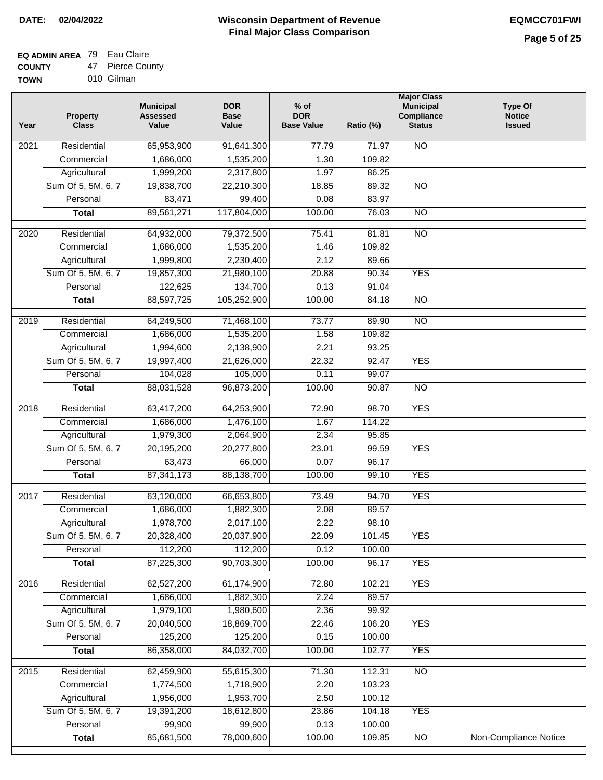٦

## **EQ ADMIN AREA** 79 Eau Claire

**COUNTY TOW** 47 Pierce County

| .  | .          |  |
|----|------------|--|
| 'N | 010 Gilman |  |

| Year              | <b>Property</b><br><b>Class</b> | <b>Municipal</b><br><b>Assessed</b><br>Value | <b>DOR</b><br><b>Base</b><br>Value | $%$ of<br><b>DOR</b><br><b>Base Value</b> | Ratio (%) | <b>Major Class</b><br><b>Municipal</b><br>Compliance<br><b>Status</b> | <b>Type Of</b><br><b>Notice</b><br><b>Issued</b> |
|-------------------|---------------------------------|----------------------------------------------|------------------------------------|-------------------------------------------|-----------|-----------------------------------------------------------------------|--------------------------------------------------|
| 2021              | Residential                     | 65,953,900                                   | 91,641,300                         | 77.79                                     | 71.97     | <b>NO</b>                                                             |                                                  |
|                   | Commercial                      | 1,686,000                                    | 1,535,200                          | 1.30                                      | 109.82    |                                                                       |                                                  |
|                   | Agricultural                    | 1,999,200                                    | 2,317,800                          | 1.97                                      | 86.25     |                                                                       |                                                  |
|                   | Sum Of 5, 5M, 6, 7              | 19,838,700                                   | 22,210,300                         | 18.85                                     | 89.32     | $\overline{NO}$                                                       |                                                  |
|                   | Personal                        | 83,471                                       | 99,400                             | 0.08                                      | 83.97     |                                                                       |                                                  |
|                   | <b>Total</b>                    | 89,561,271                                   | 117,804,000                        | 100.00                                    | 76.03     | $\overline{NO}$                                                       |                                                  |
| $\overline{2020}$ | Residential                     | 64,932,000                                   | 79,372,500                         | 75.41                                     | 81.81     | $\overline{10}$                                                       |                                                  |
|                   | Commercial                      | 1,686,000                                    | 1,535,200                          | 1.46                                      | 109.82    |                                                                       |                                                  |
|                   | Agricultural                    | 1,999,800                                    | 2,230,400                          | 2.12                                      | 89.66     |                                                                       |                                                  |
|                   | Sum Of 5, 5M, 6, 7              | 19,857,300                                   | 21,980,100                         | 20.88                                     | 90.34     | <b>YES</b>                                                            |                                                  |
|                   | Personal                        | 122,625                                      | 134,700                            | 0.13                                      | 91.04     |                                                                       |                                                  |
|                   | <b>Total</b>                    | 88,597,725                                   | 105,252,900                        | 100.00                                    | 84.18     | $\overline{NO}$                                                       |                                                  |
|                   |                                 |                                              |                                    |                                           |           |                                                                       |                                                  |
| $\frac{1}{2019}$  | Residential                     | 64,249,500                                   | 71,468,100                         | 73.77                                     | 89.90     | $\overline{NO}$                                                       |                                                  |
|                   | Commercial                      | 1,686,000                                    | 1,535,200                          | 1.58                                      | 109.82    |                                                                       |                                                  |
|                   | Agricultural                    | 1,994,600                                    | 2,138,900                          | 2.21                                      | 93.25     |                                                                       |                                                  |
|                   | Sum Of 5, 5M, 6, 7              | 19,997,400                                   | 21,626,000                         | 22.32                                     | 92.47     | <b>YES</b>                                                            |                                                  |
|                   | Personal                        | 104,028                                      | 105,000                            | 0.11                                      | 99.07     |                                                                       |                                                  |
|                   | <b>Total</b>                    | 88,031,528                                   | 96,873,200                         | 100.00                                    | 90.87     | $\overline{NO}$                                                       |                                                  |
| 2018              | Residential                     | 63,417,200                                   | 64,253,900                         | 72.90                                     | 98.70     | <b>YES</b>                                                            |                                                  |
|                   | Commercial                      | 1,686,000                                    | 1,476,100                          | 1.67                                      | 114.22    |                                                                       |                                                  |
|                   | Agricultural                    | 1,979,300                                    | 2,064,900                          | 2.34                                      | 95.85     |                                                                       |                                                  |
|                   | Sum Of 5, 5M, 6, 7              | 20,195,200                                   | 20,277,800                         | 23.01                                     | 99.59     | <b>YES</b>                                                            |                                                  |
|                   | Personal                        | 63,473                                       | 66,000                             | 0.07                                      | 96.17     |                                                                       |                                                  |
|                   | <b>Total</b>                    | 87,341,173                                   | 88,138,700                         | 100.00                                    | 99.10     | <b>YES</b>                                                            |                                                  |
| 2017              | Residential                     | 63,120,000                                   | 66,653,800                         | 73.49                                     | 94.70     | <b>YES</b>                                                            |                                                  |
|                   | Commercial                      | 1,686,000                                    | 1,882,300                          | 2.08                                      | 89.57     |                                                                       |                                                  |
|                   | Agricultural                    | 1,978,700                                    | 2,017,100                          | 2.22                                      | 98.10     |                                                                       |                                                  |
|                   | Sum Of 5, 5M, 6, 7              | 20,328,400                                   | 20,037,900                         | 22.09                                     | 101.45    | <b>YES</b>                                                            |                                                  |
|                   | Personal                        | 112,200                                      | 112,200                            | 0.12                                      | 100.00    |                                                                       |                                                  |
|                   | <b>Total</b>                    | 87,225,300                                   | 90,703,300                         | 100.00                                    | 96.17     | <b>YES</b>                                                            |                                                  |
| 2016              | Residential                     | 62,527,200                                   | 61,174,900                         | 72.80                                     | 102.21    | <b>YES</b>                                                            |                                                  |
|                   | Commercial                      | 1,686,000                                    | 1,882,300                          | 2.24                                      | 89.57     |                                                                       |                                                  |
|                   | Agricultural                    | 1,979,100                                    | 1,980,600                          | 2.36                                      | 99.92     |                                                                       |                                                  |
|                   | Sum Of 5, 5M, 6, 7              | 20,040,500                                   | 18,869,700                         | 22.46                                     | 106.20    | <b>YES</b>                                                            |                                                  |
|                   | Personal                        | 125,200                                      | 125,200                            | 0.15                                      | 100.00    |                                                                       |                                                  |
|                   | <b>Total</b>                    | 86,358,000                                   | 84,032,700                         | 100.00                                    | 102.77    | <b>YES</b>                                                            |                                                  |
|                   |                                 |                                              |                                    |                                           |           |                                                                       |                                                  |
| 2015              | Residential                     | 62,459,900                                   | 55,615,300                         | 71.30                                     | 112.31    | N <sub>O</sub>                                                        |                                                  |
|                   | Commercial                      | 1,774,500                                    | 1,718,900                          | 2.20                                      | 103.23    |                                                                       |                                                  |
|                   | Agricultural                    | 1,956,000                                    | 1,953,700                          | 2.50                                      | 100.12    |                                                                       |                                                  |
|                   | Sum Of 5, 5M, 6, 7              | 19,391,200                                   | 18,612,800                         | 23.86                                     | 104.18    | <b>YES</b>                                                            |                                                  |
|                   | Personal                        | 99,900                                       | 99,900                             | 0.13                                      | 100.00    |                                                                       |                                                  |
|                   | <b>Total</b>                    | 85,681,500                                   | 78,000,600                         | 100.00                                    | 109.85    | $\overline{NO}$                                                       | Non-Compliance Notice                            |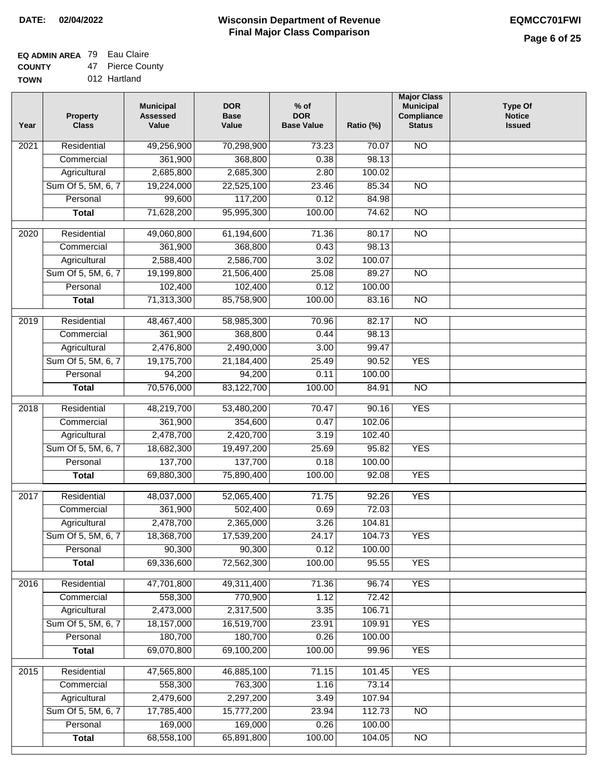### **Wisconsin Department of Revenue Final Major Class Comparison DATE: 02/04/2022 EQMCC701FWI**

٦

## **EQ ADMIN AREA** 79 Eau Claire

**COUNTY TOWN** 47 Pierce County

|  | 012 Hartland |
|--|--------------|
|  |              |

| Residential<br>49,256,900<br>N <sub>O</sub><br>70,298,900<br>73.23<br>70.07<br>2021<br>361,900<br>368,800<br>98.13<br>Commercial<br>0.38<br>Agricultural<br>2,685,800<br>2,685,300<br>2.80<br>100.02<br>Sum Of 5, 5M, 6, 7<br>19,224,000<br>22,525,100<br>23.46<br>85.34<br>$\overline{NO}$<br>99,600<br>117,200<br>0.12<br>84.98<br>Personal<br>71,628,200<br>95,995,300<br>100.00<br>74.62<br>$\overline{NO}$<br><b>Total</b><br>71.36<br>Residential<br>49,060,800<br>61,194,600<br>80.17<br>$\overline{10}$<br>2020<br>361,900<br>0.43<br>98.13<br>Commercial<br>368,800<br>2,588,400<br>2,586,700<br>3.02<br>100.07<br>Agricultural<br>Sum Of 5, 5M, 6, 7<br>19,199,800<br>21,506,400<br>25.08<br>89.27<br>$\overline{NO}$<br>102,400<br>102,400<br>Personal<br>0.12<br>100.00<br>71,313,300<br>100.00<br><b>Total</b><br>85,758,900<br>83.16<br>$\overline{NO}$<br>Residential<br>48,467,400<br>58,985,300<br>70.96<br><b>NO</b><br>2019<br>82.17<br>361,900<br>Commercial<br>368,800<br>0.44<br>98.13<br>2,476,800<br>2,490,000<br>99.47<br>Agricultural<br>3.00<br>Sum Of 5, 5M, 6, 7<br>19,175,700<br>21,184,400<br>25.49<br>90.52<br><b>YES</b><br>Personal<br>94,200<br>94,200<br>0.11<br>100.00<br>70,576,000<br>83,122,700<br>100.00<br>84.91<br>$\overline{NO}$<br><b>Total</b><br>2018<br>Residential<br>48,219,700<br>53,480,200<br>70.47<br>90.16<br><b>YES</b><br>361,900<br>Commercial<br>354,600<br>0.47<br>102.06<br>2,478,700<br>2,420,700<br>3.19<br>102.40<br>Agricultural<br>Sum Of 5, 5M, 6, 7<br><b>YES</b><br>18,682,300<br>19,497,200<br>25.69<br>95.82<br>137,700<br>Personal<br>137,700<br>0.18<br>100.00<br><b>YES</b><br><b>Total</b><br>69,880,300<br>75,890,400<br>100.00<br>92.08<br><b>YES</b><br>2017<br>Residential<br>48,037,000<br>52,065,400<br>71.75<br>92.26<br>361,900<br>0.69<br>502,400<br>72.03<br>Commercial<br>2,478,700<br>3.26<br>2,365,000<br>104.81<br>Agricultural<br>Sum Of 5, 5M, 6, 7<br>18,368,700<br>17,539,200<br><b>YES</b><br>24.17<br>104.73<br>90,300<br>90,300<br>0.12<br>100.00<br>Personal<br>69,336,600<br>100.00<br><b>YES</b><br>72,562,300<br>95.55<br><b>Total</b><br>Residential<br><b>YES</b><br>47,701,800<br>49,311,400<br>71.36<br>96.74<br>2016<br>558,300<br>770,900<br>1.12<br>72.42<br>Commercial<br>2,473,000<br>Agricultural<br>2,317,500<br>3.35<br>106.71<br>Sum Of 5, 5M, 6, 7<br>18,157,000<br>16,519,700<br>23.91<br>109.91<br><b>YES</b><br>180,700<br>180,700<br>0.26<br>Personal<br>100.00<br>69,070,800<br>69,100,200<br>100.00<br>99.96<br><b>YES</b><br><b>Total</b><br>Residential<br>47,565,800<br>46,885,100<br><b>YES</b><br>2015<br>71.15<br>101.45<br>558,300<br>Commercial<br>763,300<br>73.14<br>1.16<br>2,479,600<br>Agricultural<br>2,297,200<br>3.49<br>107.94<br>Sum Of 5, 5M, 6, 7<br>17,785,400<br>15,777,200<br>23.94<br>112.73<br><b>NO</b><br>169,000<br>Personal<br>169,000<br>0.26<br>100.00<br>68,558,100<br>65,891,800<br>100.00<br>104.05<br>$\overline{NO}$<br><b>Total</b> | Year | <b>Property</b><br><b>Class</b> | <b>Municipal</b><br><b>Assessed</b><br>Value | <b>DOR</b><br><b>Base</b><br>Value | $%$ of<br><b>DOR</b><br><b>Base Value</b> | Ratio (%) | <b>Major Class</b><br><b>Municipal</b><br>Compliance<br><b>Status</b> | <b>Type Of</b><br><b>Notice</b><br><b>Issued</b> |
|---------------------------------------------------------------------------------------------------------------------------------------------------------------------------------------------------------------------------------------------------------------------------------------------------------------------------------------------------------------------------------------------------------------------------------------------------------------------------------------------------------------------------------------------------------------------------------------------------------------------------------------------------------------------------------------------------------------------------------------------------------------------------------------------------------------------------------------------------------------------------------------------------------------------------------------------------------------------------------------------------------------------------------------------------------------------------------------------------------------------------------------------------------------------------------------------------------------------------------------------------------------------------------------------------------------------------------------------------------------------------------------------------------------------------------------------------------------------------------------------------------------------------------------------------------------------------------------------------------------------------------------------------------------------------------------------------------------------------------------------------------------------------------------------------------------------------------------------------------------------------------------------------------------------------------------------------------------------------------------------------------------------------------------------------------------------------------------------------------------------------------------------------------------------------------------------------------------------------------------------------------------------------------------------------------------------------------------------------------------------------------------------------------------------------------------------------------------------------------------------------------------------------------------------------------------------------------------------------------------------------------------------------------------------------------------------------------------------------------------------------------------------------------------------------------------------------------------------------------------------------------------------------------------------------------------------------------------------------------------------------|------|---------------------------------|----------------------------------------------|------------------------------------|-------------------------------------------|-----------|-----------------------------------------------------------------------|--------------------------------------------------|
|                                                                                                                                                                                                                                                                                                                                                                                                                                                                                                                                                                                                                                                                                                                                                                                                                                                                                                                                                                                                                                                                                                                                                                                                                                                                                                                                                                                                                                                                                                                                                                                                                                                                                                                                                                                                                                                                                                                                                                                                                                                                                                                                                                                                                                                                                                                                                                                                                                                                                                                                                                                                                                                                                                                                                                                                                                                                                                                                                                                                   |      |                                 |                                              |                                    |                                           |           |                                                                       |                                                  |
|                                                                                                                                                                                                                                                                                                                                                                                                                                                                                                                                                                                                                                                                                                                                                                                                                                                                                                                                                                                                                                                                                                                                                                                                                                                                                                                                                                                                                                                                                                                                                                                                                                                                                                                                                                                                                                                                                                                                                                                                                                                                                                                                                                                                                                                                                                                                                                                                                                                                                                                                                                                                                                                                                                                                                                                                                                                                                                                                                                                                   |      |                                 |                                              |                                    |                                           |           |                                                                       |                                                  |
|                                                                                                                                                                                                                                                                                                                                                                                                                                                                                                                                                                                                                                                                                                                                                                                                                                                                                                                                                                                                                                                                                                                                                                                                                                                                                                                                                                                                                                                                                                                                                                                                                                                                                                                                                                                                                                                                                                                                                                                                                                                                                                                                                                                                                                                                                                                                                                                                                                                                                                                                                                                                                                                                                                                                                                                                                                                                                                                                                                                                   |      |                                 |                                              |                                    |                                           |           |                                                                       |                                                  |
|                                                                                                                                                                                                                                                                                                                                                                                                                                                                                                                                                                                                                                                                                                                                                                                                                                                                                                                                                                                                                                                                                                                                                                                                                                                                                                                                                                                                                                                                                                                                                                                                                                                                                                                                                                                                                                                                                                                                                                                                                                                                                                                                                                                                                                                                                                                                                                                                                                                                                                                                                                                                                                                                                                                                                                                                                                                                                                                                                                                                   |      |                                 |                                              |                                    |                                           |           |                                                                       |                                                  |
|                                                                                                                                                                                                                                                                                                                                                                                                                                                                                                                                                                                                                                                                                                                                                                                                                                                                                                                                                                                                                                                                                                                                                                                                                                                                                                                                                                                                                                                                                                                                                                                                                                                                                                                                                                                                                                                                                                                                                                                                                                                                                                                                                                                                                                                                                                                                                                                                                                                                                                                                                                                                                                                                                                                                                                                                                                                                                                                                                                                                   |      |                                 |                                              |                                    |                                           |           |                                                                       |                                                  |
|                                                                                                                                                                                                                                                                                                                                                                                                                                                                                                                                                                                                                                                                                                                                                                                                                                                                                                                                                                                                                                                                                                                                                                                                                                                                                                                                                                                                                                                                                                                                                                                                                                                                                                                                                                                                                                                                                                                                                                                                                                                                                                                                                                                                                                                                                                                                                                                                                                                                                                                                                                                                                                                                                                                                                                                                                                                                                                                                                                                                   |      |                                 |                                              |                                    |                                           |           |                                                                       |                                                  |
|                                                                                                                                                                                                                                                                                                                                                                                                                                                                                                                                                                                                                                                                                                                                                                                                                                                                                                                                                                                                                                                                                                                                                                                                                                                                                                                                                                                                                                                                                                                                                                                                                                                                                                                                                                                                                                                                                                                                                                                                                                                                                                                                                                                                                                                                                                                                                                                                                                                                                                                                                                                                                                                                                                                                                                                                                                                                                                                                                                                                   |      |                                 |                                              |                                    |                                           |           |                                                                       |                                                  |
|                                                                                                                                                                                                                                                                                                                                                                                                                                                                                                                                                                                                                                                                                                                                                                                                                                                                                                                                                                                                                                                                                                                                                                                                                                                                                                                                                                                                                                                                                                                                                                                                                                                                                                                                                                                                                                                                                                                                                                                                                                                                                                                                                                                                                                                                                                                                                                                                                                                                                                                                                                                                                                                                                                                                                                                                                                                                                                                                                                                                   |      |                                 |                                              |                                    |                                           |           |                                                                       |                                                  |
|                                                                                                                                                                                                                                                                                                                                                                                                                                                                                                                                                                                                                                                                                                                                                                                                                                                                                                                                                                                                                                                                                                                                                                                                                                                                                                                                                                                                                                                                                                                                                                                                                                                                                                                                                                                                                                                                                                                                                                                                                                                                                                                                                                                                                                                                                                                                                                                                                                                                                                                                                                                                                                                                                                                                                                                                                                                                                                                                                                                                   |      |                                 |                                              |                                    |                                           |           |                                                                       |                                                  |
|                                                                                                                                                                                                                                                                                                                                                                                                                                                                                                                                                                                                                                                                                                                                                                                                                                                                                                                                                                                                                                                                                                                                                                                                                                                                                                                                                                                                                                                                                                                                                                                                                                                                                                                                                                                                                                                                                                                                                                                                                                                                                                                                                                                                                                                                                                                                                                                                                                                                                                                                                                                                                                                                                                                                                                                                                                                                                                                                                                                                   |      |                                 |                                              |                                    |                                           |           |                                                                       |                                                  |
|                                                                                                                                                                                                                                                                                                                                                                                                                                                                                                                                                                                                                                                                                                                                                                                                                                                                                                                                                                                                                                                                                                                                                                                                                                                                                                                                                                                                                                                                                                                                                                                                                                                                                                                                                                                                                                                                                                                                                                                                                                                                                                                                                                                                                                                                                                                                                                                                                                                                                                                                                                                                                                                                                                                                                                                                                                                                                                                                                                                                   |      |                                 |                                              |                                    |                                           |           |                                                                       |                                                  |
|                                                                                                                                                                                                                                                                                                                                                                                                                                                                                                                                                                                                                                                                                                                                                                                                                                                                                                                                                                                                                                                                                                                                                                                                                                                                                                                                                                                                                                                                                                                                                                                                                                                                                                                                                                                                                                                                                                                                                                                                                                                                                                                                                                                                                                                                                                                                                                                                                                                                                                                                                                                                                                                                                                                                                                                                                                                                                                                                                                                                   |      |                                 |                                              |                                    |                                           |           |                                                                       |                                                  |
|                                                                                                                                                                                                                                                                                                                                                                                                                                                                                                                                                                                                                                                                                                                                                                                                                                                                                                                                                                                                                                                                                                                                                                                                                                                                                                                                                                                                                                                                                                                                                                                                                                                                                                                                                                                                                                                                                                                                                                                                                                                                                                                                                                                                                                                                                                                                                                                                                                                                                                                                                                                                                                                                                                                                                                                                                                                                                                                                                                                                   |      |                                 |                                              |                                    |                                           |           |                                                                       |                                                  |
|                                                                                                                                                                                                                                                                                                                                                                                                                                                                                                                                                                                                                                                                                                                                                                                                                                                                                                                                                                                                                                                                                                                                                                                                                                                                                                                                                                                                                                                                                                                                                                                                                                                                                                                                                                                                                                                                                                                                                                                                                                                                                                                                                                                                                                                                                                                                                                                                                                                                                                                                                                                                                                                                                                                                                                                                                                                                                                                                                                                                   |      |                                 |                                              |                                    |                                           |           |                                                                       |                                                  |
|                                                                                                                                                                                                                                                                                                                                                                                                                                                                                                                                                                                                                                                                                                                                                                                                                                                                                                                                                                                                                                                                                                                                                                                                                                                                                                                                                                                                                                                                                                                                                                                                                                                                                                                                                                                                                                                                                                                                                                                                                                                                                                                                                                                                                                                                                                                                                                                                                                                                                                                                                                                                                                                                                                                                                                                                                                                                                                                                                                                                   |      |                                 |                                              |                                    |                                           |           |                                                                       |                                                  |
|                                                                                                                                                                                                                                                                                                                                                                                                                                                                                                                                                                                                                                                                                                                                                                                                                                                                                                                                                                                                                                                                                                                                                                                                                                                                                                                                                                                                                                                                                                                                                                                                                                                                                                                                                                                                                                                                                                                                                                                                                                                                                                                                                                                                                                                                                                                                                                                                                                                                                                                                                                                                                                                                                                                                                                                                                                                                                                                                                                                                   |      |                                 |                                              |                                    |                                           |           |                                                                       |                                                  |
|                                                                                                                                                                                                                                                                                                                                                                                                                                                                                                                                                                                                                                                                                                                                                                                                                                                                                                                                                                                                                                                                                                                                                                                                                                                                                                                                                                                                                                                                                                                                                                                                                                                                                                                                                                                                                                                                                                                                                                                                                                                                                                                                                                                                                                                                                                                                                                                                                                                                                                                                                                                                                                                                                                                                                                                                                                                                                                                                                                                                   |      |                                 |                                              |                                    |                                           |           |                                                                       |                                                  |
|                                                                                                                                                                                                                                                                                                                                                                                                                                                                                                                                                                                                                                                                                                                                                                                                                                                                                                                                                                                                                                                                                                                                                                                                                                                                                                                                                                                                                                                                                                                                                                                                                                                                                                                                                                                                                                                                                                                                                                                                                                                                                                                                                                                                                                                                                                                                                                                                                                                                                                                                                                                                                                                                                                                                                                                                                                                                                                                                                                                                   |      |                                 |                                              |                                    |                                           |           |                                                                       |                                                  |
|                                                                                                                                                                                                                                                                                                                                                                                                                                                                                                                                                                                                                                                                                                                                                                                                                                                                                                                                                                                                                                                                                                                                                                                                                                                                                                                                                                                                                                                                                                                                                                                                                                                                                                                                                                                                                                                                                                                                                                                                                                                                                                                                                                                                                                                                                                                                                                                                                                                                                                                                                                                                                                                                                                                                                                                                                                                                                                                                                                                                   |      |                                 |                                              |                                    |                                           |           |                                                                       |                                                  |
|                                                                                                                                                                                                                                                                                                                                                                                                                                                                                                                                                                                                                                                                                                                                                                                                                                                                                                                                                                                                                                                                                                                                                                                                                                                                                                                                                                                                                                                                                                                                                                                                                                                                                                                                                                                                                                                                                                                                                                                                                                                                                                                                                                                                                                                                                                                                                                                                                                                                                                                                                                                                                                                                                                                                                                                                                                                                                                                                                                                                   |      |                                 |                                              |                                    |                                           |           |                                                                       |                                                  |
|                                                                                                                                                                                                                                                                                                                                                                                                                                                                                                                                                                                                                                                                                                                                                                                                                                                                                                                                                                                                                                                                                                                                                                                                                                                                                                                                                                                                                                                                                                                                                                                                                                                                                                                                                                                                                                                                                                                                                                                                                                                                                                                                                                                                                                                                                                                                                                                                                                                                                                                                                                                                                                                                                                                                                                                                                                                                                                                                                                                                   |      |                                 |                                              |                                    |                                           |           |                                                                       |                                                  |
|                                                                                                                                                                                                                                                                                                                                                                                                                                                                                                                                                                                                                                                                                                                                                                                                                                                                                                                                                                                                                                                                                                                                                                                                                                                                                                                                                                                                                                                                                                                                                                                                                                                                                                                                                                                                                                                                                                                                                                                                                                                                                                                                                                                                                                                                                                                                                                                                                                                                                                                                                                                                                                                                                                                                                                                                                                                                                                                                                                                                   |      |                                 |                                              |                                    |                                           |           |                                                                       |                                                  |
|                                                                                                                                                                                                                                                                                                                                                                                                                                                                                                                                                                                                                                                                                                                                                                                                                                                                                                                                                                                                                                                                                                                                                                                                                                                                                                                                                                                                                                                                                                                                                                                                                                                                                                                                                                                                                                                                                                                                                                                                                                                                                                                                                                                                                                                                                                                                                                                                                                                                                                                                                                                                                                                                                                                                                                                                                                                                                                                                                                                                   |      |                                 |                                              |                                    |                                           |           |                                                                       |                                                  |
|                                                                                                                                                                                                                                                                                                                                                                                                                                                                                                                                                                                                                                                                                                                                                                                                                                                                                                                                                                                                                                                                                                                                                                                                                                                                                                                                                                                                                                                                                                                                                                                                                                                                                                                                                                                                                                                                                                                                                                                                                                                                                                                                                                                                                                                                                                                                                                                                                                                                                                                                                                                                                                                                                                                                                                                                                                                                                                                                                                                                   |      |                                 |                                              |                                    |                                           |           |                                                                       |                                                  |
|                                                                                                                                                                                                                                                                                                                                                                                                                                                                                                                                                                                                                                                                                                                                                                                                                                                                                                                                                                                                                                                                                                                                                                                                                                                                                                                                                                                                                                                                                                                                                                                                                                                                                                                                                                                                                                                                                                                                                                                                                                                                                                                                                                                                                                                                                                                                                                                                                                                                                                                                                                                                                                                                                                                                                                                                                                                                                                                                                                                                   |      |                                 |                                              |                                    |                                           |           |                                                                       |                                                  |
|                                                                                                                                                                                                                                                                                                                                                                                                                                                                                                                                                                                                                                                                                                                                                                                                                                                                                                                                                                                                                                                                                                                                                                                                                                                                                                                                                                                                                                                                                                                                                                                                                                                                                                                                                                                                                                                                                                                                                                                                                                                                                                                                                                                                                                                                                                                                                                                                                                                                                                                                                                                                                                                                                                                                                                                                                                                                                                                                                                                                   |      |                                 |                                              |                                    |                                           |           |                                                                       |                                                  |
|                                                                                                                                                                                                                                                                                                                                                                                                                                                                                                                                                                                                                                                                                                                                                                                                                                                                                                                                                                                                                                                                                                                                                                                                                                                                                                                                                                                                                                                                                                                                                                                                                                                                                                                                                                                                                                                                                                                                                                                                                                                                                                                                                                                                                                                                                                                                                                                                                                                                                                                                                                                                                                                                                                                                                                                                                                                                                                                                                                                                   |      |                                 |                                              |                                    |                                           |           |                                                                       |                                                  |
|                                                                                                                                                                                                                                                                                                                                                                                                                                                                                                                                                                                                                                                                                                                                                                                                                                                                                                                                                                                                                                                                                                                                                                                                                                                                                                                                                                                                                                                                                                                                                                                                                                                                                                                                                                                                                                                                                                                                                                                                                                                                                                                                                                                                                                                                                                                                                                                                                                                                                                                                                                                                                                                                                                                                                                                                                                                                                                                                                                                                   |      |                                 |                                              |                                    |                                           |           |                                                                       |                                                  |
|                                                                                                                                                                                                                                                                                                                                                                                                                                                                                                                                                                                                                                                                                                                                                                                                                                                                                                                                                                                                                                                                                                                                                                                                                                                                                                                                                                                                                                                                                                                                                                                                                                                                                                                                                                                                                                                                                                                                                                                                                                                                                                                                                                                                                                                                                                                                                                                                                                                                                                                                                                                                                                                                                                                                                                                                                                                                                                                                                                                                   |      |                                 |                                              |                                    |                                           |           |                                                                       |                                                  |
|                                                                                                                                                                                                                                                                                                                                                                                                                                                                                                                                                                                                                                                                                                                                                                                                                                                                                                                                                                                                                                                                                                                                                                                                                                                                                                                                                                                                                                                                                                                                                                                                                                                                                                                                                                                                                                                                                                                                                                                                                                                                                                                                                                                                                                                                                                                                                                                                                                                                                                                                                                                                                                                                                                                                                                                                                                                                                                                                                                                                   |      |                                 |                                              |                                    |                                           |           |                                                                       |                                                  |
|                                                                                                                                                                                                                                                                                                                                                                                                                                                                                                                                                                                                                                                                                                                                                                                                                                                                                                                                                                                                                                                                                                                                                                                                                                                                                                                                                                                                                                                                                                                                                                                                                                                                                                                                                                                                                                                                                                                                                                                                                                                                                                                                                                                                                                                                                                                                                                                                                                                                                                                                                                                                                                                                                                                                                                                                                                                                                                                                                                                                   |      |                                 |                                              |                                    |                                           |           |                                                                       |                                                  |
|                                                                                                                                                                                                                                                                                                                                                                                                                                                                                                                                                                                                                                                                                                                                                                                                                                                                                                                                                                                                                                                                                                                                                                                                                                                                                                                                                                                                                                                                                                                                                                                                                                                                                                                                                                                                                                                                                                                                                                                                                                                                                                                                                                                                                                                                                                                                                                                                                                                                                                                                                                                                                                                                                                                                                                                                                                                                                                                                                                                                   |      |                                 |                                              |                                    |                                           |           |                                                                       |                                                  |
|                                                                                                                                                                                                                                                                                                                                                                                                                                                                                                                                                                                                                                                                                                                                                                                                                                                                                                                                                                                                                                                                                                                                                                                                                                                                                                                                                                                                                                                                                                                                                                                                                                                                                                                                                                                                                                                                                                                                                                                                                                                                                                                                                                                                                                                                                                                                                                                                                                                                                                                                                                                                                                                                                                                                                                                                                                                                                                                                                                                                   |      |                                 |                                              |                                    |                                           |           |                                                                       |                                                  |
|                                                                                                                                                                                                                                                                                                                                                                                                                                                                                                                                                                                                                                                                                                                                                                                                                                                                                                                                                                                                                                                                                                                                                                                                                                                                                                                                                                                                                                                                                                                                                                                                                                                                                                                                                                                                                                                                                                                                                                                                                                                                                                                                                                                                                                                                                                                                                                                                                                                                                                                                                                                                                                                                                                                                                                                                                                                                                                                                                                                                   |      |                                 |                                              |                                    |                                           |           |                                                                       |                                                  |
|                                                                                                                                                                                                                                                                                                                                                                                                                                                                                                                                                                                                                                                                                                                                                                                                                                                                                                                                                                                                                                                                                                                                                                                                                                                                                                                                                                                                                                                                                                                                                                                                                                                                                                                                                                                                                                                                                                                                                                                                                                                                                                                                                                                                                                                                                                                                                                                                                                                                                                                                                                                                                                                                                                                                                                                                                                                                                                                                                                                                   |      |                                 |                                              |                                    |                                           |           |                                                                       |                                                  |
|                                                                                                                                                                                                                                                                                                                                                                                                                                                                                                                                                                                                                                                                                                                                                                                                                                                                                                                                                                                                                                                                                                                                                                                                                                                                                                                                                                                                                                                                                                                                                                                                                                                                                                                                                                                                                                                                                                                                                                                                                                                                                                                                                                                                                                                                                                                                                                                                                                                                                                                                                                                                                                                                                                                                                                                                                                                                                                                                                                                                   |      |                                 |                                              |                                    |                                           |           |                                                                       |                                                  |
|                                                                                                                                                                                                                                                                                                                                                                                                                                                                                                                                                                                                                                                                                                                                                                                                                                                                                                                                                                                                                                                                                                                                                                                                                                                                                                                                                                                                                                                                                                                                                                                                                                                                                                                                                                                                                                                                                                                                                                                                                                                                                                                                                                                                                                                                                                                                                                                                                                                                                                                                                                                                                                                                                                                                                                                                                                                                                                                                                                                                   |      |                                 |                                              |                                    |                                           |           |                                                                       |                                                  |
|                                                                                                                                                                                                                                                                                                                                                                                                                                                                                                                                                                                                                                                                                                                                                                                                                                                                                                                                                                                                                                                                                                                                                                                                                                                                                                                                                                                                                                                                                                                                                                                                                                                                                                                                                                                                                                                                                                                                                                                                                                                                                                                                                                                                                                                                                                                                                                                                                                                                                                                                                                                                                                                                                                                                                                                                                                                                                                                                                                                                   |      |                                 |                                              |                                    |                                           |           |                                                                       |                                                  |
|                                                                                                                                                                                                                                                                                                                                                                                                                                                                                                                                                                                                                                                                                                                                                                                                                                                                                                                                                                                                                                                                                                                                                                                                                                                                                                                                                                                                                                                                                                                                                                                                                                                                                                                                                                                                                                                                                                                                                                                                                                                                                                                                                                                                                                                                                                                                                                                                                                                                                                                                                                                                                                                                                                                                                                                                                                                                                                                                                                                                   |      |                                 |                                              |                                    |                                           |           |                                                                       |                                                  |
|                                                                                                                                                                                                                                                                                                                                                                                                                                                                                                                                                                                                                                                                                                                                                                                                                                                                                                                                                                                                                                                                                                                                                                                                                                                                                                                                                                                                                                                                                                                                                                                                                                                                                                                                                                                                                                                                                                                                                                                                                                                                                                                                                                                                                                                                                                                                                                                                                                                                                                                                                                                                                                                                                                                                                                                                                                                                                                                                                                                                   |      |                                 |                                              |                                    |                                           |           |                                                                       |                                                  |
|                                                                                                                                                                                                                                                                                                                                                                                                                                                                                                                                                                                                                                                                                                                                                                                                                                                                                                                                                                                                                                                                                                                                                                                                                                                                                                                                                                                                                                                                                                                                                                                                                                                                                                                                                                                                                                                                                                                                                                                                                                                                                                                                                                                                                                                                                                                                                                                                                                                                                                                                                                                                                                                                                                                                                                                                                                                                                                                                                                                                   |      |                                 |                                              |                                    |                                           |           |                                                                       |                                                  |
|                                                                                                                                                                                                                                                                                                                                                                                                                                                                                                                                                                                                                                                                                                                                                                                                                                                                                                                                                                                                                                                                                                                                                                                                                                                                                                                                                                                                                                                                                                                                                                                                                                                                                                                                                                                                                                                                                                                                                                                                                                                                                                                                                                                                                                                                                                                                                                                                                                                                                                                                                                                                                                                                                                                                                                                                                                                                                                                                                                                                   |      |                                 |                                              |                                    |                                           |           |                                                                       |                                                  |
|                                                                                                                                                                                                                                                                                                                                                                                                                                                                                                                                                                                                                                                                                                                                                                                                                                                                                                                                                                                                                                                                                                                                                                                                                                                                                                                                                                                                                                                                                                                                                                                                                                                                                                                                                                                                                                                                                                                                                                                                                                                                                                                                                                                                                                                                                                                                                                                                                                                                                                                                                                                                                                                                                                                                                                                                                                                                                                                                                                                                   |      |                                 |                                              |                                    |                                           |           |                                                                       |                                                  |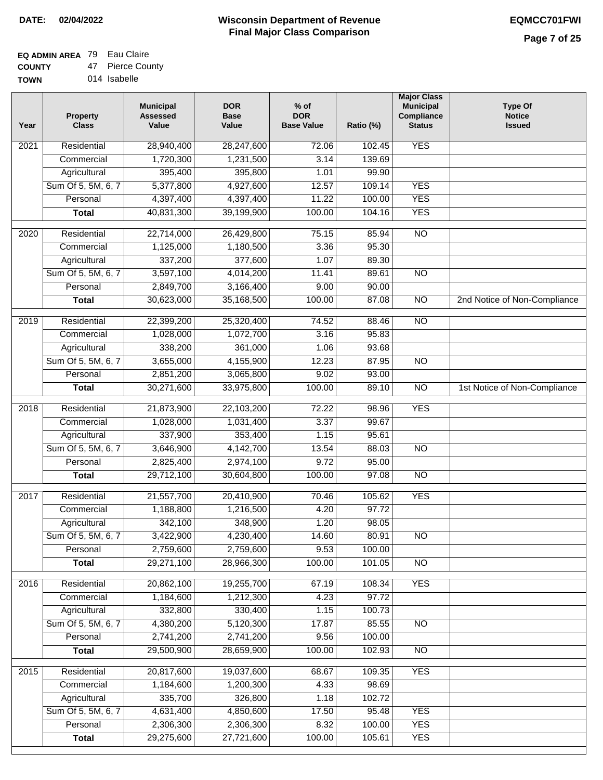## **EQ ADMIN AREA** 79 Eau Claire

**COUNTY TOW** 47 Pierce County

| N | 014 Isabelle |
|---|--------------|
|   |              |

| Year              | <b>Property</b><br><b>Class</b> | <b>Municipal</b><br><b>Assessed</b><br>Value | <b>DOR</b><br><b>Base</b><br>Value | $%$ of<br><b>DOR</b><br><b>Base Value</b> | Ratio (%) | <b>Major Class</b><br><b>Municipal</b><br>Compliance<br><b>Status</b> | <b>Type Of</b><br><b>Notice</b><br><b>Issued</b> |
|-------------------|---------------------------------|----------------------------------------------|------------------------------------|-------------------------------------------|-----------|-----------------------------------------------------------------------|--------------------------------------------------|
| $\overline{202}1$ | Residential                     | 28,940,400                                   | 28,247,600                         | 72.06                                     | 102.45    | <b>YES</b>                                                            |                                                  |
|                   | Commercial                      | 1,720,300                                    | 1,231,500                          | 3.14                                      | 139.69    |                                                                       |                                                  |
|                   | Agricultural                    | 395,400                                      | 395,800                            | 1.01                                      | 99.90     |                                                                       |                                                  |
|                   | Sum Of 5, 5M, 6, 7              | 5,377,800                                    | 4,927,600                          | 12.57                                     | 109.14    | <b>YES</b>                                                            |                                                  |
|                   | Personal                        | 4,397,400                                    | 4,397,400                          | 11.22                                     | 100.00    | <b>YES</b>                                                            |                                                  |
|                   | <b>Total</b>                    | 40,831,300                                   | 39,199,900                         | 100.00                                    | 104.16    | <b>YES</b>                                                            |                                                  |
| 2020              | Residential                     | 22,714,000                                   | 26,429,800                         | 75.15                                     | 85.94     | $\overline{NO}$                                                       |                                                  |
|                   | Commercial                      | 1,125,000                                    | 1,180,500                          | 3.36                                      | 95.30     |                                                                       |                                                  |
|                   | Agricultural                    | 337,200                                      | 377,600                            | 1.07                                      | 89.30     |                                                                       |                                                  |
|                   | Sum Of 5, 5M, 6, 7              | 3,597,100                                    | 4,014,200                          | 11.41                                     | 89.61     | $\overline{NO}$                                                       |                                                  |
|                   | Personal                        | 2,849,700                                    | 3,166,400                          | 9.00                                      | 90.00     |                                                                       |                                                  |
|                   | <b>Total</b>                    | 30,623,000                                   | 35,168,500                         | 100.00                                    | 87.08     | $\overline{NO}$                                                       | 2nd Notice of Non-Compliance                     |
|                   |                                 |                                              |                                    |                                           |           |                                                                       |                                                  |
| 2019              | Residential                     | 22,399,200                                   | 25,320,400                         | 74.52                                     | 88.46     | $\overline{NO}$                                                       |                                                  |
|                   | Commercial                      | 1,028,000                                    | 1,072,700                          | 3.16                                      | 95.83     |                                                                       |                                                  |
|                   | Agricultural                    | 338,200                                      | 361,000                            | 1.06                                      | 93.68     |                                                                       |                                                  |
|                   | Sum Of 5, 5M, 6, 7              | 3,655,000                                    | 4,155,900                          | 12.23                                     | 87.95     | $\overline{NO}$                                                       |                                                  |
|                   | Personal                        | 2,851,200                                    | 3,065,800                          | 9.02                                      | 93.00     |                                                                       |                                                  |
|                   | <b>Total</b>                    | 30,271,600                                   | 33,975,800                         | 100.00                                    | 89.10     | $\overline{NO}$                                                       | 1st Notice of Non-Compliance                     |
| $\overline{2018}$ | Residential                     | 21,873,900                                   | 22,103,200                         | 72.22                                     | 98.96     | <b>YES</b>                                                            |                                                  |
|                   | Commercial                      | 1,028,000                                    | 1,031,400                          | 3.37                                      | 99.67     |                                                                       |                                                  |
|                   | Agricultural                    | 337,900                                      | 353,400                            | 1.15                                      | 95.61     |                                                                       |                                                  |
|                   | Sum Of 5, 5M, 6, 7              | 3,646,900                                    | 4,142,700                          | 13.54                                     | 88.03     | <b>NO</b>                                                             |                                                  |
|                   | Personal                        | 2,825,400                                    | 2,974,100                          | 9.72                                      | 95.00     |                                                                       |                                                  |
|                   | <b>Total</b>                    | 29,712,100                                   | 30,604,800                         | 100.00                                    | 97.08     | $\overline{10}$                                                       |                                                  |
| 2017              | Residential                     | 21,557,700                                   | 20,410,900                         | 70.46                                     | 105.62    | <b>YES</b>                                                            |                                                  |
|                   | Commercial                      | 1,188,800                                    | 1,216,500                          | 4.20                                      | 97.72     |                                                                       |                                                  |
|                   | Agricultural                    | 342,100                                      | 348,900                            | 1.20                                      | 98.05     |                                                                       |                                                  |
|                   | Sum Of 5, 5M, 6, 7              | 3,422,900                                    | 4,230,400                          | 14.60                                     | 80.91     | $\overline{NO}$                                                       |                                                  |
|                   | Personal                        | 2,759,600                                    | 2,759,600                          | 9.53                                      | 100.00    |                                                                       |                                                  |
|                   | <b>Total</b>                    | 29,271,100                                   | 28,966,300                         | 100.00                                    | 101.05    | $\overline{NO}$                                                       |                                                  |
| 2016              | Residential                     | 20,862,100                                   | 19,255,700                         | 67.19                                     | 108.34    | <b>YES</b>                                                            |                                                  |
|                   | Commercial                      | 1,184,600                                    | 1,212,300                          | 4.23                                      | 97.72     |                                                                       |                                                  |
|                   | Agricultural                    | 332,800                                      | 330,400                            | 1.15                                      | 100.73    |                                                                       |                                                  |
|                   | Sum Of 5, 5M, 6, 7              | 4,380,200                                    | 5,120,300                          | 17.87                                     | 85.55     | N <sub>O</sub>                                                        |                                                  |
|                   | Personal                        | 2,741,200                                    | 2,741,200                          | 9.56                                      | 100.00    |                                                                       |                                                  |
|                   | <b>Total</b>                    | 29,500,900                                   | 28,659,900                         | 100.00                                    | 102.93    | N <sub>O</sub>                                                        |                                                  |
| 2015              | Residential                     | 20,817,600                                   | 19,037,600                         | 68.67                                     | 109.35    | <b>YES</b>                                                            |                                                  |
|                   | Commercial                      | 1,184,600                                    | 1,200,300                          | 4.33                                      | 98.69     |                                                                       |                                                  |
|                   | Agricultural                    | 335,700                                      | 326,800                            | 1.18                                      | 102.72    |                                                                       |                                                  |
|                   | Sum Of 5, 5M, 6, 7              | 4,631,400                                    | 4,850,600                          | 17.50                                     | 95.48     | <b>YES</b>                                                            |                                                  |
|                   | Personal                        | 2,306,300                                    | 2,306,300                          | 8.32                                      | 100.00    | <b>YES</b>                                                            |                                                  |
|                   | <b>Total</b>                    | 29,275,600                                   | 27,721,600                         | 100.00                                    | 105.61    | <b>YES</b>                                                            |                                                  |
|                   |                                 |                                              |                                    |                                           |           |                                                                       |                                                  |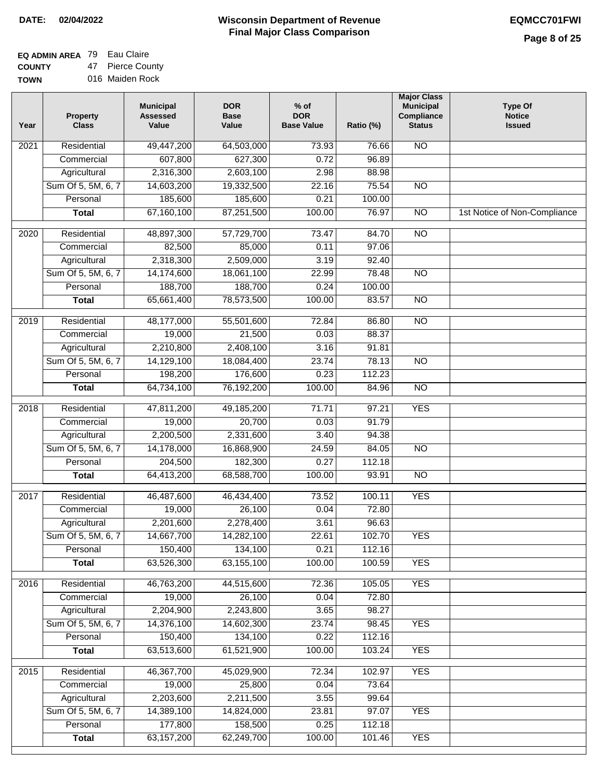| EQ ADMIN AREA 79 Eau Claire |                  |
|-----------------------------|------------------|
| <b>COUNTY</b>               | 47 Pierce County |

**TOWN** 016 Maiden Rock

| Year              | <b>Property</b><br><b>Class</b> | <b>Municipal</b><br><b>Assessed</b><br>Value | <b>DOR</b><br><b>Base</b><br>Value | $%$ of<br><b>DOR</b><br><b>Base Value</b> | Ratio (%) | <b>Major Class</b><br><b>Municipal</b><br>Compliance<br><b>Status</b> | <b>Type Of</b><br><b>Notice</b><br><b>Issued</b> |
|-------------------|---------------------------------|----------------------------------------------|------------------------------------|-------------------------------------------|-----------|-----------------------------------------------------------------------|--------------------------------------------------|
| $\frac{1}{202}$ 1 | Residential                     | 49,447,200                                   | 64,503,000                         | 73.93                                     | 76.66     | $\overline{NO}$                                                       |                                                  |
|                   | Commercial                      | 607,800                                      | 627,300                            | 0.72                                      | 96.89     |                                                                       |                                                  |
|                   | Agricultural                    | 2,316,300                                    | 2,603,100                          | 2.98                                      | 88.98     |                                                                       |                                                  |
|                   | Sum Of 5, 5M, 6, 7              | 14,603,200                                   | 19,332,500                         | 22.16                                     | 75.54     | $\overline{NO}$                                                       |                                                  |
|                   | Personal                        | 185,600                                      | 185,600                            | 0.21                                      | 100.00    |                                                                       |                                                  |
|                   | <b>Total</b>                    | 67,160,100                                   | 87,251,500                         | 100.00                                    | 76.97     | $\overline{NO}$                                                       | 1st Notice of Non-Compliance                     |
| 2020              | Residential                     | 48,897,300                                   | 57,729,700                         | 73.47                                     | 84.70     | $\overline{NO}$                                                       |                                                  |
|                   | Commercial                      | 82,500                                       | 85,000                             | 0.11                                      | 97.06     |                                                                       |                                                  |
|                   | Agricultural                    | 2,318,300                                    | 2,509,000                          | 3.19                                      | 92.40     |                                                                       |                                                  |
|                   | Sum Of 5, 5M, 6, 7              | 14,174,600                                   | 18,061,100                         | 22.99                                     | 78.48     | $\overline{NO}$                                                       |                                                  |
|                   | Personal                        | 188,700                                      | 188,700                            | 0.24                                      | 100.00    |                                                                       |                                                  |
|                   | <b>Total</b>                    | 65,661,400                                   | 78,573,500                         | 100.00                                    | 83.57     | $\overline{NO}$                                                       |                                                  |
| 2019              | Residential                     | 48,177,000                                   | 55,501,600                         | 72.84                                     | 86.80     | $\overline{N}$                                                        |                                                  |
|                   | Commercial                      | 19,000                                       | 21,500                             | 0.03                                      | 88.37     |                                                                       |                                                  |
|                   | Agricultural                    | 2,210,800                                    | 2,408,100                          | 3.16                                      | 91.81     |                                                                       |                                                  |
|                   | Sum Of 5, 5M, 6, 7              | 14,129,100                                   | 18,084,400                         | 23.74                                     | 78.13     | $\overline{NO}$                                                       |                                                  |
|                   | Personal                        | 198,200                                      | 176,600                            | 0.23                                      | 112.23    |                                                                       |                                                  |
|                   | <b>Total</b>                    | 64,734,100                                   | 76,192,200                         | 100.00                                    | 84.96     | $\overline{NO}$                                                       |                                                  |
| 2018              | Residential                     | 47,811,200                                   | 49,185,200                         | 71.71                                     | 97.21     | <b>YES</b>                                                            |                                                  |
|                   | Commercial                      | 19,000                                       | 20,700                             | 0.03                                      | 91.79     |                                                                       |                                                  |
|                   | Agricultural                    | 2,200,500                                    | 2,331,600                          | 3.40                                      | 94.38     |                                                                       |                                                  |
|                   | Sum Of 5, 5M, 6, 7              | 14,178,000                                   | 16,868,900                         | 24.59                                     | 84.05     | $\overline{10}$                                                       |                                                  |
|                   | Personal                        | 204,500                                      | 182,300                            | 0.27                                      | 112.18    |                                                                       |                                                  |
|                   | <b>Total</b>                    | 64,413,200                                   | 68,588,700                         | 100.00                                    | 93.91     | <b>NO</b>                                                             |                                                  |
| 2017              | Residential                     | 46,487,600                                   | 46,434,400                         | 73.52                                     | 100.11    | <b>YES</b>                                                            |                                                  |
|                   | Commercial                      | 19,000                                       | 26,100                             | 0.04                                      | 72.80     |                                                                       |                                                  |
|                   | Agricultural                    | 2,201,600                                    | 2,278,400                          | 3.61                                      | 96.63     |                                                                       |                                                  |
|                   | Sum Of 5, 5M, 6, 7              | 14,667,700                                   | 14,282,100                         | 22.61                                     | 102.70    | <b>YES</b>                                                            |                                                  |
|                   | Personal                        | 150,400                                      | 134,100                            | 0.21                                      | 112.16    |                                                                       |                                                  |
|                   | <b>Total</b>                    | 63,526,300                                   | 63,155,100                         | 100.00                                    | 100.59    | <b>YES</b>                                                            |                                                  |
| 2016              | Residential                     | 46,763,200                                   | 44,515,600                         | 72.36                                     | 105.05    | <b>YES</b>                                                            |                                                  |
|                   | Commercial                      | 19,000                                       | 26,100                             | 0.04                                      | 72.80     |                                                                       |                                                  |
|                   | Agricultural                    | 2,204,900                                    | 2,243,800                          | 3.65                                      | 98.27     |                                                                       |                                                  |
|                   | Sum Of 5, 5M, 6, 7              | 14,376,100                                   | 14,602,300                         | 23.74                                     | 98.45     | <b>YES</b>                                                            |                                                  |
|                   | Personal                        | 150,400                                      | 134,100                            | 0.22                                      | 112.16    |                                                                       |                                                  |
|                   | <b>Total</b>                    | 63,513,600                                   | 61,521,900                         | 100.00                                    | 103.24    | <b>YES</b>                                                            |                                                  |
| 2015              | Residential                     | 46,367,700                                   | 45,029,900                         | 72.34                                     | 102.97    | <b>YES</b>                                                            |                                                  |
|                   | Commercial                      | 19,000                                       | 25,800                             | 0.04                                      | 73.64     |                                                                       |                                                  |
|                   | Agricultural                    | 2,203,600                                    | 2,211,500                          | 3.55                                      | 99.64     |                                                                       |                                                  |
|                   | Sum Of 5, 5M, 6, 7              | 14,389,100                                   | 14,824,000                         | 23.81                                     | 97.07     | <b>YES</b>                                                            |                                                  |
|                   | Personal                        | 177,800                                      | 158,500                            | 0.25                                      | 112.18    |                                                                       |                                                  |
|                   | <b>Total</b>                    | 63, 157, 200                                 | 62,249,700                         | 100.00                                    | 101.46    | <b>YES</b>                                                            |                                                  |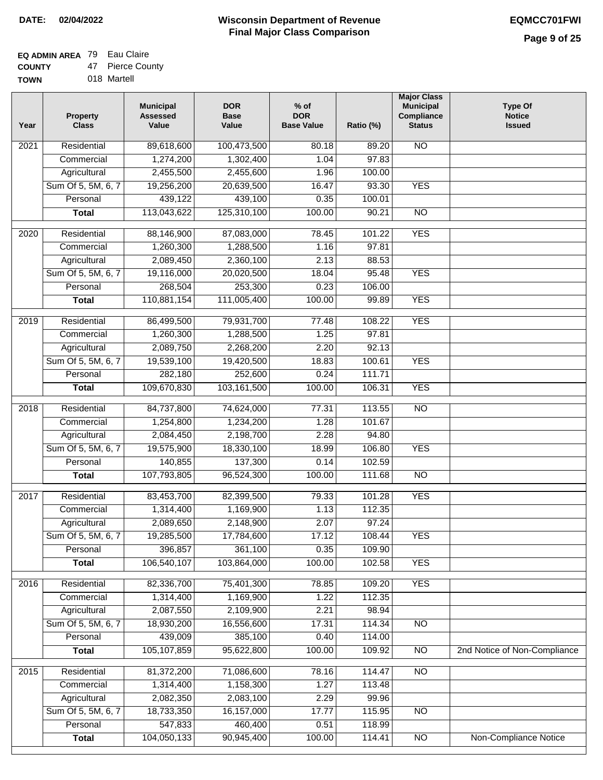#### **EQ ADMIN AREA** 79 Eau Claire **COUNTY** 47 Pierce County

**TOWN** 018 Martell

| Year              | <b>Property</b><br><b>Class</b> | <b>Municipal</b><br><b>Assessed</b><br>Value | <b>DOR</b><br><b>Base</b><br>Value | $%$ of<br><b>DOR</b><br><b>Base Value</b> | Ratio (%)        | <b>Major Class</b><br><b>Municipal</b><br>Compliance<br><b>Status</b> | <b>Type Of</b><br><b>Notice</b><br><b>Issued</b> |
|-------------------|---------------------------------|----------------------------------------------|------------------------------------|-------------------------------------------|------------------|-----------------------------------------------------------------------|--------------------------------------------------|
| $\overline{202}1$ | Residential                     | 89,618,600                                   | 100,473,500                        | 80.18                                     | 89.20            | <b>NO</b>                                                             |                                                  |
|                   | Commercial                      | 1,274,200                                    | 1,302,400                          | 1.04                                      | 97.83            |                                                                       |                                                  |
|                   | Agricultural                    | 2,455,500                                    | 2,455,600                          | 1.96                                      | 100.00           |                                                                       |                                                  |
|                   | Sum Of 5, 5M, 6, 7              | 19,256,200                                   | 20,639,500                         | 16.47                                     | 93.30            | <b>YES</b>                                                            |                                                  |
|                   | Personal                        | 439,122                                      | 439,100                            | 0.35                                      | 100.01           |                                                                       |                                                  |
|                   | <b>Total</b>                    | 113,043,622                                  | 125,310,100                        | 100.00                                    | 90.21            | $\overline{NO}$                                                       |                                                  |
| $\overline{2020}$ | Residential                     | 88,146,900                                   | 87,083,000                         | 78.45                                     | 101.22           | <b>YES</b>                                                            |                                                  |
|                   | Commercial                      | 1,260,300                                    | 1,288,500                          | 1.16                                      | 97.81            |                                                                       |                                                  |
|                   | Agricultural                    | 2,089,450                                    | 2,360,100                          | 2.13                                      | 88.53            |                                                                       |                                                  |
|                   | Sum Of 5, 5M, 6, 7              | 19,116,000                                   | 20,020,500                         | 18.04                                     | 95.48            | <b>YES</b>                                                            |                                                  |
|                   | Personal                        | 268,504                                      | 253,300                            | 0.23                                      | 106.00           |                                                                       |                                                  |
|                   | <b>Total</b>                    | 110,881,154                                  | 111,005,400                        | 100.00                                    | 99.89            | <b>YES</b>                                                            |                                                  |
| 2019              | Residential                     | 86,499,500                                   | 79,931,700                         | 77.48                                     | 108.22           | <b>YES</b>                                                            |                                                  |
|                   | Commercial                      | 1,260,300                                    | 1,288,500                          | 1.25                                      | 97.81            |                                                                       |                                                  |
|                   | Agricultural                    | 2,089,750                                    | 2,268,200                          | 2.20                                      | 92.13            |                                                                       |                                                  |
|                   | Sum Of 5, 5M, 6, 7              | 19,539,100                                   | 19,420,500                         | 18.83                                     | 100.61           | <b>YES</b>                                                            |                                                  |
|                   | Personal                        | 282,180                                      | 252,600                            | 0.24                                      | 111.71           |                                                                       |                                                  |
|                   | <b>Total</b>                    | 109,670,830                                  | 103,161,500                        | 100.00                                    | 106.31           | <b>YES</b>                                                            |                                                  |
|                   |                                 |                                              |                                    |                                           |                  |                                                                       |                                                  |
| 2018              | Residential<br>Commercial       | 84,737,800<br>1,254,800                      | 74,624,000<br>1,234,200            | 77.31<br>1.28                             | 113.55<br>101.67 | $\overline{10}$                                                       |                                                  |
|                   | Agricultural                    | 2,084,450                                    | 2,198,700                          | 2.28                                      | 94.80            |                                                                       |                                                  |
|                   | Sum Of 5, 5M, 6, 7              | 19,575,900                                   | 18,330,100                         | 18.99                                     | 106.80           | <b>YES</b>                                                            |                                                  |
|                   | Personal                        | 140,855                                      | 137,300                            | 0.14                                      | 102.59           |                                                                       |                                                  |
|                   | <b>Total</b>                    | 107,793,805                                  | 96,524,300                         | 100.00                                    | 111.68           | $\overline{10}$                                                       |                                                  |
|                   |                                 |                                              |                                    |                                           |                  |                                                                       |                                                  |
| 2017              | Residential                     | 83,453,700                                   | 82,399,500                         | 79.33                                     | 101.28           | <b>YES</b>                                                            |                                                  |
|                   | Commercial                      | 1,314,400                                    | 1,169,900                          | 1.13                                      | 112.35           |                                                                       |                                                  |
|                   | Agricultural                    | 2,089,650                                    | 2,148,900                          | 2.07                                      | 97.24            |                                                                       |                                                  |
|                   | Sum Of 5, 5M, 6, 7              | 19,285,500                                   | 17,784,600                         | 17.12                                     | 108.44           | <b>YES</b>                                                            |                                                  |
|                   | Personal                        | 396,857                                      | 361,100                            | 0.35                                      | 109.90           |                                                                       |                                                  |
|                   | <b>Total</b>                    | 106,540,107                                  | 103,864,000                        | 100.00                                    | 102.58           | <b>YES</b>                                                            |                                                  |
| 2016              | Residential                     | 82,336,700                                   | 75,401,300                         | 78.85                                     | 109.20           | <b>YES</b>                                                            |                                                  |
|                   | Commercial                      | 1,314,400                                    | 1,169,900                          | $\overline{1.22}$                         | 112.35           |                                                                       |                                                  |
|                   | Agricultural                    | 2,087,550                                    | 2,109,900                          | 2.21                                      | 98.94            |                                                                       |                                                  |
|                   | Sum Of 5, 5M, 6, 7              | 18,930,200                                   | 16,556,600                         | 17.31                                     | 114.34           | $\overline{NO}$                                                       |                                                  |
|                   | Personal                        | 439,009                                      | 385,100                            | 0.40                                      | 114.00           |                                                                       |                                                  |
|                   | <b>Total</b>                    | 105, 107, 859                                | 95,622,800                         | 100.00                                    | 109.92           | N <sub>O</sub>                                                        | 2nd Notice of Non-Compliance                     |
| 2015              | Residential                     | 81,372,200                                   | 71,086,600                         | 78.16                                     | 114.47           | N <sub>O</sub>                                                        |                                                  |
|                   | Commercial                      | 1,314,400                                    | 1,158,300                          | 1.27                                      | 113.48           |                                                                       |                                                  |
|                   | Agricultural                    | 2,082,350                                    | 2,083,100                          | 2.29                                      | 99.96            |                                                                       |                                                  |
|                   | Sum Of 5, 5M, 6, 7              | 18,733,350                                   | 16,157,000                         | 17.77                                     | 115.95           | <b>NO</b>                                                             |                                                  |
|                   | Personal                        | 547,833                                      | 460,400                            | 0.51                                      | 118.99           |                                                                       |                                                  |
|                   | <b>Total</b>                    | 104,050,133                                  | 90,945,400                         | 100.00                                    | 114.41           | NO                                                                    | <b>Non-Compliance Notice</b>                     |
|                   |                                 |                                              |                                    |                                           |                  |                                                                       |                                                  |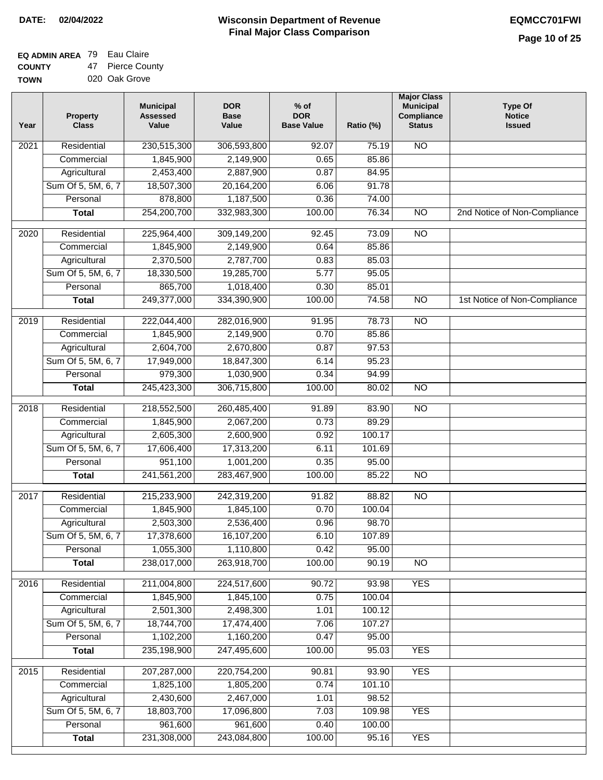# **EQ ADMIN AREA** 79 Eau Claire

**COUNTY TOWN** 47 Pierce County 020 Oak Grove

| Year | <b>Property</b><br><b>Class</b> | <b>Municipal</b><br><b>Assessed</b><br>Value | <b>DOR</b><br><b>Base</b><br>Value | $%$ of<br><b>DOR</b><br><b>Base Value</b> | Ratio (%) | <b>Major Class</b><br><b>Municipal</b><br>Compliance<br><b>Status</b> | <b>Type Of</b><br><b>Notice</b><br><b>Issued</b> |
|------|---------------------------------|----------------------------------------------|------------------------------------|-------------------------------------------|-----------|-----------------------------------------------------------------------|--------------------------------------------------|
| 2021 | Residential                     | 230,515,300                                  | 306,593,800                        | 92.07                                     | 75.19     | N <sub>O</sub>                                                        |                                                  |
|      | Commercial                      | 1,845,900                                    | 2,149,900                          | 0.65                                      | 85.86     |                                                                       |                                                  |
|      | Agricultural                    | 2,453,400                                    | 2,887,900                          | 0.87                                      | 84.95     |                                                                       |                                                  |
|      | Sum Of 5, 5M, 6, 7              | 18,507,300                                   | 20, 164, 200                       | 6.06                                      | 91.78     |                                                                       |                                                  |
|      | Personal                        | 878,800                                      | 1,187,500                          | 0.36                                      | 74.00     |                                                                       |                                                  |
|      | <b>Total</b>                    | 254,200,700                                  | 332,983,300                        | 100.00                                    | 76.34     | $\overline{NO}$                                                       | 2nd Notice of Non-Compliance                     |
| 2020 | Residential                     | 225,964,400                                  | 309,149,200                        | 92.45                                     | 73.09     | $\overline{N}$                                                        |                                                  |
|      | Commercial                      | 1,845,900                                    | 2,149,900                          | 0.64                                      | 85.86     |                                                                       |                                                  |
|      | Agricultural                    | 2,370,500                                    | 2,787,700                          | 0.83                                      | 85.03     |                                                                       |                                                  |
|      | Sum Of 5, 5M, 6, 7              | 18,330,500                                   | 19,285,700                         | $\overline{5.77}$                         | 95.05     |                                                                       |                                                  |
|      | Personal                        | 865,700                                      | 1,018,400                          | 0.30                                      | 85.01     |                                                                       |                                                  |
|      | <b>Total</b>                    | 249,377,000                                  | 334,390,900                        | 100.00                                    | 74.58     | $\overline{NO}$                                                       | 1st Notice of Non-Compliance                     |
| 2019 | Residential                     | 222,044,400                                  | 282,016,900                        | 91.95                                     | 78.73     | <b>NO</b>                                                             |                                                  |
|      | Commercial                      | 1,845,900                                    | 2,149,900                          | 0.70                                      | 85.86     |                                                                       |                                                  |
|      | Agricultural                    | 2,604,700                                    | 2,670,800                          | 0.87                                      | 97.53     |                                                                       |                                                  |
|      | Sum Of 5, 5M, 6, 7              | 17,949,000                                   | 18,847,300                         | 6.14                                      | 95.23     |                                                                       |                                                  |
|      | Personal                        | 979,300                                      | 1,030,900                          | 0.34                                      | 94.99     |                                                                       |                                                  |
|      | <b>Total</b>                    | 245,423,300                                  | 306,715,800                        | 100.00                                    | 80.02     | $\overline{NO}$                                                       |                                                  |
| 2018 | Residential                     | 218,552,500                                  | 260,485,400                        | 91.89                                     | 83.90     | $\overline{NO}$                                                       |                                                  |
|      | Commercial                      | 1,845,900                                    | 2,067,200                          | 0.73                                      | 89.29     |                                                                       |                                                  |
|      | Agricultural                    | 2,605,300                                    | 2,600,900                          | 0.92                                      | 100.17    |                                                                       |                                                  |
|      | Sum Of 5, 5M, 6, 7              | 17,606,400                                   | 17,313,200                         | 6.11                                      | 101.69    |                                                                       |                                                  |
|      | Personal                        | 951,100                                      | 1,001,200                          | 0.35                                      | 95.00     |                                                                       |                                                  |
|      | <b>Total</b>                    | 241,561,200                                  | 283,467,900                        | 100.00                                    | 85.22     | <b>NO</b>                                                             |                                                  |
| 2017 | Residential                     | 215,233,900                                  | 242,319,200                        | 91.82                                     | 88.82     | <b>NO</b>                                                             |                                                  |
|      | Commercial                      | 1,845,900                                    | 1,845,100                          | 0.70                                      | 100.04    |                                                                       |                                                  |
|      | Agricultural                    | 2,503,300                                    | 2,536,400                          | 0.96                                      | 98.70     |                                                                       |                                                  |
|      | Sum Of 5, 5M, 6, 7              | 17,378,600                                   | 16,107,200                         | 6.10                                      | 107.89    |                                                                       |                                                  |
|      | Personal                        | 1,055,300                                    | 1,110,800                          | 0.42                                      | 95.00     |                                                                       |                                                  |
|      | <b>Total</b>                    | 238,017,000                                  | 263,918,700                        | 100.00                                    | 90.19     | <b>NO</b>                                                             |                                                  |
| 2016 | Residential                     | 211,004,800                                  | 224,517,600                        | 90.72                                     | 93.98     | <b>YES</b>                                                            |                                                  |
|      | Commercial                      | 1,845,900                                    | 1,845,100                          | 0.75                                      | 100.04    |                                                                       |                                                  |
|      | Agricultural                    | 2,501,300                                    | 2,498,300                          | 1.01                                      | 100.12    |                                                                       |                                                  |
|      | Sum Of 5, 5M, 6, 7              | 18,744,700                                   | 17,474,400                         | 7.06                                      | 107.27    |                                                                       |                                                  |
|      | Personal                        | 1,102,200                                    | 1,160,200                          | 0.47                                      | 95.00     |                                                                       |                                                  |
|      | <b>Total</b>                    | 235,198,900                                  | 247,495,600                        | 100.00                                    | 95.03     | <b>YES</b>                                                            |                                                  |
| 2015 | Residential                     | 207,287,000                                  | 220,754,200                        | 90.81                                     | 93.90     | <b>YES</b>                                                            |                                                  |
|      | Commercial                      | 1,825,100                                    | 1,805,200                          | 0.74                                      | 101.10    |                                                                       |                                                  |
|      | Agricultural                    | 2,430,600                                    | 2,467,000                          | 1.01                                      | 98.52     |                                                                       |                                                  |
|      | Sum Of 5, 5M, 6, 7              | 18,803,700                                   | 17,096,800                         | 7.03                                      | 109.98    | <b>YES</b>                                                            |                                                  |
|      | Personal                        | 961,600                                      | 961,600                            | 0.40                                      | 100.00    |                                                                       |                                                  |
|      | <b>Total</b>                    | 231,308,000                                  | 243,084,800                        | 100.00                                    | 95.16     | <b>YES</b>                                                            |                                                  |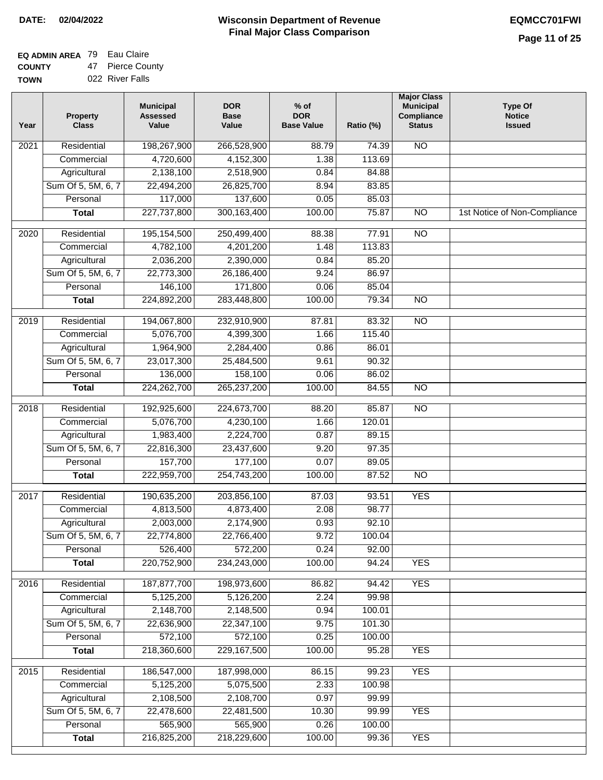# **EQ ADMIN AREA** 79 Eau Claire

**COUNTY TOWN** 47 Pierce County 022 River Falls

| Residential<br>266,528,900<br>$\overline{NO}$<br>2021<br>88.79<br>74.39<br>4,720,600<br>4,152,300<br>113.69<br>Commercial<br>1.38<br>2,138,100<br>2,518,900<br>Agricultural<br>0.84<br>84.88<br>Sum Of 5, 5M, 6, 7<br>22,494,200<br>26,825,700<br>8.94<br>83.85<br>117,000<br>137,600<br>Personal<br>0.05<br>85.03<br>227,737,800<br>300,163,400<br>100.00<br>75.87<br>$\overline{NO}$<br><b>Total</b><br>Residential<br>195, 154, 500<br>250,499,400<br>88.38<br>77.91<br>$\overline{10}$<br>2020<br>4,782,100<br>Commercial<br>4,201,200<br>1.48<br>113.83<br>2,036,200<br>2,390,000<br>85.20<br>Agricultural<br>0.84<br>Sum Of 5, 5M, 6, 7<br>22,773,300<br>26,186,400<br>9.24<br>86.97<br>146,100<br>171,800<br>Personal<br>0.06<br>85.04<br><b>Total</b><br>224,892,200<br>283,448,800<br>100.00<br>79.34<br>$\overline{NO}$<br>$\overline{NO}$<br>Residential<br>194,067,800<br>232,910,900<br>87.81<br>83.32<br>2019<br>Commercial<br>5,076,700<br>4,399,300<br>1.66<br>115.40<br>1,964,900<br>Agricultural<br>2,284,400<br>0.86<br>86.01<br>Sum Of 5, 5M, 6, 7<br>23,017,300<br>25,484,500<br>90.32<br>9.61<br>136,000<br>158,100<br>Personal<br>0.06<br>86.02<br>224,262,700<br>265,237,200<br>100.00<br>84.55<br><b>NO</b><br><b>Total</b><br>Residential<br>224,673,700<br>$\overline{NO}$<br>192,925,600<br>88.20<br>85.87<br>2018<br>5,076,700<br>Commercial<br>4,230,100<br>1.66<br>120.01<br>1,983,400<br>2,224,700<br>Agricultural<br>0.87<br>89.15<br>Sum Of 5, 5M, 6, 7<br>97.35<br>22,816,300<br>23,437,600<br>9.20<br>157,700<br>177,100<br>Personal<br>0.07<br>89.05<br>222,959,700<br>254,743,200<br>100.00<br>87.52<br><b>NO</b><br><b>Total</b><br><b>YES</b><br>2017<br>Residential<br>190,635,200<br>203,856,100<br>87.03<br>93.51<br>4,813,500<br>4,873,400<br>2.08<br>98.77<br>Commercial<br>92.10<br>2,003,000<br>2,174,900<br>0.93<br>Agricultural<br>Sum Of 5, 5M, 6, 7<br>22,774,800<br>22,766,400<br>9.72<br>100.04<br>526,400<br>572,200<br>0.24<br>92.00<br>Personal<br>220,752,900<br>234,243,000<br><b>YES</b><br>100.00<br>94.24<br><b>Total</b><br>Residential<br>187,877,700<br>198,973,600<br>86.82<br><b>YES</b><br>2016<br>94.42<br>5,125,200<br>5,126,200<br>2.24<br>99.98<br>Commercial<br>2,148,700<br>2,148,500<br>0.94<br>100.01<br>Agricultural<br>Sum Of 5, 5M, 6, 7<br>22,636,900<br>22,347,100<br>9.75<br>101.30<br>572,100<br>572,100<br>Personal<br>0.25<br>100.00<br>218,360,600<br>229,167,500<br>100.00<br>95.28<br><b>YES</b><br><b>Total</b><br><b>YES</b><br>186,547,000<br>187,998,000<br>99.23<br>2015<br>Residential<br>86.15<br>Commercial<br>5,125,200<br>5,075,500<br>2.33<br>100.98<br>2,108,700<br>Agricultural<br>2,108,500<br>0.97<br>99.99<br>Sum Of 5, 5M, 6, 7<br>22,478,600<br>22,481,500<br>99.99<br>10.30<br><b>YES</b><br>Personal<br>565,900<br>565,900<br>0.26<br>100.00 | Year | Property<br><b>Class</b> | <b>Municipal</b><br><b>Assessed</b><br>Value | <b>DOR</b><br><b>Base</b><br>Value | % of<br><b>DOR</b><br><b>Base Value</b> | Ratio (%) | <b>Major Class</b><br><b>Municipal</b><br>Compliance<br><b>Status</b> | <b>Type Of</b><br><b>Notice</b><br><b>Issued</b> |
|---------------------------------------------------------------------------------------------------------------------------------------------------------------------------------------------------------------------------------------------------------------------------------------------------------------------------------------------------------------------------------------------------------------------------------------------------------------------------------------------------------------------------------------------------------------------------------------------------------------------------------------------------------------------------------------------------------------------------------------------------------------------------------------------------------------------------------------------------------------------------------------------------------------------------------------------------------------------------------------------------------------------------------------------------------------------------------------------------------------------------------------------------------------------------------------------------------------------------------------------------------------------------------------------------------------------------------------------------------------------------------------------------------------------------------------------------------------------------------------------------------------------------------------------------------------------------------------------------------------------------------------------------------------------------------------------------------------------------------------------------------------------------------------------------------------------------------------------------------------------------------------------------------------------------------------------------------------------------------------------------------------------------------------------------------------------------------------------------------------------------------------------------------------------------------------------------------------------------------------------------------------------------------------------------------------------------------------------------------------------------------------------------------------------------------------------------------------------------------------------------------------------------------------------------------------------------------------------------------------------------------------------------------------------------------------------------------------------------------------------------------------------------------------------------------------------------------------------------------|------|--------------------------|----------------------------------------------|------------------------------------|-----------------------------------------|-----------|-----------------------------------------------------------------------|--------------------------------------------------|
|                                                                                                                                                                                                                                                                                                                                                                                                                                                                                                                                                                                                                                                                                                                                                                                                                                                                                                                                                                                                                                                                                                                                                                                                                                                                                                                                                                                                                                                                                                                                                                                                                                                                                                                                                                                                                                                                                                                                                                                                                                                                                                                                                                                                                                                                                                                                                                                                                                                                                                                                                                                                                                                                                                                                                                                                                                                         |      |                          | 198,267,900                                  |                                    |                                         |           |                                                                       |                                                  |
|                                                                                                                                                                                                                                                                                                                                                                                                                                                                                                                                                                                                                                                                                                                                                                                                                                                                                                                                                                                                                                                                                                                                                                                                                                                                                                                                                                                                                                                                                                                                                                                                                                                                                                                                                                                                                                                                                                                                                                                                                                                                                                                                                                                                                                                                                                                                                                                                                                                                                                                                                                                                                                                                                                                                                                                                                                                         |      |                          |                                              |                                    |                                         |           |                                                                       |                                                  |
|                                                                                                                                                                                                                                                                                                                                                                                                                                                                                                                                                                                                                                                                                                                                                                                                                                                                                                                                                                                                                                                                                                                                                                                                                                                                                                                                                                                                                                                                                                                                                                                                                                                                                                                                                                                                                                                                                                                                                                                                                                                                                                                                                                                                                                                                                                                                                                                                                                                                                                                                                                                                                                                                                                                                                                                                                                                         |      |                          |                                              |                                    |                                         |           |                                                                       |                                                  |
|                                                                                                                                                                                                                                                                                                                                                                                                                                                                                                                                                                                                                                                                                                                                                                                                                                                                                                                                                                                                                                                                                                                                                                                                                                                                                                                                                                                                                                                                                                                                                                                                                                                                                                                                                                                                                                                                                                                                                                                                                                                                                                                                                                                                                                                                                                                                                                                                                                                                                                                                                                                                                                                                                                                                                                                                                                                         |      |                          |                                              |                                    |                                         |           |                                                                       |                                                  |
|                                                                                                                                                                                                                                                                                                                                                                                                                                                                                                                                                                                                                                                                                                                                                                                                                                                                                                                                                                                                                                                                                                                                                                                                                                                                                                                                                                                                                                                                                                                                                                                                                                                                                                                                                                                                                                                                                                                                                                                                                                                                                                                                                                                                                                                                                                                                                                                                                                                                                                                                                                                                                                                                                                                                                                                                                                                         |      |                          |                                              |                                    |                                         |           |                                                                       |                                                  |
|                                                                                                                                                                                                                                                                                                                                                                                                                                                                                                                                                                                                                                                                                                                                                                                                                                                                                                                                                                                                                                                                                                                                                                                                                                                                                                                                                                                                                                                                                                                                                                                                                                                                                                                                                                                                                                                                                                                                                                                                                                                                                                                                                                                                                                                                                                                                                                                                                                                                                                                                                                                                                                                                                                                                                                                                                                                         |      |                          |                                              |                                    |                                         |           |                                                                       | 1st Notice of Non-Compliance                     |
|                                                                                                                                                                                                                                                                                                                                                                                                                                                                                                                                                                                                                                                                                                                                                                                                                                                                                                                                                                                                                                                                                                                                                                                                                                                                                                                                                                                                                                                                                                                                                                                                                                                                                                                                                                                                                                                                                                                                                                                                                                                                                                                                                                                                                                                                                                                                                                                                                                                                                                                                                                                                                                                                                                                                                                                                                                                         |      |                          |                                              |                                    |                                         |           |                                                                       |                                                  |
|                                                                                                                                                                                                                                                                                                                                                                                                                                                                                                                                                                                                                                                                                                                                                                                                                                                                                                                                                                                                                                                                                                                                                                                                                                                                                                                                                                                                                                                                                                                                                                                                                                                                                                                                                                                                                                                                                                                                                                                                                                                                                                                                                                                                                                                                                                                                                                                                                                                                                                                                                                                                                                                                                                                                                                                                                                                         |      |                          |                                              |                                    |                                         |           |                                                                       |                                                  |
|                                                                                                                                                                                                                                                                                                                                                                                                                                                                                                                                                                                                                                                                                                                                                                                                                                                                                                                                                                                                                                                                                                                                                                                                                                                                                                                                                                                                                                                                                                                                                                                                                                                                                                                                                                                                                                                                                                                                                                                                                                                                                                                                                                                                                                                                                                                                                                                                                                                                                                                                                                                                                                                                                                                                                                                                                                                         |      |                          |                                              |                                    |                                         |           |                                                                       |                                                  |
|                                                                                                                                                                                                                                                                                                                                                                                                                                                                                                                                                                                                                                                                                                                                                                                                                                                                                                                                                                                                                                                                                                                                                                                                                                                                                                                                                                                                                                                                                                                                                                                                                                                                                                                                                                                                                                                                                                                                                                                                                                                                                                                                                                                                                                                                                                                                                                                                                                                                                                                                                                                                                                                                                                                                                                                                                                                         |      |                          |                                              |                                    |                                         |           |                                                                       |                                                  |
|                                                                                                                                                                                                                                                                                                                                                                                                                                                                                                                                                                                                                                                                                                                                                                                                                                                                                                                                                                                                                                                                                                                                                                                                                                                                                                                                                                                                                                                                                                                                                                                                                                                                                                                                                                                                                                                                                                                                                                                                                                                                                                                                                                                                                                                                                                                                                                                                                                                                                                                                                                                                                                                                                                                                                                                                                                                         |      |                          |                                              |                                    |                                         |           |                                                                       |                                                  |
|                                                                                                                                                                                                                                                                                                                                                                                                                                                                                                                                                                                                                                                                                                                                                                                                                                                                                                                                                                                                                                                                                                                                                                                                                                                                                                                                                                                                                                                                                                                                                                                                                                                                                                                                                                                                                                                                                                                                                                                                                                                                                                                                                                                                                                                                                                                                                                                                                                                                                                                                                                                                                                                                                                                                                                                                                                                         |      |                          |                                              |                                    |                                         |           |                                                                       |                                                  |
|                                                                                                                                                                                                                                                                                                                                                                                                                                                                                                                                                                                                                                                                                                                                                                                                                                                                                                                                                                                                                                                                                                                                                                                                                                                                                                                                                                                                                                                                                                                                                                                                                                                                                                                                                                                                                                                                                                                                                                                                                                                                                                                                                                                                                                                                                                                                                                                                                                                                                                                                                                                                                                                                                                                                                                                                                                                         |      |                          |                                              |                                    |                                         |           |                                                                       |                                                  |
|                                                                                                                                                                                                                                                                                                                                                                                                                                                                                                                                                                                                                                                                                                                                                                                                                                                                                                                                                                                                                                                                                                                                                                                                                                                                                                                                                                                                                                                                                                                                                                                                                                                                                                                                                                                                                                                                                                                                                                                                                                                                                                                                                                                                                                                                                                                                                                                                                                                                                                                                                                                                                                                                                                                                                                                                                                                         |      |                          |                                              |                                    |                                         |           |                                                                       |                                                  |
|                                                                                                                                                                                                                                                                                                                                                                                                                                                                                                                                                                                                                                                                                                                                                                                                                                                                                                                                                                                                                                                                                                                                                                                                                                                                                                                                                                                                                                                                                                                                                                                                                                                                                                                                                                                                                                                                                                                                                                                                                                                                                                                                                                                                                                                                                                                                                                                                                                                                                                                                                                                                                                                                                                                                                                                                                                                         |      |                          |                                              |                                    |                                         |           |                                                                       |                                                  |
|                                                                                                                                                                                                                                                                                                                                                                                                                                                                                                                                                                                                                                                                                                                                                                                                                                                                                                                                                                                                                                                                                                                                                                                                                                                                                                                                                                                                                                                                                                                                                                                                                                                                                                                                                                                                                                                                                                                                                                                                                                                                                                                                                                                                                                                                                                                                                                                                                                                                                                                                                                                                                                                                                                                                                                                                                                                         |      |                          |                                              |                                    |                                         |           |                                                                       |                                                  |
|                                                                                                                                                                                                                                                                                                                                                                                                                                                                                                                                                                                                                                                                                                                                                                                                                                                                                                                                                                                                                                                                                                                                                                                                                                                                                                                                                                                                                                                                                                                                                                                                                                                                                                                                                                                                                                                                                                                                                                                                                                                                                                                                                                                                                                                                                                                                                                                                                                                                                                                                                                                                                                                                                                                                                                                                                                                         |      |                          |                                              |                                    |                                         |           |                                                                       |                                                  |
|                                                                                                                                                                                                                                                                                                                                                                                                                                                                                                                                                                                                                                                                                                                                                                                                                                                                                                                                                                                                                                                                                                                                                                                                                                                                                                                                                                                                                                                                                                                                                                                                                                                                                                                                                                                                                                                                                                                                                                                                                                                                                                                                                                                                                                                                                                                                                                                                                                                                                                                                                                                                                                                                                                                                                                                                                                                         |      |                          |                                              |                                    |                                         |           |                                                                       |                                                  |
|                                                                                                                                                                                                                                                                                                                                                                                                                                                                                                                                                                                                                                                                                                                                                                                                                                                                                                                                                                                                                                                                                                                                                                                                                                                                                                                                                                                                                                                                                                                                                                                                                                                                                                                                                                                                                                                                                                                                                                                                                                                                                                                                                                                                                                                                                                                                                                                                                                                                                                                                                                                                                                                                                                                                                                                                                                                         |      |                          |                                              |                                    |                                         |           |                                                                       |                                                  |
|                                                                                                                                                                                                                                                                                                                                                                                                                                                                                                                                                                                                                                                                                                                                                                                                                                                                                                                                                                                                                                                                                                                                                                                                                                                                                                                                                                                                                                                                                                                                                                                                                                                                                                                                                                                                                                                                                                                                                                                                                                                                                                                                                                                                                                                                                                                                                                                                                                                                                                                                                                                                                                                                                                                                                                                                                                                         |      |                          |                                              |                                    |                                         |           |                                                                       |                                                  |
|                                                                                                                                                                                                                                                                                                                                                                                                                                                                                                                                                                                                                                                                                                                                                                                                                                                                                                                                                                                                                                                                                                                                                                                                                                                                                                                                                                                                                                                                                                                                                                                                                                                                                                                                                                                                                                                                                                                                                                                                                                                                                                                                                                                                                                                                                                                                                                                                                                                                                                                                                                                                                                                                                                                                                                                                                                                         |      |                          |                                              |                                    |                                         |           |                                                                       |                                                  |
|                                                                                                                                                                                                                                                                                                                                                                                                                                                                                                                                                                                                                                                                                                                                                                                                                                                                                                                                                                                                                                                                                                                                                                                                                                                                                                                                                                                                                                                                                                                                                                                                                                                                                                                                                                                                                                                                                                                                                                                                                                                                                                                                                                                                                                                                                                                                                                                                                                                                                                                                                                                                                                                                                                                                                                                                                                                         |      |                          |                                              |                                    |                                         |           |                                                                       |                                                  |
|                                                                                                                                                                                                                                                                                                                                                                                                                                                                                                                                                                                                                                                                                                                                                                                                                                                                                                                                                                                                                                                                                                                                                                                                                                                                                                                                                                                                                                                                                                                                                                                                                                                                                                                                                                                                                                                                                                                                                                                                                                                                                                                                                                                                                                                                                                                                                                                                                                                                                                                                                                                                                                                                                                                                                                                                                                                         |      |                          |                                              |                                    |                                         |           |                                                                       |                                                  |
|                                                                                                                                                                                                                                                                                                                                                                                                                                                                                                                                                                                                                                                                                                                                                                                                                                                                                                                                                                                                                                                                                                                                                                                                                                                                                                                                                                                                                                                                                                                                                                                                                                                                                                                                                                                                                                                                                                                                                                                                                                                                                                                                                                                                                                                                                                                                                                                                                                                                                                                                                                                                                                                                                                                                                                                                                                                         |      |                          |                                              |                                    |                                         |           |                                                                       |                                                  |
|                                                                                                                                                                                                                                                                                                                                                                                                                                                                                                                                                                                                                                                                                                                                                                                                                                                                                                                                                                                                                                                                                                                                                                                                                                                                                                                                                                                                                                                                                                                                                                                                                                                                                                                                                                                                                                                                                                                                                                                                                                                                                                                                                                                                                                                                                                                                                                                                                                                                                                                                                                                                                                                                                                                                                                                                                                                         |      |                          |                                              |                                    |                                         |           |                                                                       |                                                  |
|                                                                                                                                                                                                                                                                                                                                                                                                                                                                                                                                                                                                                                                                                                                                                                                                                                                                                                                                                                                                                                                                                                                                                                                                                                                                                                                                                                                                                                                                                                                                                                                                                                                                                                                                                                                                                                                                                                                                                                                                                                                                                                                                                                                                                                                                                                                                                                                                                                                                                                                                                                                                                                                                                                                                                                                                                                                         |      |                          |                                              |                                    |                                         |           |                                                                       |                                                  |
|                                                                                                                                                                                                                                                                                                                                                                                                                                                                                                                                                                                                                                                                                                                                                                                                                                                                                                                                                                                                                                                                                                                                                                                                                                                                                                                                                                                                                                                                                                                                                                                                                                                                                                                                                                                                                                                                                                                                                                                                                                                                                                                                                                                                                                                                                                                                                                                                                                                                                                                                                                                                                                                                                                                                                                                                                                                         |      |                          |                                              |                                    |                                         |           |                                                                       |                                                  |
|                                                                                                                                                                                                                                                                                                                                                                                                                                                                                                                                                                                                                                                                                                                                                                                                                                                                                                                                                                                                                                                                                                                                                                                                                                                                                                                                                                                                                                                                                                                                                                                                                                                                                                                                                                                                                                                                                                                                                                                                                                                                                                                                                                                                                                                                                                                                                                                                                                                                                                                                                                                                                                                                                                                                                                                                                                                         |      |                          |                                              |                                    |                                         |           |                                                                       |                                                  |
|                                                                                                                                                                                                                                                                                                                                                                                                                                                                                                                                                                                                                                                                                                                                                                                                                                                                                                                                                                                                                                                                                                                                                                                                                                                                                                                                                                                                                                                                                                                                                                                                                                                                                                                                                                                                                                                                                                                                                                                                                                                                                                                                                                                                                                                                                                                                                                                                                                                                                                                                                                                                                                                                                                                                                                                                                                                         |      |                          |                                              |                                    |                                         |           |                                                                       |                                                  |
|                                                                                                                                                                                                                                                                                                                                                                                                                                                                                                                                                                                                                                                                                                                                                                                                                                                                                                                                                                                                                                                                                                                                                                                                                                                                                                                                                                                                                                                                                                                                                                                                                                                                                                                                                                                                                                                                                                                                                                                                                                                                                                                                                                                                                                                                                                                                                                                                                                                                                                                                                                                                                                                                                                                                                                                                                                                         |      |                          |                                              |                                    |                                         |           |                                                                       |                                                  |
|                                                                                                                                                                                                                                                                                                                                                                                                                                                                                                                                                                                                                                                                                                                                                                                                                                                                                                                                                                                                                                                                                                                                                                                                                                                                                                                                                                                                                                                                                                                                                                                                                                                                                                                                                                                                                                                                                                                                                                                                                                                                                                                                                                                                                                                                                                                                                                                                                                                                                                                                                                                                                                                                                                                                                                                                                                                         |      |                          |                                              |                                    |                                         |           |                                                                       |                                                  |
|                                                                                                                                                                                                                                                                                                                                                                                                                                                                                                                                                                                                                                                                                                                                                                                                                                                                                                                                                                                                                                                                                                                                                                                                                                                                                                                                                                                                                                                                                                                                                                                                                                                                                                                                                                                                                                                                                                                                                                                                                                                                                                                                                                                                                                                                                                                                                                                                                                                                                                                                                                                                                                                                                                                                                                                                                                                         |      |                          |                                              |                                    |                                         |           |                                                                       |                                                  |
|                                                                                                                                                                                                                                                                                                                                                                                                                                                                                                                                                                                                                                                                                                                                                                                                                                                                                                                                                                                                                                                                                                                                                                                                                                                                                                                                                                                                                                                                                                                                                                                                                                                                                                                                                                                                                                                                                                                                                                                                                                                                                                                                                                                                                                                                                                                                                                                                                                                                                                                                                                                                                                                                                                                                                                                                                                                         |      |                          |                                              |                                    |                                         |           |                                                                       |                                                  |
|                                                                                                                                                                                                                                                                                                                                                                                                                                                                                                                                                                                                                                                                                                                                                                                                                                                                                                                                                                                                                                                                                                                                                                                                                                                                                                                                                                                                                                                                                                                                                                                                                                                                                                                                                                                                                                                                                                                                                                                                                                                                                                                                                                                                                                                                                                                                                                                                                                                                                                                                                                                                                                                                                                                                                                                                                                                         |      |                          |                                              |                                    |                                         |           |                                                                       |                                                  |
|                                                                                                                                                                                                                                                                                                                                                                                                                                                                                                                                                                                                                                                                                                                                                                                                                                                                                                                                                                                                                                                                                                                                                                                                                                                                                                                                                                                                                                                                                                                                                                                                                                                                                                                                                                                                                                                                                                                                                                                                                                                                                                                                                                                                                                                                                                                                                                                                                                                                                                                                                                                                                                                                                                                                                                                                                                                         |      |                          |                                              |                                    |                                         |           |                                                                       |                                                  |
|                                                                                                                                                                                                                                                                                                                                                                                                                                                                                                                                                                                                                                                                                                                                                                                                                                                                                                                                                                                                                                                                                                                                                                                                                                                                                                                                                                                                                                                                                                                                                                                                                                                                                                                                                                                                                                                                                                                                                                                                                                                                                                                                                                                                                                                                                                                                                                                                                                                                                                                                                                                                                                                                                                                                                                                                                                                         |      |                          |                                              |                                    |                                         |           |                                                                       |                                                  |
|                                                                                                                                                                                                                                                                                                                                                                                                                                                                                                                                                                                                                                                                                                                                                                                                                                                                                                                                                                                                                                                                                                                                                                                                                                                                                                                                                                                                                                                                                                                                                                                                                                                                                                                                                                                                                                                                                                                                                                                                                                                                                                                                                                                                                                                                                                                                                                                                                                                                                                                                                                                                                                                                                                                                                                                                                                                         |      |                          |                                              |                                    |                                         |           |                                                                       |                                                  |
|                                                                                                                                                                                                                                                                                                                                                                                                                                                                                                                                                                                                                                                                                                                                                                                                                                                                                                                                                                                                                                                                                                                                                                                                                                                                                                                                                                                                                                                                                                                                                                                                                                                                                                                                                                                                                                                                                                                                                                                                                                                                                                                                                                                                                                                                                                                                                                                                                                                                                                                                                                                                                                                                                                                                                                                                                                                         |      |                          |                                              |                                    |                                         |           |                                                                       |                                                  |
|                                                                                                                                                                                                                                                                                                                                                                                                                                                                                                                                                                                                                                                                                                                                                                                                                                                                                                                                                                                                                                                                                                                                                                                                                                                                                                                                                                                                                                                                                                                                                                                                                                                                                                                                                                                                                                                                                                                                                                                                                                                                                                                                                                                                                                                                                                                                                                                                                                                                                                                                                                                                                                                                                                                                                                                                                                                         |      |                          |                                              |                                    |                                         |           |                                                                       |                                                  |
|                                                                                                                                                                                                                                                                                                                                                                                                                                                                                                                                                                                                                                                                                                                                                                                                                                                                                                                                                                                                                                                                                                                                                                                                                                                                                                                                                                                                                                                                                                                                                                                                                                                                                                                                                                                                                                                                                                                                                                                                                                                                                                                                                                                                                                                                                                                                                                                                                                                                                                                                                                                                                                                                                                                                                                                                                                                         |      |                          |                                              |                                    |                                         |           |                                                                       |                                                  |
|                                                                                                                                                                                                                                                                                                                                                                                                                                                                                                                                                                                                                                                                                                                                                                                                                                                                                                                                                                                                                                                                                                                                                                                                                                                                                                                                                                                                                                                                                                                                                                                                                                                                                                                                                                                                                                                                                                                                                                                                                                                                                                                                                                                                                                                                                                                                                                                                                                                                                                                                                                                                                                                                                                                                                                                                                                                         |      |                          |                                              |                                    |                                         |           |                                                                       |                                                  |
|                                                                                                                                                                                                                                                                                                                                                                                                                                                                                                                                                                                                                                                                                                                                                                                                                                                                                                                                                                                                                                                                                                                                                                                                                                                                                                                                                                                                                                                                                                                                                                                                                                                                                                                                                                                                                                                                                                                                                                                                                                                                                                                                                                                                                                                                                                                                                                                                                                                                                                                                                                                                                                                                                                                                                                                                                                                         |      |                          |                                              |                                    |                                         |           |                                                                       |                                                  |
|                                                                                                                                                                                                                                                                                                                                                                                                                                                                                                                                                                                                                                                                                                                                                                                                                                                                                                                                                                                                                                                                                                                                                                                                                                                                                                                                                                                                                                                                                                                                                                                                                                                                                                                                                                                                                                                                                                                                                                                                                                                                                                                                                                                                                                                                                                                                                                                                                                                                                                                                                                                                                                                                                                                                                                                                                                                         |      | <b>Total</b>             | 216,825,200                                  | 218,229,600                        | 100.00                                  | 99.36     | <b>YES</b>                                                            |                                                  |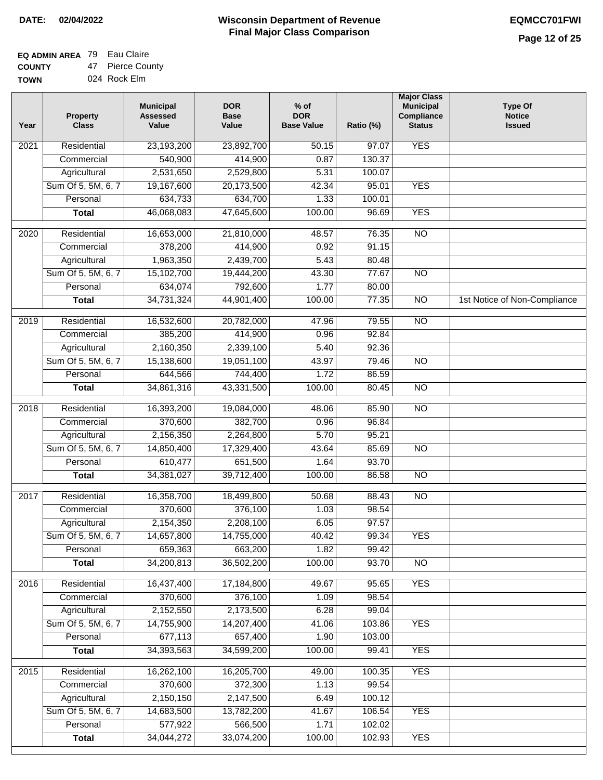#### **EQ ADMIN AREA** 79 Eau Claire **COUNTY** 47 Pierce County

**TOWN** 024 Rock Elm

| Year              | <b>Property</b><br><b>Class</b> | <b>Municipal</b><br><b>Assessed</b><br>Value | <b>DOR</b><br><b>Base</b><br>Value | $%$ of<br><b>DOR</b><br><b>Base Value</b> | Ratio (%) | <b>Major Class</b><br><b>Municipal</b><br>Compliance<br><b>Status</b> | <b>Type Of</b><br><b>Notice</b><br><b>Issued</b> |
|-------------------|---------------------------------|----------------------------------------------|------------------------------------|-------------------------------------------|-----------|-----------------------------------------------------------------------|--------------------------------------------------|
| $\overline{202}1$ | Residential                     | 23,193,200                                   | 23,892,700                         | 50.15                                     | 97.07     | <b>YES</b>                                                            |                                                  |
|                   | Commercial                      | 540,900                                      | 414,900                            | 0.87                                      | 130.37    |                                                                       |                                                  |
|                   | Agricultural                    | 2,531,650                                    | 2,529,800                          | 5.31                                      | 100.07    |                                                                       |                                                  |
|                   | Sum Of 5, 5M, 6, 7              | 19,167,600                                   | 20,173,500                         | 42.34                                     | 95.01     | <b>YES</b>                                                            |                                                  |
|                   | Personal                        | 634,733                                      | 634,700                            | 1.33                                      | 100.01    |                                                                       |                                                  |
|                   | <b>Total</b>                    | 46,068,083                                   | 47,645,600                         | 100.00                                    | 96.69     | <b>YES</b>                                                            |                                                  |
| 2020              | Residential                     | 16,653,000                                   | 21,810,000                         | 48.57                                     | 76.35     | $\overline{NO}$                                                       |                                                  |
|                   | Commercial                      | 378,200                                      | 414,900                            | 0.92                                      | 91.15     |                                                                       |                                                  |
|                   | Agricultural                    | 1,963,350                                    | 2,439,700                          | 5.43                                      | 80.48     |                                                                       |                                                  |
|                   | Sum Of 5, 5M, 6, 7              | 15,102,700                                   | 19,444,200                         | 43.30                                     | 77.67     | $\overline{NO}$                                                       |                                                  |
|                   | Personal                        | 634,074                                      | 792,600                            | 1.77                                      | 80.00     |                                                                       |                                                  |
|                   | <b>Total</b>                    | 34,731,324                                   | 44,901,400                         | 100.00                                    | 77.35     | $\overline{NO}$                                                       | 1st Notice of Non-Compliance                     |
| 2019              | Residential                     | 16,532,600                                   | 20,782,000                         | 47.96                                     | 79.55     | $\overline{NO}$                                                       |                                                  |
|                   | Commercial                      | 385,200                                      | 414,900                            | 0.96                                      | 92.84     |                                                                       |                                                  |
|                   | Agricultural                    | 2,160,350                                    | 2,339,100                          | 5.40                                      | 92.36     |                                                                       |                                                  |
|                   | Sum Of 5, 5M, 6, 7              | 15,138,600                                   | 19,051,100                         | 43.97                                     | 79.46     | N <sub>O</sub>                                                        |                                                  |
|                   | Personal                        | 644,566                                      | 744,400                            | 1.72                                      | 86.59     |                                                                       |                                                  |
|                   | <b>Total</b>                    | 34,861,316                                   | 43,331,500                         | 100.00                                    | 80.45     | N <sub>O</sub>                                                        |                                                  |
| 2018              | Residential                     | 16,393,200                                   | 19,084,000                         | 48.06                                     | 85.90     | N <sub>O</sub>                                                        |                                                  |
|                   | Commercial                      | 370,600                                      | 382,700                            | 0.96                                      | 96.84     |                                                                       |                                                  |
|                   | Agricultural                    | 2,156,350                                    | 2,264,800                          | 5.70                                      | 95.21     |                                                                       |                                                  |
|                   | Sum Of 5, 5M, 6, 7              | 14,850,400                                   | 17,329,400                         | 43.64                                     | 85.69     | N <sub>O</sub>                                                        |                                                  |
|                   | Personal                        | 610,477                                      | 651,500                            | 1.64                                      | 93.70     |                                                                       |                                                  |
|                   | <b>Total</b>                    | 34, 381, 027                                 | 39,712,400                         | 100.00                                    | 86.58     | <b>NO</b>                                                             |                                                  |
| 2017              | Residential                     | 16,358,700                                   | 18,499,800                         | 50.68                                     | 88.43     | $\overline{NO}$                                                       |                                                  |
|                   | Commercial                      | 370,600                                      | 376,100                            | 1.03                                      | 98.54     |                                                                       |                                                  |
|                   | Agricultural                    | 2,154,350                                    | 2,208,100                          | 6.05                                      | 97.57     |                                                                       |                                                  |
|                   | Sum Of 5, 5M, 6, 7              | 14,657,800                                   | 14,755,000                         | 40.42                                     | 99.34     | <b>YES</b>                                                            |                                                  |
|                   | Personal                        | 659,363                                      | 663,200                            | 1.82                                      | 99.42     |                                                                       |                                                  |
|                   | <b>Total</b>                    | 34,200,813                                   | 36,502,200                         | 100.00                                    | 93.70     | <b>NO</b>                                                             |                                                  |
| 2016              | Residential                     | 16,437,400                                   | 17,184,800                         | 49.67                                     | 95.65     | <b>YES</b>                                                            |                                                  |
|                   | Commercial                      | 370,600                                      | 376,100                            | 1.09                                      | 98.54     |                                                                       |                                                  |
|                   | Agricultural                    | 2,152,550                                    | 2,173,500                          | 6.28                                      | 99.04     |                                                                       |                                                  |
|                   | Sum Of 5, 5M, 6, 7              | 14,755,900                                   | 14,207,400                         | 41.06                                     | 103.86    | <b>YES</b>                                                            |                                                  |
|                   | Personal                        | 677,113                                      | 657,400                            | 1.90                                      | 103.00    |                                                                       |                                                  |
|                   | <b>Total</b>                    | 34,393,563                                   | 34,599,200                         | 100.00                                    | 99.41     | <b>YES</b>                                                            |                                                  |
| 2015              | Residential                     | 16,262,100                                   | 16,205,700                         | 49.00                                     | 100.35    | <b>YES</b>                                                            |                                                  |
|                   | Commercial                      | 370,600                                      | 372,300                            | 1.13                                      | 99.54     |                                                                       |                                                  |
|                   | Agricultural                    | 2,150,150                                    | 2,147,500                          | 6.49                                      | 100.12    |                                                                       |                                                  |
|                   | Sum Of 5, 5M, 6, 7              | 14,683,500                                   | 13,782,200                         | 41.67                                     | 106.54    | <b>YES</b>                                                            |                                                  |
|                   | Personal                        | 577,922                                      | 566,500                            | 1.71                                      | 102.02    |                                                                       |                                                  |
|                   | <b>Total</b>                    | 34,044,272                                   | 33,074,200                         | 100.00                                    | 102.93    | <b>YES</b>                                                            |                                                  |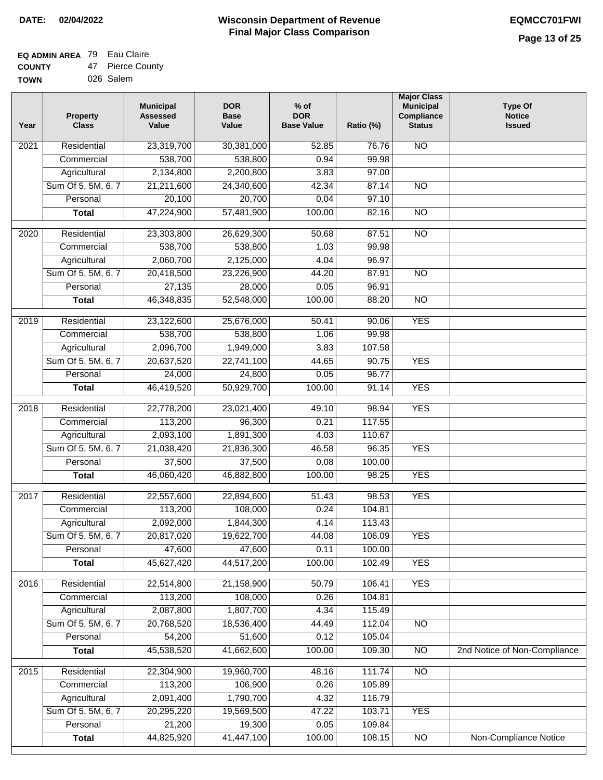#### **EQ ADMIN AREA** 79 Eau Claire **COUNTY** 47 Pierce County

| <b>UUUNII</b> | — .<br>טטט טאויז |
|---------------|------------------|
| <b>TOWN</b>   | 026 Salem        |

| Year             | <b>Property</b><br><b>Class</b> | <b>Municipal</b><br><b>Assessed</b><br>Value | <b>DOR</b><br><b>Base</b><br>Value | $%$ of<br><b>DOR</b><br><b>Base Value</b> | Ratio (%) | <b>Major Class</b><br><b>Municipal</b><br>Compliance<br><b>Status</b> | <b>Type Of</b><br><b>Notice</b><br><b>Issued</b> |
|------------------|---------------------------------|----------------------------------------------|------------------------------------|-------------------------------------------|-----------|-----------------------------------------------------------------------|--------------------------------------------------|
| 2021             | Residential                     | 23,319,700                                   | 30,381,000                         | 52.85                                     | 76.76     | N <sub>O</sub>                                                        |                                                  |
|                  | Commercial                      | 538,700                                      | 538,800                            | 0.94                                      | 99.98     |                                                                       |                                                  |
|                  | Agricultural                    | 2,134,800                                    | 2,200,800                          | 3.83                                      | 97.00     |                                                                       |                                                  |
|                  | Sum Of 5, 5M, 6, 7              | 21,211,600                                   | 24,340,600                         | 42.34                                     | 87.14     | $\overline{NO}$                                                       |                                                  |
|                  | Personal                        | 20,100                                       | 20,700                             | 0.04                                      | 97.10     |                                                                       |                                                  |
|                  | <b>Total</b>                    | 47,224,900                                   | 57,481,900                         | 100.00                                    | 82.16     | $\overline{NO}$                                                       |                                                  |
| 2020             | Residential                     | 23,303,800                                   | 26,629,300                         | 50.68                                     | 87.51     | $\overline{NO}$                                                       |                                                  |
|                  | Commercial                      | 538,700                                      | 538,800                            | 1.03                                      | 99.98     |                                                                       |                                                  |
|                  | Agricultural                    | 2,060,700                                    | 2,125,000                          | 4.04                                      | 96.97     |                                                                       |                                                  |
|                  | Sum Of 5, 5M, 6, 7              | 20,418,500                                   | 23,226,900                         | 44.20                                     | 87.91     | $\overline{NO}$                                                       |                                                  |
|                  | Personal                        | 27,135                                       | 28,000                             | 0.05                                      | 96.91     |                                                                       |                                                  |
|                  | <b>Total</b>                    | 46,348,835                                   | 52,548,000                         | 100.00                                    | 88.20     | $\overline{NO}$                                                       |                                                  |
|                  |                                 |                                              |                                    |                                           |           |                                                                       |                                                  |
| $\frac{1}{2019}$ | Residential                     | 23,122,600                                   | 25,676,000                         | 50.41                                     | 90.06     | <b>YES</b>                                                            |                                                  |
|                  | Commercial                      | 538,700                                      | 538,800                            | 1.06                                      | 99.98     |                                                                       |                                                  |
|                  | Agricultural                    | 2,096,700                                    | 1,949,000                          | 3.83                                      | 107.58    |                                                                       |                                                  |
|                  | Sum Of 5, 5M, 6, 7              | 20,637,520                                   | 22,741,100                         | 44.65                                     | 90.75     | <b>YES</b>                                                            |                                                  |
|                  | Personal                        | 24,000                                       | 24,800                             | 0.05                                      | 96.77     |                                                                       |                                                  |
|                  | <b>Total</b>                    | 46,419,520                                   | 50,929,700                         | 100.00                                    | 91.14     | <b>YES</b>                                                            |                                                  |
| 2018             | Residential                     | 22,778,200                                   | 23,021,400                         | 49.10                                     | 98.94     | <b>YES</b>                                                            |                                                  |
|                  | Commercial                      | 113,200                                      | 96,300                             | 0.21                                      | 117.55    |                                                                       |                                                  |
|                  | Agricultural                    | 2,093,100                                    | 1,891,300                          | 4.03                                      | 110.67    |                                                                       |                                                  |
|                  | Sum Of 5, 5M, 6, 7              | 21,038,420                                   | 21,836,300                         | 46.58                                     | 96.35     | <b>YES</b>                                                            |                                                  |
|                  | Personal                        | 37,500                                       | 37,500                             | 0.08                                      | 100.00    |                                                                       |                                                  |
|                  | <b>Total</b>                    | 46,060,420                                   | 46,882,800                         | 100.00                                    | 98.25     | <b>YES</b>                                                            |                                                  |
| 2017             | Residential                     | 22,557,600                                   | 22,894,600                         | 51.43                                     | 98.53     | <b>YES</b>                                                            |                                                  |
|                  | Commercial                      | 113,200                                      | 108,000                            | 0.24                                      | 104.81    |                                                                       |                                                  |
|                  | Agricultural                    | 2,092,000                                    | 1,844,300                          | 4.14                                      | 113.43    |                                                                       |                                                  |
|                  | Sum Of 5, 5M, 6, 7              | 20,817,020                                   | 19,622,700                         | 44.08                                     | 106.09    | YES                                                                   |                                                  |
|                  | Personal                        | 47,600                                       | 47,600                             | 0.11                                      | 100.00    |                                                                       |                                                  |
|                  | <b>Total</b>                    | 45,627,420                                   | 44,517,200                         | 100.00                                    | 102.49    | <b>YES</b>                                                            |                                                  |
| 2016             | Residential                     | 22,514,800                                   | 21,158,900                         | 50.79                                     | 106.41    | <b>YES</b>                                                            |                                                  |
|                  | Commercial                      | 113,200                                      | 108,000                            | 0.26                                      | 104.81    |                                                                       |                                                  |
|                  | Agricultural                    | 2,087,800                                    | 1,807,700                          | 4.34                                      | 115.49    |                                                                       |                                                  |
|                  | Sum Of 5, 5M, 6, 7              | 20,768,520                                   | 18,536,400                         | 44.49                                     | 112.04    | $\overline{NO}$                                                       |                                                  |
|                  | Personal                        | 54,200                                       | 51,600                             | 0.12                                      | 105.04    |                                                                       |                                                  |
|                  | <b>Total</b>                    | 45,538,520                                   | 41,662,600                         | 100.00                                    | 109.30    | $\overline{NO}$                                                       | 2nd Notice of Non-Compliance                     |
| 2015             | Residential                     | 22,304,900                                   | 19,960,700                         | 48.16                                     | 111.74    | N <sub>O</sub>                                                        |                                                  |
|                  | Commercial                      | 113,200                                      | 106,900                            | 0.26                                      | 105.89    |                                                                       |                                                  |
|                  | Agricultural                    | 2,091,400                                    | 1,790,700                          | 4.32                                      | 116.79    |                                                                       |                                                  |
|                  | Sum Of 5, 5M, 6, 7              | 20,295,220                                   | 19,569,500                         | 47.22                                     | 103.71    | <b>YES</b>                                                            |                                                  |
|                  | Personal                        | 21,200                                       | 19,300                             | 0.05                                      | 109.84    |                                                                       |                                                  |
|                  | <b>Total</b>                    | 44,825,920                                   | 41,447,100                         | 100.00                                    | 108.15    | $\overline{NO}$                                                       | <b>Non-Compliance Notice</b>                     |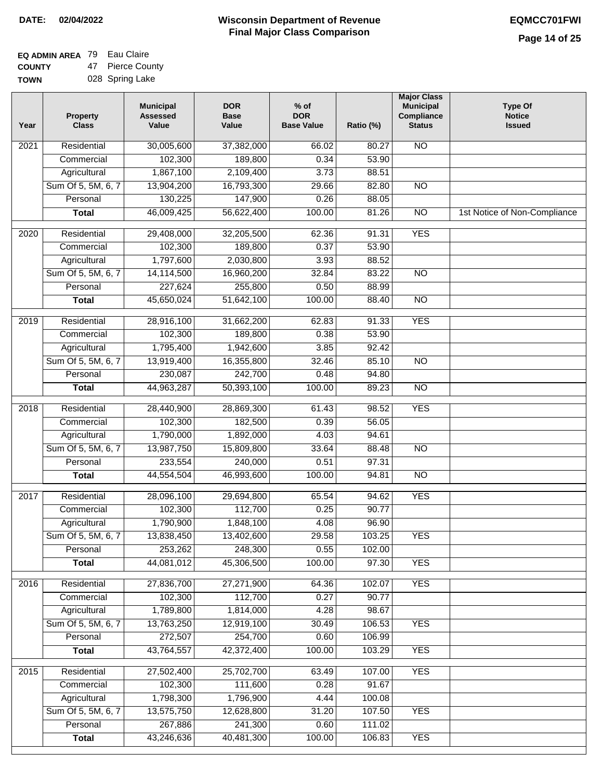| EQ ADMIN AREA 79 Eau Claire |                  |
|-----------------------------|------------------|
| <b>COUNTY</b>               | 47 Pierce County |

**TOWN** 028 Spring Lake

| Residential<br>30,005,600<br><b>NO</b><br>$\overline{202}1$<br>37,382,000<br>66.02<br>80.27<br>102,300<br>189,800<br>0.34<br>53.90<br>Commercial<br>1,867,100<br>Agricultural<br>2,109,400<br>3.73<br>88.51<br>Sum Of 5, 5M, 6, 7<br>13,904,200<br>16,793,300<br>29.66<br>82.80<br>$\overline{NO}$<br>130,225<br>147,900<br>0.26<br>88.05<br>Personal<br>46,009,425<br>100.00<br>$\overline{NO}$<br><b>Total</b><br>56,622,400<br>81.26<br>1st Notice of Non-Compliance<br><b>YES</b><br>$\overline{2020}$<br>Residential<br>29,408,000<br>32,205,500<br>62.36<br>91.31<br>102,300<br>Commercial<br>189,800<br>0.37<br>53.90<br>1,797,600<br>2,030,800<br>3.93<br>88.52<br>Agricultural<br>Sum Of 5, 5M, 6, 7<br>14,114,500<br>16,960,200<br>32.84<br>83.22<br>$\overline{NO}$ |  |
|--------------------------------------------------------------------------------------------------------------------------------------------------------------------------------------------------------------------------------------------------------------------------------------------------------------------------------------------------------------------------------------------------------------------------------------------------------------------------------------------------------------------------------------------------------------------------------------------------------------------------------------------------------------------------------------------------------------------------------------------------------------------------------|--|
|                                                                                                                                                                                                                                                                                                                                                                                                                                                                                                                                                                                                                                                                                                                                                                                |  |
|                                                                                                                                                                                                                                                                                                                                                                                                                                                                                                                                                                                                                                                                                                                                                                                |  |
|                                                                                                                                                                                                                                                                                                                                                                                                                                                                                                                                                                                                                                                                                                                                                                                |  |
|                                                                                                                                                                                                                                                                                                                                                                                                                                                                                                                                                                                                                                                                                                                                                                                |  |
|                                                                                                                                                                                                                                                                                                                                                                                                                                                                                                                                                                                                                                                                                                                                                                                |  |
|                                                                                                                                                                                                                                                                                                                                                                                                                                                                                                                                                                                                                                                                                                                                                                                |  |
|                                                                                                                                                                                                                                                                                                                                                                                                                                                                                                                                                                                                                                                                                                                                                                                |  |
|                                                                                                                                                                                                                                                                                                                                                                                                                                                                                                                                                                                                                                                                                                                                                                                |  |
|                                                                                                                                                                                                                                                                                                                                                                                                                                                                                                                                                                                                                                                                                                                                                                                |  |
|                                                                                                                                                                                                                                                                                                                                                                                                                                                                                                                                                                                                                                                                                                                                                                                |  |
| 227,624<br>Personal<br>255,800<br>0.50<br>88.99                                                                                                                                                                                                                                                                                                                                                                                                                                                                                                                                                                                                                                                                                                                                |  |
| 45,650,024<br>51,642,100<br>100.00<br>88.40<br>$\overline{NO}$<br><b>Total</b>                                                                                                                                                                                                                                                                                                                                                                                                                                                                                                                                                                                                                                                                                                 |  |
| <b>YES</b><br>Residential<br>28,916,100<br>31,662,200<br>62.83<br>91.33<br>2019                                                                                                                                                                                                                                                                                                                                                                                                                                                                                                                                                                                                                                                                                                |  |
| 102,300<br>0.38<br>53.90<br>Commercial<br>189,800                                                                                                                                                                                                                                                                                                                                                                                                                                                                                                                                                                                                                                                                                                                              |  |
| 1,795,400<br>92.42<br>1,942,600<br>3.85<br>Agricultural                                                                                                                                                                                                                                                                                                                                                                                                                                                                                                                                                                                                                                                                                                                        |  |
| Sum Of 5, 5M, 6, 7<br>13,919,400<br>16,355,800<br>32.46<br>85.10<br>$\overline{NO}$                                                                                                                                                                                                                                                                                                                                                                                                                                                                                                                                                                                                                                                                                            |  |
| 230,087<br>242,700<br>0.48<br>94.80<br>Personal                                                                                                                                                                                                                                                                                                                                                                                                                                                                                                                                                                                                                                                                                                                                |  |
| 100.00<br>89.23<br>$\overline{NO}$<br><b>Total</b><br>44,963,287<br>50,393,100                                                                                                                                                                                                                                                                                                                                                                                                                                                                                                                                                                                                                                                                                                 |  |
| Residential<br>28,440,900<br>28,869,300<br>98.52<br><b>YES</b><br>2018<br>61.43                                                                                                                                                                                                                                                                                                                                                                                                                                                                                                                                                                                                                                                                                                |  |
| 102,300<br>Commercial<br>182,500<br>0.39<br>56.05                                                                                                                                                                                                                                                                                                                                                                                                                                                                                                                                                                                                                                                                                                                              |  |
| 1,790,000<br>1,892,000<br>Agricultural<br>4.03<br>94.61                                                                                                                                                                                                                                                                                                                                                                                                                                                                                                                                                                                                                                                                                                                        |  |
| Sum Of 5, 5M, 6, 7<br>13,987,750<br>15,809,800<br>33.64<br>88.48<br>$\overline{10}$                                                                                                                                                                                                                                                                                                                                                                                                                                                                                                                                                                                                                                                                                            |  |
| Personal<br>233,554<br>240,000<br>0.51<br>97.31                                                                                                                                                                                                                                                                                                                                                                                                                                                                                                                                                                                                                                                                                                                                |  |
| 44,554,504<br>46,993,600<br>100.00<br><b>NO</b><br><b>Total</b><br>94.81                                                                                                                                                                                                                                                                                                                                                                                                                                                                                                                                                                                                                                                                                                       |  |
| Residential<br>28,096,100<br>29,694,800<br>94.62<br><b>YES</b><br>2017<br>65.54                                                                                                                                                                                                                                                                                                                                                                                                                                                                                                                                                                                                                                                                                                |  |
| Commercial<br>102,300<br>112,700<br>0.25<br>90.77                                                                                                                                                                                                                                                                                                                                                                                                                                                                                                                                                                                                                                                                                                                              |  |
| 1,790,900<br>1,848,100<br>4.08<br>96.90<br>Agricultural                                                                                                                                                                                                                                                                                                                                                                                                                                                                                                                                                                                                                                                                                                                        |  |
| 29.58<br>103.25<br>Sum Of 5, 5M, 6, 7<br>13,838,450<br>13,402,600<br><b>YES</b>                                                                                                                                                                                                                                                                                                                                                                                                                                                                                                                                                                                                                                                                                                |  |
| 253,262<br>Personal<br>248,300<br>0.55<br>102.00                                                                                                                                                                                                                                                                                                                                                                                                                                                                                                                                                                                                                                                                                                                               |  |
| 44,081,012<br>45,306,500<br>100.00<br>97.30<br><b>YES</b><br><b>Total</b>                                                                                                                                                                                                                                                                                                                                                                                                                                                                                                                                                                                                                                                                                                      |  |
| <b>YES</b><br>Residential<br>27,836,700<br>27,271,900<br>2016<br>64.36<br>102.07                                                                                                                                                                                                                                                                                                                                                                                                                                                                                                                                                                                                                                                                                               |  |
| 102,300<br>112,700<br>0.27<br>90.77<br>Commercial                                                                                                                                                                                                                                                                                                                                                                                                                                                                                                                                                                                                                                                                                                                              |  |
| 1,789,800<br>1,814,000<br>4.28<br>98.67<br>Agricultural                                                                                                                                                                                                                                                                                                                                                                                                                                                                                                                                                                                                                                                                                                                        |  |
| Sum Of 5, 5M, 6, 7<br><b>YES</b><br>13,763,250<br>12,919,100<br>30.49<br>106.53                                                                                                                                                                                                                                                                                                                                                                                                                                                                                                                                                                                                                                                                                                |  |
| 272,507<br>254,700<br>Personal<br>0.60<br>106.99                                                                                                                                                                                                                                                                                                                                                                                                                                                                                                                                                                                                                                                                                                                               |  |
| 43,764,557<br>42,372,400<br>100.00<br>103.29<br><b>YES</b><br><b>Total</b>                                                                                                                                                                                                                                                                                                                                                                                                                                                                                                                                                                                                                                                                                                     |  |
| Residential<br><b>YES</b><br>27,502,400<br>25,702,700<br>63.49<br>107.00<br>2015                                                                                                                                                                                                                                                                                                                                                                                                                                                                                                                                                                                                                                                                                               |  |
| 102,300<br>111,600<br>0.28<br>91.67<br>Commercial                                                                                                                                                                                                                                                                                                                                                                                                                                                                                                                                                                                                                                                                                                                              |  |
| 1,798,300<br>1,796,900<br>4.44<br>100.08<br>Agricultural                                                                                                                                                                                                                                                                                                                                                                                                                                                                                                                                                                                                                                                                                                                       |  |
| Sum Of 5, 5M, 6, 7<br>13,575,750<br>12,628,800<br>31.20<br>107.50<br><b>YES</b>                                                                                                                                                                                                                                                                                                                                                                                                                                                                                                                                                                                                                                                                                                |  |
| 267,886<br>241,300<br>Personal<br>0.60<br>111.02                                                                                                                                                                                                                                                                                                                                                                                                                                                                                                                                                                                                                                                                                                                               |  |
| 43,246,636<br>40,481,300<br>100.00<br><b>YES</b><br><b>Total</b><br>106.83                                                                                                                                                                                                                                                                                                                                                                                                                                                                                                                                                                                                                                                                                                     |  |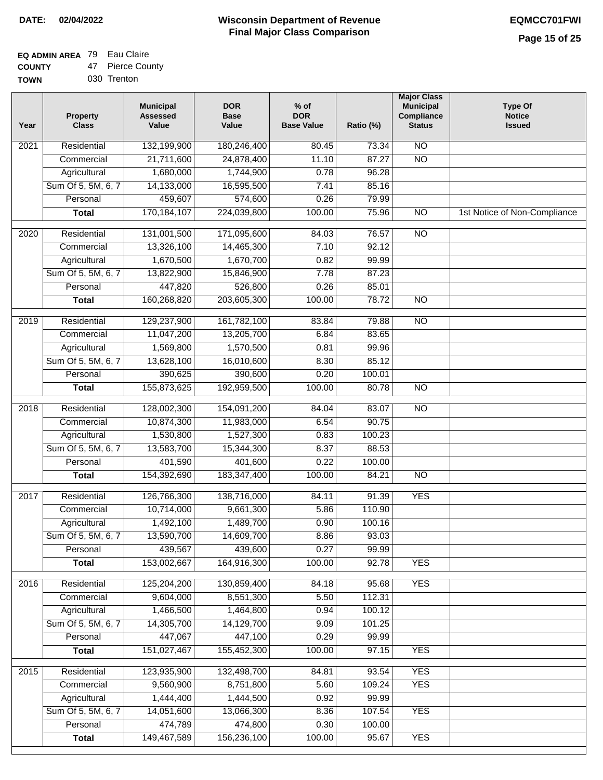## **EQ ADMIN AREA** 79 Eau Claire

**COUNTY TOWN** 47 Pierce County

|  | 030 Trenton |
|--|-------------|
|  |             |

| Year              | <b>Property</b><br><b>Class</b> | <b>Municipal</b><br><b>Assessed</b><br>Value | <b>DOR</b><br><b>Base</b><br>Value | $%$ of<br><b>DOR</b><br><b>Base Value</b> | Ratio (%) | <b>Major Class</b><br><b>Municipal</b><br>Compliance<br><b>Status</b> | <b>Type Of</b><br><b>Notice</b><br><b>Issued</b> |
|-------------------|---------------------------------|----------------------------------------------|------------------------------------|-------------------------------------------|-----------|-----------------------------------------------------------------------|--------------------------------------------------|
| $\overline{202}1$ | Residential                     | 132,199,900                                  | 180,246,400                        | 80.45                                     | 73.34     | N <sub>O</sub>                                                        |                                                  |
|                   | Commercial                      | 21,711,600                                   | 24,878,400                         | 11.10                                     | 87.27     | $\overline{NO}$                                                       |                                                  |
|                   | Agricultural                    | 1,680,000                                    | 1,744,900                          | 0.78                                      | 96.28     |                                                                       |                                                  |
|                   | Sum Of 5, 5M, 6, 7              | 14,133,000                                   | 16,595,500                         | 7.41                                      | 85.16     |                                                                       |                                                  |
|                   | Personal                        | 459,607                                      | 574,600                            | 0.26                                      | 79.99     |                                                                       |                                                  |
|                   | <b>Total</b>                    | 170,184,107                                  | 224,039,800                        | 100.00                                    | 75.96     | $\overline{NO}$                                                       | 1st Notice of Non-Compliance                     |
| $\overline{2020}$ | Residential                     | 131,001,500                                  | 171,095,600                        | 84.03                                     | 76.57     | $\overline{10}$                                                       |                                                  |
|                   | Commercial                      | 13,326,100                                   | 14,465,300                         | 7.10                                      | 92.12     |                                                                       |                                                  |
|                   | Agricultural                    | 1,670,500                                    | 1,670,700                          | 0.82                                      | 99.99     |                                                                       |                                                  |
|                   | Sum Of 5, 5M, 6, 7              | 13,822,900                                   | 15,846,900                         | 7.78                                      | 87.23     |                                                                       |                                                  |
|                   | Personal                        | 447,820                                      | 526,800                            | 0.26                                      | 85.01     |                                                                       |                                                  |
|                   | <b>Total</b>                    | 160,268,820                                  | 203,605,300                        | 100.00                                    | 78.72     | $\overline{NO}$                                                       |                                                  |
| 2019              | Residential                     | 129,237,900                                  | 161,782,100                        | 83.84                                     | 79.88     | $\overline{10}$                                                       |                                                  |
|                   | Commercial                      | 11,047,200                                   | 13,205,700                         | 6.84                                      | 83.65     |                                                                       |                                                  |
|                   | Agricultural                    | 1,569,800                                    | 1,570,500                          | 0.81                                      | 99.96     |                                                                       |                                                  |
|                   | Sum Of 5, 5M, 6, 7              | 13,628,100                                   | 16,010,600                         | 8.30                                      | 85.12     |                                                                       |                                                  |
|                   | Personal                        | 390,625                                      | 390,600                            | 0.20                                      | 100.01    |                                                                       |                                                  |
|                   | <b>Total</b>                    | 155,873,625                                  | 192,959,500                        | 100.00                                    | 80.78     | $\overline{NO}$                                                       |                                                  |
| 2018              | Residential                     | 128,002,300                                  | 154,091,200                        | 84.04                                     | 83.07     | $\overline{10}$                                                       |                                                  |
|                   | Commercial                      | 10,874,300                                   | 11,983,000                         | 6.54                                      | 90.75     |                                                                       |                                                  |
|                   | Agricultural                    | 1,530,800                                    | 1,527,300                          | 0.83                                      | 100.23    |                                                                       |                                                  |
|                   | Sum Of 5, 5M, 6, 7              | 13,583,700                                   | 15,344,300                         | 8.37                                      | 88.53     |                                                                       |                                                  |
|                   | Personal                        | 401,590                                      | 401,600                            | 0.22                                      | 100.00    |                                                                       |                                                  |
|                   | <b>Total</b>                    | 154,392,690                                  | 183, 347, 400                      | 100.00                                    | 84.21     | $\overline{10}$                                                       |                                                  |
|                   |                                 |                                              |                                    |                                           |           |                                                                       |                                                  |
| 2017              | Residential                     | 126,766,300                                  | 138,716,000                        | 84.11                                     | 91.39     | <b>YES</b>                                                            |                                                  |
|                   | Commercial                      | 10,714,000                                   | 9,661,300                          | 5.86                                      | 110.90    |                                                                       |                                                  |
|                   | Agricultural                    | 1,492,100                                    | 1,489,700                          | 0.90                                      | 100.16    |                                                                       |                                                  |
|                   | Sum Of 5, 5M, 6, 7              | 13,590,700                                   | 14,609,700                         | 8.86                                      | 93.03     |                                                                       |                                                  |
|                   | Personal                        | 439,567                                      | 439,600                            | 0.27                                      | 99.99     |                                                                       |                                                  |
|                   | <b>Total</b>                    | 153,002,667                                  | 164,916,300                        | 100.00                                    | 92.78     | <b>YES</b>                                                            |                                                  |
| 2016              | Residential                     | 125,204,200                                  | 130,859,400                        | 84.18                                     | 95.68     | <b>YES</b>                                                            |                                                  |
|                   | Commercial                      | 9,604,000                                    | 8,551,300                          | 5.50                                      | 112.31    |                                                                       |                                                  |
|                   | Agricultural                    | 1,466,500                                    | 1,464,800                          | 0.94                                      | 100.12    |                                                                       |                                                  |
|                   | Sum Of 5, 5M, 6, 7              | 14,305,700                                   | 14,129,700                         | 9.09                                      | 101.25    |                                                                       |                                                  |
|                   | Personal                        | 447,067                                      | 447,100                            | 0.29                                      | 99.99     |                                                                       |                                                  |
|                   | <b>Total</b>                    | 151,027,467                                  | 155,452,300                        | 100.00                                    | 97.15     | <b>YES</b>                                                            |                                                  |
| 2015              | Residential                     | 123,935,900                                  | 132,498,700                        | 84.81                                     | 93.54     | <b>YES</b>                                                            |                                                  |
|                   | Commercial                      | 9,560,900                                    | 8,751,800                          | 5.60                                      | 109.24    | <b>YES</b>                                                            |                                                  |
|                   | Agricultural                    | 1,444,400                                    | 1,444,500                          | 0.92                                      | 99.99     |                                                                       |                                                  |
|                   | Sum Of 5, 5M, 6, 7              | 14,051,600                                   | 13,066,300                         | 8.36                                      | 107.54    | <b>YES</b>                                                            |                                                  |
|                   | Personal                        | 474,789                                      | 474,800                            | 0.30                                      | 100.00    |                                                                       |                                                  |
|                   | <b>Total</b>                    | 149,467,589                                  | 156,236,100                        | 100.00                                    | 95.67     | <b>YES</b>                                                            |                                                  |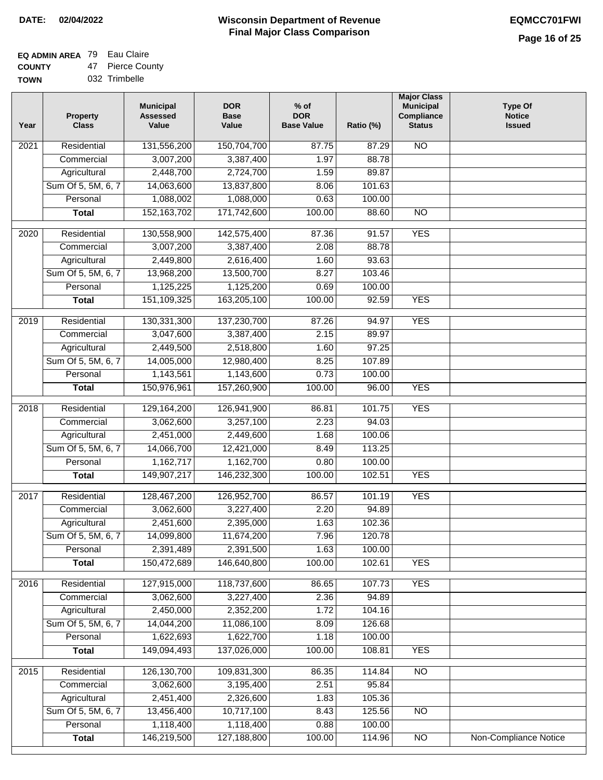# **EQ ADMIN AREA** 79 Eau Claire

**COUNTY TOWN** 47 Pierce County 032 Trimbelle

| <b>Property</b><br><b>Class</b> | <b>Municipal</b><br><b>Assessed</b><br>Value                                                                                                                                                                                                                                                                    | <b>DOR</b><br><b>Base</b><br>Value                                                                                                                                                                                                                                             | $%$ of<br><b>DOR</b><br><b>Base Value</b>                                                                                                                                                                                                                                      | Ratio (%)                                                                                                                                                   | <b>Major Class</b><br><b>Municipal</b><br>Compliance<br><b>Status</b>                                                                                                                           | <b>Type Of</b><br><b>Notice</b><br><b>Issued</b>                   |
|---------------------------------|-----------------------------------------------------------------------------------------------------------------------------------------------------------------------------------------------------------------------------------------------------------------------------------------------------------------|--------------------------------------------------------------------------------------------------------------------------------------------------------------------------------------------------------------------------------------------------------------------------------|--------------------------------------------------------------------------------------------------------------------------------------------------------------------------------------------------------------------------------------------------------------------------------|-------------------------------------------------------------------------------------------------------------------------------------------------------------|-------------------------------------------------------------------------------------------------------------------------------------------------------------------------------------------------|--------------------------------------------------------------------|
| Residential                     | 131,556,200                                                                                                                                                                                                                                                                                                     | 150,704,700                                                                                                                                                                                                                                                                    | 87.75                                                                                                                                                                                                                                                                          | 87.29                                                                                                                                                       | $\overline{NO}$                                                                                                                                                                                 |                                                                    |
| Commercial                      | 3,007,200                                                                                                                                                                                                                                                                                                       | 3,387,400                                                                                                                                                                                                                                                                      | 1.97                                                                                                                                                                                                                                                                           | 88.78                                                                                                                                                       |                                                                                                                                                                                                 |                                                                    |
| Agricultural                    | 2,448,700                                                                                                                                                                                                                                                                                                       | 2,724,700                                                                                                                                                                                                                                                                      | 1.59                                                                                                                                                                                                                                                                           | 89.87                                                                                                                                                       |                                                                                                                                                                                                 |                                                                    |
| Sum Of 5, 5M, 6, 7              | 14,063,600                                                                                                                                                                                                                                                                                                      | 13,837,800                                                                                                                                                                                                                                                                     | 8.06                                                                                                                                                                                                                                                                           | 101.63                                                                                                                                                      |                                                                                                                                                                                                 |                                                                    |
| Personal                        | 1,088,002                                                                                                                                                                                                                                                                                                       | 1,088,000                                                                                                                                                                                                                                                                      | 0.63                                                                                                                                                                                                                                                                           | 100.00                                                                                                                                                      |                                                                                                                                                                                                 |                                                                    |
| <b>Total</b>                    | 152, 163, 702                                                                                                                                                                                                                                                                                                   | 171,742,600                                                                                                                                                                                                                                                                    | 100.00                                                                                                                                                                                                                                                                         | 88.60                                                                                                                                                       | $\overline{NO}$                                                                                                                                                                                 |                                                                    |
| Residential                     | 130,558,900                                                                                                                                                                                                                                                                                                     | 142,575,400                                                                                                                                                                                                                                                                    | 87.36                                                                                                                                                                                                                                                                          | 91.57                                                                                                                                                       | <b>YES</b>                                                                                                                                                                                      |                                                                    |
| Commercial                      | 3,007,200                                                                                                                                                                                                                                                                                                       | 3,387,400                                                                                                                                                                                                                                                                      | 2.08                                                                                                                                                                                                                                                                           | 88.78                                                                                                                                                       |                                                                                                                                                                                                 |                                                                    |
| Agricultural                    | 2,449,800                                                                                                                                                                                                                                                                                                       | 2,616,400                                                                                                                                                                                                                                                                      | 1.60                                                                                                                                                                                                                                                                           | 93.63                                                                                                                                                       |                                                                                                                                                                                                 |                                                                    |
| Sum Of 5, 5M, 6, 7              | 13,968,200                                                                                                                                                                                                                                                                                                      | 13,500,700                                                                                                                                                                                                                                                                     | 8.27                                                                                                                                                                                                                                                                           | 103.46                                                                                                                                                      |                                                                                                                                                                                                 |                                                                    |
| Personal                        | 1,125,225                                                                                                                                                                                                                                                                                                       | 1,125,200                                                                                                                                                                                                                                                                      | 0.69                                                                                                                                                                                                                                                                           | 100.00                                                                                                                                                      |                                                                                                                                                                                                 |                                                                    |
| <b>Total</b>                    | 151,109,325                                                                                                                                                                                                                                                                                                     | 163,205,100                                                                                                                                                                                                                                                                    | 100.00                                                                                                                                                                                                                                                                         | 92.59                                                                                                                                                       | <b>YES</b>                                                                                                                                                                                      |                                                                    |
|                                 |                                                                                                                                                                                                                                                                                                                 |                                                                                                                                                                                                                                                                                |                                                                                                                                                                                                                                                                                |                                                                                                                                                             |                                                                                                                                                                                                 |                                                                    |
|                                 |                                                                                                                                                                                                                                                                                                                 |                                                                                                                                                                                                                                                                                |                                                                                                                                                                                                                                                                                |                                                                                                                                                             |                                                                                                                                                                                                 |                                                                    |
|                                 |                                                                                                                                                                                                                                                                                                                 |                                                                                                                                                                                                                                                                                |                                                                                                                                                                                                                                                                                |                                                                                                                                                             |                                                                                                                                                                                                 |                                                                    |
|                                 |                                                                                                                                                                                                                                                                                                                 |                                                                                                                                                                                                                                                                                |                                                                                                                                                                                                                                                                                |                                                                                                                                                             |                                                                                                                                                                                                 |                                                                    |
| Personal                        |                                                                                                                                                                                                                                                                                                                 |                                                                                                                                                                                                                                                                                |                                                                                                                                                                                                                                                                                |                                                                                                                                                             |                                                                                                                                                                                                 |                                                                    |
| <b>Total</b>                    | 150,976,961                                                                                                                                                                                                                                                                                                     | 157,260,900                                                                                                                                                                                                                                                                    | 100.00                                                                                                                                                                                                                                                                         | 96.00                                                                                                                                                       | <b>YES</b>                                                                                                                                                                                      |                                                                    |
|                                 |                                                                                                                                                                                                                                                                                                                 |                                                                                                                                                                                                                                                                                |                                                                                                                                                                                                                                                                                |                                                                                                                                                             |                                                                                                                                                                                                 |                                                                    |
|                                 |                                                                                                                                                                                                                                                                                                                 |                                                                                                                                                                                                                                                                                |                                                                                                                                                                                                                                                                                |                                                                                                                                                             |                                                                                                                                                                                                 |                                                                    |
|                                 |                                                                                                                                                                                                                                                                                                                 |                                                                                                                                                                                                                                                                                |                                                                                                                                                                                                                                                                                |                                                                                                                                                             |                                                                                                                                                                                                 |                                                                    |
|                                 |                                                                                                                                                                                                                                                                                                                 |                                                                                                                                                                                                                                                                                |                                                                                                                                                                                                                                                                                |                                                                                                                                                             |                                                                                                                                                                                                 |                                                                    |
|                                 |                                                                                                                                                                                                                                                                                                                 |                                                                                                                                                                                                                                                                                |                                                                                                                                                                                                                                                                                |                                                                                                                                                             |                                                                                                                                                                                                 |                                                                    |
| <b>Total</b>                    | 149,907,217                                                                                                                                                                                                                                                                                                     | 146,232,300                                                                                                                                                                                                                                                                    | 100.00                                                                                                                                                                                                                                                                         | 102.51                                                                                                                                                      | <b>YES</b>                                                                                                                                                                                      |                                                                    |
|                                 |                                                                                                                                                                                                                                                                                                                 |                                                                                                                                                                                                                                                                                |                                                                                                                                                                                                                                                                                |                                                                                                                                                             |                                                                                                                                                                                                 |                                                                    |
|                                 |                                                                                                                                                                                                                                                                                                                 |                                                                                                                                                                                                                                                                                |                                                                                                                                                                                                                                                                                |                                                                                                                                                             |                                                                                                                                                                                                 |                                                                    |
|                                 |                                                                                                                                                                                                                                                                                                                 |                                                                                                                                                                                                                                                                                |                                                                                                                                                                                                                                                                                |                                                                                                                                                             |                                                                                                                                                                                                 |                                                                    |
|                                 |                                                                                                                                                                                                                                                                                                                 |                                                                                                                                                                                                                                                                                |                                                                                                                                                                                                                                                                                |                                                                                                                                                             |                                                                                                                                                                                                 |                                                                    |
|                                 |                                                                                                                                                                                                                                                                                                                 |                                                                                                                                                                                                                                                                                |                                                                                                                                                                                                                                                                                |                                                                                                                                                             |                                                                                                                                                                                                 |                                                                    |
|                                 |                                                                                                                                                                                                                                                                                                                 |                                                                                                                                                                                                                                                                                |                                                                                                                                                                                                                                                                                |                                                                                                                                                             |                                                                                                                                                                                                 |                                                                    |
|                                 |                                                                                                                                                                                                                                                                                                                 |                                                                                                                                                                                                                                                                                |                                                                                                                                                                                                                                                                                |                                                                                                                                                             |                                                                                                                                                                                                 |                                                                    |
| Residential                     | 127,915,000                                                                                                                                                                                                                                                                                                     | 118,737,600                                                                                                                                                                                                                                                                    | 86.65                                                                                                                                                                                                                                                                          | 107.73                                                                                                                                                      | <b>YES</b>                                                                                                                                                                                      |                                                                    |
| Commercial                      | 3,062,600                                                                                                                                                                                                                                                                                                       | 3,227,400                                                                                                                                                                                                                                                                      | 2.36                                                                                                                                                                                                                                                                           | 94.89                                                                                                                                                       |                                                                                                                                                                                                 |                                                                    |
|                                 |                                                                                                                                                                                                                                                                                                                 |                                                                                                                                                                                                                                                                                |                                                                                                                                                                                                                                                                                |                                                                                                                                                             |                                                                                                                                                                                                 |                                                                    |
|                                 |                                                                                                                                                                                                                                                                                                                 |                                                                                                                                                                                                                                                                                |                                                                                                                                                                                                                                                                                |                                                                                                                                                             |                                                                                                                                                                                                 |                                                                    |
|                                 |                                                                                                                                                                                                                                                                                                                 |                                                                                                                                                                                                                                                                                | 1.18                                                                                                                                                                                                                                                                           |                                                                                                                                                             |                                                                                                                                                                                                 |                                                                    |
|                                 |                                                                                                                                                                                                                                                                                                                 |                                                                                                                                                                                                                                                                                |                                                                                                                                                                                                                                                                                |                                                                                                                                                             |                                                                                                                                                                                                 |                                                                    |
| Residential                     | 126, 130, 700                                                                                                                                                                                                                                                                                                   | 109,831,300                                                                                                                                                                                                                                                                    | 86.35                                                                                                                                                                                                                                                                          | 114.84                                                                                                                                                      | N <sub>O</sub>                                                                                                                                                                                  |                                                                    |
| Commercial                      | 3,062,600                                                                                                                                                                                                                                                                                                       | 3,195,400                                                                                                                                                                                                                                                                      | 2.51                                                                                                                                                                                                                                                                           | 95.84                                                                                                                                                       |                                                                                                                                                                                                 |                                                                    |
| Agricultural                    | 2,451,400                                                                                                                                                                                                                                                                                                       | 2,326,600                                                                                                                                                                                                                                                                      | 1.83                                                                                                                                                                                                                                                                           | 105.36                                                                                                                                                      |                                                                                                                                                                                                 |                                                                    |
| Sum Of 5, 5M, 6, 7              | 13,456,400                                                                                                                                                                                                                                                                                                      | 10,717,100                                                                                                                                                                                                                                                                     | 8.43                                                                                                                                                                                                                                                                           | 125.56                                                                                                                                                      | $\overline{NO}$                                                                                                                                                                                 |                                                                    |
| Personal                        | 1,118,400                                                                                                                                                                                                                                                                                                       | 1,118,400                                                                                                                                                                                                                                                                      | 0.88                                                                                                                                                                                                                                                                           | 100.00                                                                                                                                                      |                                                                                                                                                                                                 |                                                                    |
| <b>Total</b>                    | 146,219,500                                                                                                                                                                                                                                                                                                     | 127,188,800                                                                                                                                                                                                                                                                    | 100.00                                                                                                                                                                                                                                                                         | 114.96                                                                                                                                                      | NO                                                                                                                                                                                              | Non-Compliance Notice                                              |
|                                 | Residential<br>Commercial<br>Agricultural<br>Sum Of 5, 5M, 6, 7<br>Residential<br>Commercial<br>Agricultural<br>Sum Of 5, 5M, 6, 7<br>Personal<br>Residential<br>Commercial<br>Agricultural<br>Sum Of 5, 5M, 6, 7<br>Personal<br><b>Total</b><br>Agricultural<br>Sum Of 5, 5M, 6, 7<br>Personal<br><b>Total</b> | 130,331,300<br>3,047,600<br>2,449,500<br>14,005,000<br>1,143,561<br>129,164,200<br>3,062,600<br>2,451,000<br>14,066,700<br>1,162,717<br>128,467,200<br>3,062,600<br>2,451,600<br>14,099,800<br>2,391,489<br>150,472,689<br>2,450,000<br>14,044,200<br>1,622,693<br>149,094,493 | 137,230,700<br>3,387,400<br>2,518,800<br>12,980,400<br>1,143,600<br>126,941,900<br>3,257,100<br>2,449,600<br>12,421,000<br>1,162,700<br>126,952,700<br>3,227,400<br>2,395,000<br>11,674,200<br>2,391,500<br>146,640,800<br>2,352,200<br>11,086,100<br>1,622,700<br>137,026,000 | 87.26<br>2.15<br>1.60<br>8.25<br>0.73<br>86.81<br>2.23<br>1.68<br>8.49<br>0.80<br>86.57<br>2.20<br>1.63<br>7.96<br>1.63<br>100.00<br>1.72<br>8.09<br>100.00 | 94.97<br>89.97<br>97.25<br>107.89<br>100.00<br>101.75<br>94.03<br>100.06<br>113.25<br>100.00<br>101.19<br>94.89<br>102.36<br>120.78<br>100.00<br>102.61<br>104.16<br>126.68<br>100.00<br>108.81 | <b>YES</b><br><b>YES</b><br><b>YES</b><br><b>YES</b><br><b>YES</b> |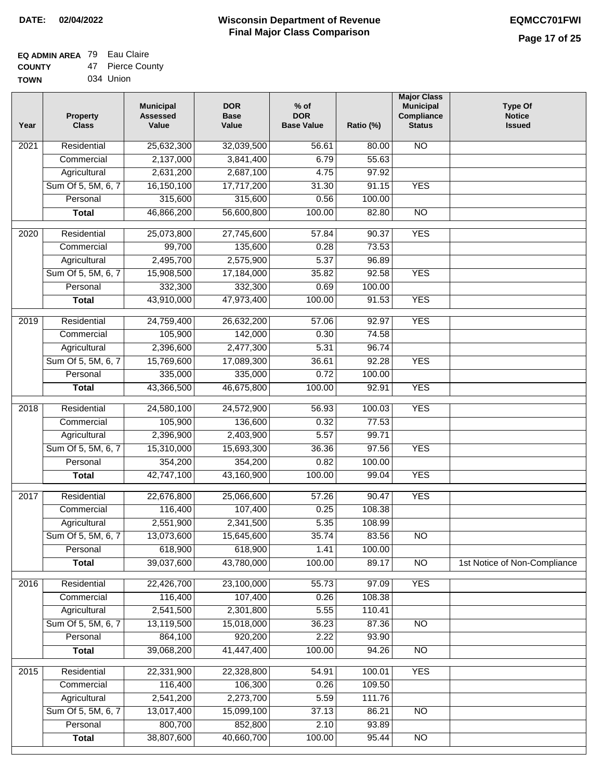### **Wisconsin Department of Revenue Final Major Class Comparison DATE: 02/04/2022 EQMCC701FWI**

#### **EQ ADMIN AREA** 79 Eau Claire **COUNTY** 47 Pierce County

| <b>COUNTY</b> | 41 | <b>FIBICE COU</b> |
|---------------|----|-------------------|
| <b>TOWN</b>   |    | 034 Union         |

| Year              | <b>Property</b><br><b>Class</b> | <b>Municipal</b><br><b>Assessed</b><br>Value | <b>DOR</b><br><b>Base</b><br>Value | $%$ of<br><b>DOR</b><br><b>Base Value</b> | Ratio (%) | <b>Major Class</b><br><b>Municipal</b><br>Compliance<br><b>Status</b> | <b>Type Of</b><br><b>Notice</b><br><b>Issued</b> |
|-------------------|---------------------------------|----------------------------------------------|------------------------------------|-------------------------------------------|-----------|-----------------------------------------------------------------------|--------------------------------------------------|
| 2021              | Residential                     | 25,632,300                                   | 32,039,500                         | 56.61                                     | 80.00     | <b>NO</b>                                                             |                                                  |
|                   | Commercial                      | 2,137,000                                    | 3,841,400                          | 6.79                                      | 55.63     |                                                                       |                                                  |
|                   | Agricultural                    | 2,631,200                                    | 2,687,100                          | 4.75                                      | 97.92     |                                                                       |                                                  |
|                   | Sum Of 5, 5M, 6, 7              | 16,150,100                                   | 17,717,200                         | 31.30                                     | 91.15     | <b>YES</b>                                                            |                                                  |
|                   | Personal                        | 315,600                                      | 315,600                            | 0.56                                      | 100.00    |                                                                       |                                                  |
|                   | <b>Total</b>                    | 46,866,200                                   | 56,600,800                         | 100.00                                    | 82.80     | $\overline{NO}$                                                       |                                                  |
| $\overline{2020}$ | Residential                     | 25,073,800                                   | 27,745,600                         | 57.84                                     | 90.37     | <b>YES</b>                                                            |                                                  |
|                   | Commercial                      | 99,700                                       | 135,600                            | 0.28                                      | 73.53     |                                                                       |                                                  |
|                   | Agricultural                    | 2,495,700                                    | 2,575,900                          | 5.37                                      | 96.89     |                                                                       |                                                  |
|                   | Sum Of 5, 5M, 6, 7              | 15,908,500                                   | 17,184,000                         | 35.82                                     | 92.58     | <b>YES</b>                                                            |                                                  |
|                   | Personal                        | 332,300                                      | 332,300                            | 0.69                                      | 100.00    |                                                                       |                                                  |
|                   | <b>Total</b>                    | 43,910,000                                   | 47,973,400                         | 100.00                                    | 91.53     | <b>YES</b>                                                            |                                                  |
|                   |                                 |                                              |                                    |                                           |           |                                                                       |                                                  |
| 2019              | Residential                     | 24,759,400                                   | 26,632,200                         | 57.06                                     | 92.97     | <b>YES</b>                                                            |                                                  |
|                   | Commercial                      | 105,900                                      | 142,000                            | 0.30                                      | 74.58     |                                                                       |                                                  |
|                   | Agricultural                    | 2,396,600                                    | 2,477,300                          | 5.31                                      | 96.74     |                                                                       |                                                  |
|                   | Sum Of 5, 5M, 6, 7              | 15,769,600                                   | 17,089,300                         | 36.61                                     | 92.28     | <b>YES</b>                                                            |                                                  |
|                   | Personal                        | 335,000                                      | 335,000                            | 0.72                                      | 100.00    |                                                                       |                                                  |
|                   | <b>Total</b>                    | 43,366,500                                   | 46,675,800                         | 100.00                                    | 92.91     | <b>YES</b>                                                            |                                                  |
| 2018              | Residential                     | 24,580,100                                   | 24,572,900                         | 56.93                                     | 100.03    | <b>YES</b>                                                            |                                                  |
|                   | Commercial                      | 105,900                                      | 136,600                            | 0.32                                      | 77.53     |                                                                       |                                                  |
|                   | Agricultural                    | 2,396,900                                    | 2,403,900                          | 5.57                                      | 99.71     |                                                                       |                                                  |
|                   | Sum Of 5, 5M, 6, 7              | 15,310,000                                   | 15,693,300                         | 36.36                                     | 97.56     | <b>YES</b>                                                            |                                                  |
|                   | Personal                        | 354,200                                      | 354,200                            | 0.82                                      | 100.00    |                                                                       |                                                  |
|                   | <b>Total</b>                    | 42,747,100                                   | 43,160,900                         | 100.00                                    | 99.04     | <b>YES</b>                                                            |                                                  |
| 2017              | Residential                     | 22,676,800                                   | 25,066,600                         | 57.26                                     | 90.47     | <b>YES</b>                                                            |                                                  |
|                   | Commercial                      | 116,400                                      | 107,400                            | 0.25                                      | 108.38    |                                                                       |                                                  |
|                   | Agricultural                    | 2,551,900                                    | 2,341,500                          | 5.35                                      | 108.99    |                                                                       |                                                  |
|                   | Sum Of 5, 5M, 6, 7              | 13,073,600                                   | 15,645,600                         | 35.74                                     | 83.56     | $\overline{N}$                                                        |                                                  |
|                   | Personal                        | 618,900                                      | 618,900                            | 1.41                                      | 100.00    |                                                                       |                                                  |
|                   | <b>Total</b>                    | 39,037,600                                   | 43,780,000                         | 100.00                                    | 89.17     | $\overline{3}$                                                        | 1st Notice of Non-Compliance                     |
| 2016              | Residential                     | 22,426,700                                   | 23,100,000                         | 55.73                                     | 97.09     | <b>YES</b>                                                            |                                                  |
|                   | Commercial                      | 116,400                                      | 107,400                            | 0.26                                      | 108.38    |                                                                       |                                                  |
|                   | Agricultural                    | 2,541,500                                    | 2,301,800                          | 5.55                                      | 110.41    |                                                                       |                                                  |
|                   | Sum Of 5, 5M, 6, 7              | 13,119,500                                   | 15,018,000                         | 36.23                                     | 87.36     | $\overline{NO}$                                                       |                                                  |
|                   | Personal                        | 864,100                                      | 920,200                            | 2.22                                      | 93.90     |                                                                       |                                                  |
|                   | <b>Total</b>                    | 39,068,200                                   | 41,447,400                         | 100.00                                    | 94.26     | N <sub>O</sub>                                                        |                                                  |
| 2015              | Residential                     | 22,331,900                                   | 22,328,800                         | 54.91                                     | 100.01    | <b>YES</b>                                                            |                                                  |
|                   | Commercial                      | 116,400                                      | 106,300                            | 0.26                                      | 109.50    |                                                                       |                                                  |
|                   | Agricultural                    | 2,541,200                                    | 2,273,700                          | 5.59                                      | 111.76    |                                                                       |                                                  |
|                   | Sum Of 5, 5M, 6, 7              | 13,017,400                                   | 15,099,100                         | 37.13                                     | 86.21     | N <sub>O</sub>                                                        |                                                  |
|                   | Personal                        | 800,700                                      | 852,800                            | 2.10                                      | 93.89     |                                                                       |                                                  |
|                   | <b>Total</b>                    | 38,807,600                                   | 40,660,700                         | 100.00                                    | 95.44     | N <sub>O</sub>                                                        |                                                  |
|                   |                                 |                                              |                                    |                                           |           |                                                                       |                                                  |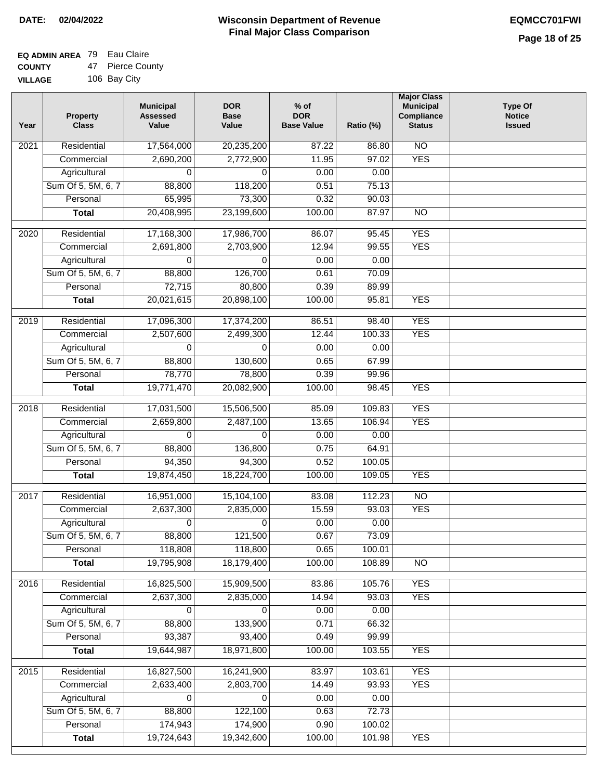#### **EQ ADMIN AREA** 79 Eau Claire **COUNTY** 47 Pierce County

**VILLAGE** 106 Bay City

| Year             | <b>Property</b><br><b>Class</b> | <b>Municipal</b><br><b>Assessed</b><br>Value | <b>DOR</b><br><b>Base</b><br>Value | $%$ of<br><b>DOR</b><br><b>Base Value</b> | Ratio (%) | <b>Major Class</b><br><b>Municipal</b><br>Compliance<br><b>Status</b> | <b>Type Of</b><br><b>Notice</b><br><b>Issued</b> |
|------------------|---------------------------------|----------------------------------------------|------------------------------------|-------------------------------------------|-----------|-----------------------------------------------------------------------|--------------------------------------------------|
| 2021             | Residential                     | 17,564,000                                   | 20,235,200                         | 87.22                                     | 86.80     | $\overline{NO}$                                                       |                                                  |
|                  | Commercial                      | 2,690,200                                    | 2,772,900                          | 11.95                                     | 97.02     | <b>YES</b>                                                            |                                                  |
|                  | Agricultural                    | 0                                            | $\Omega$                           | 0.00                                      | 0.00      |                                                                       |                                                  |
|                  | Sum Of 5, 5M, 6, 7              | 88,800                                       | 118,200                            | 0.51                                      | 75.13     |                                                                       |                                                  |
|                  | Personal                        | 65,995                                       | 73,300                             | 0.32                                      | 90.03     |                                                                       |                                                  |
|                  | <b>Total</b>                    | 20,408,995                                   | 23,199,600                         | 100.00                                    | 87.97     | $\overline{NO}$                                                       |                                                  |
| 2020             | Residential                     | 17,168,300                                   | 17,986,700                         | 86.07                                     | 95.45     | <b>YES</b>                                                            |                                                  |
|                  | Commercial                      | 2,691,800                                    | 2,703,900                          | 12.94                                     | 99.55     | <b>YES</b>                                                            |                                                  |
|                  | Agricultural                    | $\Omega$                                     | $\Omega$                           | 0.00                                      | 0.00      |                                                                       |                                                  |
|                  | Sum Of 5, 5M, 6, 7              | 88,800                                       | 126,700                            | 0.61                                      | 70.09     |                                                                       |                                                  |
|                  | Personal                        | 72,715                                       | 80,800                             | 0.39                                      | 89.99     |                                                                       |                                                  |
|                  | <b>Total</b>                    | 20,021,615                                   | 20,898,100                         | 100.00                                    | 95.81     | <b>YES</b>                                                            |                                                  |
|                  |                                 |                                              |                                    |                                           |           |                                                                       |                                                  |
| $\frac{1}{2019}$ | Residential                     | 17,096,300                                   | 17,374,200                         | 86.51                                     | 98.40     | <b>YES</b>                                                            |                                                  |
|                  | Commercial                      | 2,507,600                                    | 2,499,300                          | 12.44                                     | 100.33    | <b>YES</b>                                                            |                                                  |
|                  | Agricultural                    | $\Omega$                                     | $\Omega$                           | 0.00                                      | 0.00      |                                                                       |                                                  |
|                  | Sum Of 5, 5M, 6, 7              | 88,800                                       | 130,600                            | 0.65                                      | 67.99     |                                                                       |                                                  |
|                  | Personal                        | 78,770                                       | 78,800                             | 0.39                                      | 99.96     |                                                                       |                                                  |
|                  | <b>Total</b>                    | 19,771,470                                   | 20,082,900                         | 100.00                                    | 98.45     | <b>YES</b>                                                            |                                                  |
| 2018             | Residential                     | 17,031,500                                   | 15,506,500                         | 85.09                                     | 109.83    | <b>YES</b>                                                            |                                                  |
|                  | Commercial                      | 2,659,800                                    | 2,487,100                          | 13.65                                     | 106.94    | <b>YES</b>                                                            |                                                  |
|                  | Agricultural                    | 0                                            | $\Omega$                           | 0.00                                      | 0.00      |                                                                       |                                                  |
|                  | Sum Of 5, 5M, 6, 7              | 88,800                                       | 136,800                            | 0.75                                      | 64.91     |                                                                       |                                                  |
|                  | Personal                        | 94,350                                       | 94,300                             | 0.52                                      | 100.05    |                                                                       |                                                  |
|                  | <b>Total</b>                    | 19,874,450                                   | 18,224,700                         | 100.00                                    | 109.05    | <b>YES</b>                                                            |                                                  |
| 2017             | Residential                     | 16,951,000                                   | 15,104,100                         | 83.08                                     | 112.23    | $\overline{NO}$                                                       |                                                  |
|                  | Commercial                      | 2,637,300                                    | 2,835,000                          | 15.59                                     | 93.03     | <b>YES</b>                                                            |                                                  |
|                  | Agricultural                    | 0                                            | 0                                  | 0.00                                      | 0.00      |                                                                       |                                                  |
|                  | Sum Of 5, 5M, 6, 7              | 88,800                                       | 121,500                            | 0.67                                      | 73.09     |                                                                       |                                                  |
|                  | Personal                        | 118,808                                      | 118,800                            | 0.65                                      | 100.01    |                                                                       |                                                  |
|                  | <b>Total</b>                    | 19,795,908                                   | 18,179,400                         | 100.00                                    | 108.89    | $\overline{N}$                                                        |                                                  |
| 2016             | Residential                     | 16,825,500                                   | 15,909,500                         | 83.86                                     | 105.76    | <b>YES</b>                                                            |                                                  |
|                  | Commercial                      | 2,637,300                                    | 2,835,000                          | 14.94                                     | 93.03     | <b>YES</b>                                                            |                                                  |
|                  | Agricultural                    | 0                                            | 0                                  | 0.00                                      | 0.00      |                                                                       |                                                  |
|                  | Sum Of 5, 5M, 6, 7              | 88,800                                       | 133,900                            | 0.71                                      | 66.32     |                                                                       |                                                  |
|                  | Personal                        | 93,387                                       | 93,400                             | 0.49                                      | 99.99     |                                                                       |                                                  |
|                  | <b>Total</b>                    | 19,644,987                                   | 18,971,800                         | 100.00                                    | 103.55    | <b>YES</b>                                                            |                                                  |
|                  |                                 |                                              |                                    |                                           |           |                                                                       |                                                  |
| 2015             | Residential                     | 16,827,500                                   | 16,241,900                         | 83.97                                     | 103.61    | <b>YES</b>                                                            |                                                  |
|                  | Commercial                      | 2,633,400                                    | 2,803,700                          | 14.49                                     | 93.93     | <b>YES</b>                                                            |                                                  |
|                  | Agricultural                    | 0                                            | $\mathbf 0$                        | 0.00                                      | 0.00      |                                                                       |                                                  |
|                  | Sum Of 5, 5M, 6, 7              | 88,800                                       | 122,100                            | 0.63                                      | 72.73     |                                                                       |                                                  |
|                  | Personal                        | 174,943                                      | 174,900                            | 0.90                                      | 100.02    |                                                                       |                                                  |
|                  | <b>Total</b>                    | 19,724,643                                   | 19,342,600                         | 100.00                                    | 101.98    | <b>YES</b>                                                            |                                                  |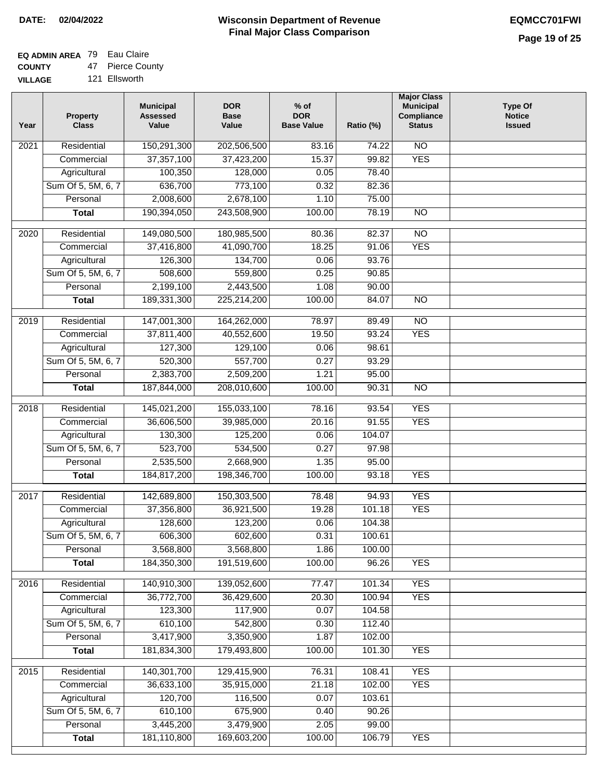# **EQ ADMIN AREA** 79 Eau Claire

**COUNTY VILLAGE** 47 Pierce County

| Year              | <b>Property</b><br><b>Class</b>    | <b>Municipal</b><br><b>Assessed</b><br>Value | <b>DOR</b><br><b>Base</b><br>Value | $%$ of<br><b>DOR</b><br><b>Base Value</b> | Ratio (%)        | <b>Major Class</b><br><b>Municipal</b><br>Compliance<br><b>Status</b> | <b>Type Of</b><br><b>Notice</b><br><b>Issued</b> |
|-------------------|------------------------------------|----------------------------------------------|------------------------------------|-------------------------------------------|------------------|-----------------------------------------------------------------------|--------------------------------------------------|
| $\overline{202}1$ | Residential                        | 150,291,300                                  | 202,506,500                        | 83.16                                     | 74.22            | N <sub>O</sub>                                                        |                                                  |
|                   | Commercial                         | 37,357,100                                   | 37,423,200                         | 15.37                                     | 99.82            | <b>YES</b>                                                            |                                                  |
|                   | Agricultural                       | 100,350                                      | 128,000                            | 0.05                                      | 78.40            |                                                                       |                                                  |
|                   | Sum Of 5, 5M, 6, 7                 | 636,700                                      | 773,100                            | 0.32                                      | 82.36            |                                                                       |                                                  |
|                   | Personal                           | 2,008,600                                    | 2,678,100                          | 1.10                                      | 75.00            |                                                                       |                                                  |
|                   | <b>Total</b>                       | 190,394,050                                  | 243,508,900                        | 100.00                                    | 78.19            | $\overline{NO}$                                                       |                                                  |
| $\overline{2020}$ | Residential                        | 149,080,500                                  | 180,985,500                        | 80.36                                     | 82.37            | $\overline{NO}$                                                       |                                                  |
|                   | Commercial                         | 37,416,800                                   | 41,090,700                         | 18.25                                     | 91.06            | <b>YES</b>                                                            |                                                  |
|                   | Agricultural                       | 126,300                                      | 134,700                            | 0.06                                      | 93.76            |                                                                       |                                                  |
|                   | Sum Of 5, 5M, 6, 7                 | 508,600                                      | 559,800                            | 0.25                                      | 90.85            |                                                                       |                                                  |
|                   | Personal                           | 2,199,100                                    | 2,443,500                          | 1.08                                      | 90.00            |                                                                       |                                                  |
|                   | <b>Total</b>                       | 189,331,300                                  | 225,214,200                        | 100.00                                    | 84.07            | $\overline{NO}$                                                       |                                                  |
| 2019              | Residential                        | 147,001,300                                  | 164,262,000                        | 78.97                                     | 89.49            | $\overline{10}$                                                       |                                                  |
|                   | Commercial                         | 37,811,400                                   | 40,552,600                         | 19.50                                     | 93.24            | <b>YES</b>                                                            |                                                  |
|                   | Agricultural                       | 127,300                                      | 129,100                            | 0.06                                      | 98.61            |                                                                       |                                                  |
|                   | Sum Of 5, 5M, 6, 7                 | 520,300                                      | 557,700                            | 0.27                                      | 93.29            |                                                                       |                                                  |
|                   | Personal                           | 2,383,700                                    | 2,509,200                          | 1.21                                      | 95.00            |                                                                       |                                                  |
|                   | <b>Total</b>                       | 187,844,000                                  | 208,010,600                        | 100.00                                    | 90.31            | $\overline{NO}$                                                       |                                                  |
| 2018              | Residential                        | 145,021,200                                  | 155,033,100                        | 78.16                                     | 93.54            | <b>YES</b>                                                            |                                                  |
|                   | Commercial                         | 36,606,500                                   | 39,985,000                         | 20.16                                     | 91.55            | <b>YES</b>                                                            |                                                  |
|                   | Agricultural                       | 130,300                                      | 125,200                            | 0.06                                      | 104.07           |                                                                       |                                                  |
|                   | Sum Of 5, 5M, 6, 7                 | 523,700                                      | 534,500                            | 0.27                                      | 97.98            |                                                                       |                                                  |
|                   | Personal                           | 2,535,500                                    | 2,668,900                          | 1.35                                      | 95.00            |                                                                       |                                                  |
|                   | <b>Total</b>                       | 184,817,200                                  | 198,346,700                        | 100.00                                    | 93.18            | <b>YES</b>                                                            |                                                  |
|                   |                                    |                                              |                                    |                                           |                  |                                                                       |                                                  |
| 2017              | Residential                        | 142,689,800                                  | 150,303,500                        | 78.48                                     | 94.93            | <b>YES</b>                                                            |                                                  |
|                   | Commercial                         | 37,356,800                                   | 36,921,500                         | 19.28                                     | 101.18           | <b>YES</b>                                                            |                                                  |
|                   | Agricultural<br>Sum Of 5, 5M, 6, 7 | 128,600<br>606,300                           | 123,200<br>602,600                 | 0.06<br>0.31                              | 104.38<br>100.61 |                                                                       |                                                  |
|                   | Personal                           |                                              |                                    | 1.86                                      | 100.00           |                                                                       |                                                  |
|                   | <b>Total</b>                       | 3,568,800<br>184,350,300                     | 3,568,800<br>191,519,600           | 100.00                                    | 96.26            | <b>YES</b>                                                            |                                                  |
|                   |                                    |                                              |                                    |                                           |                  |                                                                       |                                                  |
| 2016              | Residential                        | 140,910,300                                  | 139,052,600                        | 77.47                                     | 101.34           | <b>YES</b>                                                            |                                                  |
|                   | Commercial                         | 36,772,700                                   | 36,429,600                         | 20.30                                     | 100.94           | <b>YES</b>                                                            |                                                  |
|                   | Agricultural                       | 123,300                                      | 117,900                            | 0.07                                      | 104.58           |                                                                       |                                                  |
|                   | Sum Of 5, 5M, 6, 7                 | 610,100                                      | 542,800                            | 0.30                                      | 112.40           |                                                                       |                                                  |
|                   | Personal                           | 3,417,900                                    | 3,350,900                          | 1.87                                      | 102.00           |                                                                       |                                                  |
|                   | <b>Total</b>                       | 181,834,300                                  | 179,493,800                        | 100.00                                    | 101.30           | <b>YES</b>                                                            |                                                  |
| 2015              | Residential                        | 140,301,700                                  | 129,415,900                        | 76.31                                     | 108.41           | <b>YES</b>                                                            |                                                  |
|                   | Commercial                         | 36,633,100                                   | 35,915,000                         | 21.18                                     | 102.00           | <b>YES</b>                                                            |                                                  |
|                   | Agricultural                       | 120,700                                      | 116,500                            | 0.07                                      | 103.61           |                                                                       |                                                  |
|                   | Sum Of 5, 5M, 6, 7                 | 610,100                                      | 675,900                            | 0.40                                      | 90.26            |                                                                       |                                                  |
|                   | Personal                           | 3,445,200                                    | 3,479,900                          | 2.05                                      | 99.00            |                                                                       |                                                  |
|                   | <b>Total</b>                       | 181,110,800                                  | 169,603,200                        | 100.00                                    | 106.79           | <b>YES</b>                                                            |                                                  |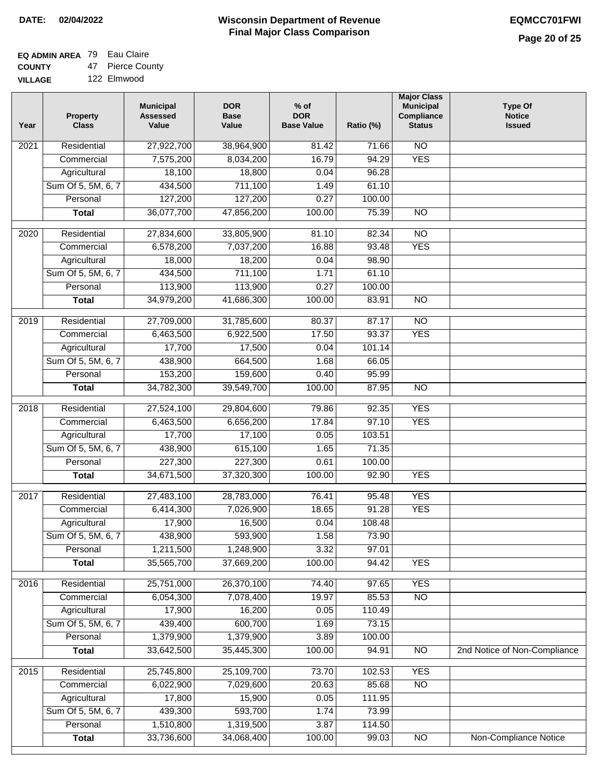### **Wisconsin Department of Revenue Final Major Class Comparison DATE: 02/04/2022 EQMCC701FWI**

┑

## **EQ ADMIN AREA** 79 Eau Claire

**COUNTY VILLAGE** 47 Pierce County

|  |  | 122 Elmwood |
|--|--|-------------|
|--|--|-------------|

| Year              | <b>Property</b><br><b>Class</b> | <b>Municipal</b><br><b>Assessed</b><br>Value | <b>DOR</b><br><b>Base</b><br>Value | $%$ of<br><b>DOR</b><br><b>Base Value</b> | Ratio (%) | <b>Major Class</b><br><b>Municipal</b><br>Compliance<br><b>Status</b> | <b>Type Of</b><br><b>Notice</b><br><b>Issued</b> |
|-------------------|---------------------------------|----------------------------------------------|------------------------------------|-------------------------------------------|-----------|-----------------------------------------------------------------------|--------------------------------------------------|
| 2021              | Residential                     | 27,922,700                                   | 38,964,900                         | 81.42                                     | 71.66     | <b>NO</b>                                                             |                                                  |
|                   | Commercial                      | 7,575,200                                    | 8,034,200                          | 16.79                                     | 94.29     | <b>YES</b>                                                            |                                                  |
|                   | Agricultural                    | 18,100                                       | 18,800                             | 0.04                                      | 96.28     |                                                                       |                                                  |
|                   | Sum Of 5, 5M, 6, 7              | 434,500                                      | 711,100                            | 1.49                                      | 61.10     |                                                                       |                                                  |
|                   | Personal                        | 127,200                                      | 127,200                            | 0.27                                      | 100.00    |                                                                       |                                                  |
|                   | <b>Total</b>                    | 36,077,700                                   | 47,856,200                         | 100.00                                    | 75.39     | $\overline{NO}$                                                       |                                                  |
| $\overline{2020}$ | Residential                     | 27,834,600                                   | 33,805,900                         | 81.10                                     | 82.34     | $\overline{10}$                                                       |                                                  |
|                   | Commercial                      | 6,578,200                                    | 7,037,200                          | 16.88                                     | 93.48     | <b>YES</b>                                                            |                                                  |
|                   | Agricultural                    | 18,000                                       | 18,200                             | 0.04                                      | 98.90     |                                                                       |                                                  |
|                   | Sum Of 5, 5M, 6, 7              | 434,500                                      | 711,100                            | 1.71                                      | 61.10     |                                                                       |                                                  |
|                   | Personal                        | 113,900                                      | 113,900                            | 0.27                                      | 100.00    |                                                                       |                                                  |
|                   | <b>Total</b>                    | 34,979,200                                   | 41,686,300                         | 100.00                                    | 83.91     | <b>NO</b>                                                             |                                                  |
|                   |                                 |                                              |                                    |                                           |           |                                                                       |                                                  |
| $\frac{2019}{ }$  | Residential                     | 27,709,000                                   | 31,785,600                         | 80.37                                     | 87.17     | $\overline{NO}$                                                       |                                                  |
|                   | Commercial                      | 6,463,500                                    | 6,922,500                          | 17.50                                     | 93.37     | <b>YES</b>                                                            |                                                  |
|                   | Agricultural                    | 17,700                                       | 17,500                             | 0.04                                      | 101.14    |                                                                       |                                                  |
|                   | Sum Of 5, 5M, 6, 7              | 438,900                                      | 664,500                            | 1.68                                      | 66.05     |                                                                       |                                                  |
|                   | Personal                        | 153,200                                      | 159,600                            | 0.40                                      | 95.99     |                                                                       |                                                  |
|                   | <b>Total</b>                    | 34,782,300                                   | 39,549,700                         | 100.00                                    | 87.95     | $\overline{NO}$                                                       |                                                  |
| 2018              | Residential                     | 27,524,100                                   | 29,804,600                         | 79.86                                     | 92.35     | <b>YES</b>                                                            |                                                  |
|                   | Commercial                      | 6,463,500                                    | 6,656,200                          | 17.84                                     | 97.10     | <b>YES</b>                                                            |                                                  |
|                   | Agricultural                    | 17,700                                       | 17,100                             | 0.05                                      | 103.51    |                                                                       |                                                  |
|                   | Sum Of 5, 5M, 6, 7              | 438,900                                      | 615,100                            | 1.65                                      | 71.35     |                                                                       |                                                  |
|                   | Personal                        | 227,300                                      | 227,300                            | 0.61                                      | 100.00    |                                                                       |                                                  |
|                   | <b>Total</b>                    | 34,671,500                                   | 37,320,300                         | 100.00                                    | 92.90     | <b>YES</b>                                                            |                                                  |
| 2017              | Residential                     | 27,483,100                                   | 28,783,000                         | 76.41                                     | 95.48     | <b>YES</b>                                                            |                                                  |
|                   | Commercial                      | 6,414,300                                    | 7,026,900                          | 18.65                                     | 91.28     | <b>YES</b>                                                            |                                                  |
|                   | Agricultural                    | 17,900                                       | 16,500                             | 0.04                                      | 108.48    |                                                                       |                                                  |
|                   | Sum Of 5, 5M, 6, 7              | 438,900                                      | 593,900                            | 1.58                                      | 73.90     |                                                                       |                                                  |
|                   | Personal                        | 1,211,500                                    | 1,248,900                          | 3.32                                      | 97.01     |                                                                       |                                                  |
|                   | <b>Total</b>                    | 35,565,700                                   | 37,669,200                         | 100.00                                    | 94.42     | <b>YES</b>                                                            |                                                  |
| 2016              | Residential                     | 25,751,000                                   | 26,370,100                         | 74.40                                     | 97.65     | <b>YES</b>                                                            |                                                  |
|                   | Commercial                      | 6,054,300                                    | 7,078,400                          | 19.97                                     | 85.53     | $\overline{NO}$                                                       |                                                  |
|                   | Agricultural                    | 17,900                                       | 16,200                             | 0.05                                      | 110.49    |                                                                       |                                                  |
|                   | Sum Of 5, 5M, 6, 7              | 439,400                                      | 600,700                            | 1.69                                      | 73.15     |                                                                       |                                                  |
|                   | Personal                        | 1,379,900                                    | 1,379,900                          | 3.89                                      | 100.00    |                                                                       |                                                  |
|                   | <b>Total</b>                    | 33,642,500                                   | 35,445,300                         | 100.00                                    | 94.91     | N <sub>O</sub>                                                        | 2nd Notice of Non-Compliance                     |
| 2015              | Residential                     | 25,745,800                                   | 25,109,700                         | 73.70                                     | 102.53    | <b>YES</b>                                                            |                                                  |
|                   | Commercial                      | 6,022,900                                    | 7,029,600                          | 20.63                                     | 85.68     | $\overline{NO}$                                                       |                                                  |
|                   | Agricultural                    | 17,800                                       | 15,900                             | 0.05                                      | 111.95    |                                                                       |                                                  |
|                   | Sum Of 5, 5M, 6, 7              | 439,300                                      | 593,700                            | 1.74                                      | 73.99     |                                                                       |                                                  |
|                   | Personal                        | 1,510,800                                    | 1,319,500                          | 3.87                                      | 114.50    |                                                                       |                                                  |
|                   | <b>Total</b>                    | 33,736,600                                   | 34,068,400                         | 100.00                                    | 99.03     | $\overline{NO}$                                                       | Non-Compliance Notice                            |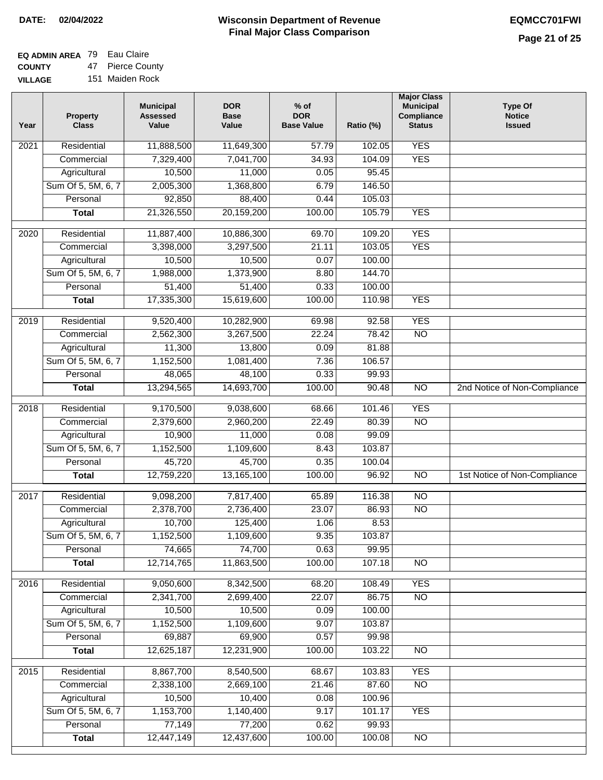| EQ ADMIN AREA 79 Eau Claire |                  |
|-----------------------------|------------------|
| <b>COUNTY</b>               | 47 Pierce County |

**VILLAGE** 151 Maiden Rock

| Year              | <b>Property</b><br><b>Class</b> | <b>Municipal</b><br><b>Assessed</b><br>Value | <b>DOR</b><br><b>Base</b><br>Value | % of<br><b>DOR</b><br><b>Base Value</b> | Ratio (%) | <b>Major Class</b><br><b>Municipal</b><br>Compliance<br><b>Status</b> | <b>Type Of</b><br><b>Notice</b><br><b>Issued</b> |
|-------------------|---------------------------------|----------------------------------------------|------------------------------------|-----------------------------------------|-----------|-----------------------------------------------------------------------|--------------------------------------------------|
| $\overline{202}1$ | Residential                     | 11,888,500                                   | 11,649,300                         | 57.79                                   | 102.05    | <b>YES</b>                                                            |                                                  |
|                   | Commercial                      | 7,329,400                                    | 7,041,700                          | 34.93                                   | 104.09    | <b>YES</b>                                                            |                                                  |
|                   | Agricultural                    | 10,500                                       | 11,000                             | 0.05                                    | 95.45     |                                                                       |                                                  |
|                   | Sum Of 5, 5M, 6, 7              | 2,005,300                                    | 1,368,800                          | 6.79                                    | 146.50    |                                                                       |                                                  |
|                   | Personal                        | 92,850                                       | 88,400                             | 0.44                                    | 105.03    |                                                                       |                                                  |
|                   | <b>Total</b>                    | 21,326,550                                   | 20,159,200                         | 100.00                                  | 105.79    | <b>YES</b>                                                            |                                                  |
| $\overline{2020}$ | Residential                     | 11,887,400                                   | 10,886,300                         | 69.70                                   | 109.20    | <b>YES</b>                                                            |                                                  |
|                   | Commercial                      | 3,398,000                                    | 3,297,500                          | 21.11                                   | 103.05    | <b>YES</b>                                                            |                                                  |
|                   | Agricultural                    | 10,500                                       | 10,500                             | 0.07                                    | 100.00    |                                                                       |                                                  |
|                   | Sum Of 5, 5M, 6, 7              | 1,988,000                                    | 1,373,900                          | 8.80                                    | 144.70    |                                                                       |                                                  |
|                   | Personal                        | 51,400                                       | 51,400                             | 0.33                                    | 100.00    |                                                                       |                                                  |
|                   | <b>Total</b>                    | 17,335,300                                   | 15,619,600                         | 100.00                                  | 110.98    | <b>YES</b>                                                            |                                                  |
| 2019              | Residential                     | 9,520,400                                    | 10,282,900                         | 69.98                                   | 92.58     | <b>YES</b>                                                            |                                                  |
|                   | Commercial                      | 2,562,300                                    | 3,267,500                          | 22.24                                   | 78.42     | $\overline{NO}$                                                       |                                                  |
|                   | Agricultural                    | 11,300                                       | 13,800                             | 0.09                                    | 81.88     |                                                                       |                                                  |
|                   | Sum Of 5, 5M, 6, 7              | 1,152,500                                    | 1,081,400                          | 7.36                                    | 106.57    |                                                                       |                                                  |
|                   | Personal                        | 48,065                                       | 48,100                             | 0.33                                    | 99.93     |                                                                       |                                                  |
|                   | <b>Total</b>                    | 13,294,565                                   | 14,693,700                         | 100.00                                  | 90.48     | $\overline{NO}$                                                       | 2nd Notice of Non-Compliance                     |
| 2018              | Residential                     | 9,170,500                                    | 9,038,600                          | 68.66                                   | 101.46    | <b>YES</b>                                                            |                                                  |
|                   | Commercial                      | 2,379,600                                    | 2,960,200                          | 22.49                                   | 80.39     | <b>NO</b>                                                             |                                                  |
|                   | Agricultural                    | 10,900                                       | 11,000                             | 0.08                                    | 99.09     |                                                                       |                                                  |
|                   | Sum Of 5, 5M, 6, 7              | 1,152,500                                    | 1,109,600                          | 8.43                                    | 103.87    |                                                                       |                                                  |
|                   | Personal                        | 45,720                                       | 45,700                             | 0.35                                    | 100.04    |                                                                       |                                                  |
|                   | <b>Total</b>                    | 12,759,220                                   | 13,165,100                         | 100.00                                  | 96.92     | $\overline{10}$                                                       | 1st Notice of Non-Compliance                     |
| 2017              | Residential                     | 9,098,200                                    | 7,817,400                          | 65.89                                   | 116.38    | N <sub>O</sub>                                                        |                                                  |
|                   | Commercial                      | 2,378,700                                    | 2,736,400                          | 23.07                                   | 86.93     | $\overline{N}$                                                        |                                                  |
|                   | Agricultural                    | 10,700                                       | 125,400                            | 1.06                                    | 8.53      |                                                                       |                                                  |
|                   | Sum Of 5, 5M, 6, 7              | 1,152,500                                    | 1,109,600                          | 9.35                                    | 103.87    |                                                                       |                                                  |
|                   | Personal                        | 74,665                                       | 74,700                             | 0.63                                    | 99.95     |                                                                       |                                                  |
|                   | <b>Total</b>                    | 12,714,765                                   | 11,863,500                         | 100.00                                  | 107.18    | <b>NO</b>                                                             |                                                  |
| 2016              | Residential                     | 9,050,600                                    | 8,342,500                          | 68.20                                   | 108.49    | <b>YES</b>                                                            |                                                  |
|                   | Commercial                      | 2,341,700                                    | 2,699,400                          | 22.07                                   | 86.75     | $\overline{NO}$                                                       |                                                  |
|                   | Agricultural                    | 10,500                                       | 10,500                             | 0.09                                    | 100.00    |                                                                       |                                                  |
|                   | Sum Of 5, 5M, 6, 7              | 1,152,500                                    | 1,109,600                          | 9.07                                    | 103.87    |                                                                       |                                                  |
|                   | Personal                        | 69,887                                       | 69,900                             | 0.57                                    | 99.98     |                                                                       |                                                  |
|                   | <b>Total</b>                    | 12,625,187                                   | 12,231,900                         | 100.00                                  | 103.22    | $\overline{NO}$                                                       |                                                  |
| 2015              | Residential                     | 8,867,700                                    | 8,540,500                          | 68.67                                   | 103.83    | <b>YES</b>                                                            |                                                  |
|                   | Commercial                      | 2,338,100                                    | 2,669,100                          | 21.46                                   | 87.60     | N <sub>O</sub>                                                        |                                                  |
|                   | Agricultural                    | 10,500                                       | 10,400                             | 0.08                                    | 100.96    |                                                                       |                                                  |
|                   | Sum Of 5, 5M, 6, 7              | 1,153,700                                    | 1,140,400                          | 9.17                                    | 101.17    | <b>YES</b>                                                            |                                                  |
|                   | Personal                        | 77,149                                       | 77,200                             | 0.62                                    | 99.93     |                                                                       |                                                  |
|                   | <b>Total</b>                    | 12,447,149                                   | 12,437,600                         | 100.00                                  | 100.08    | $\overline{NO}$                                                       |                                                  |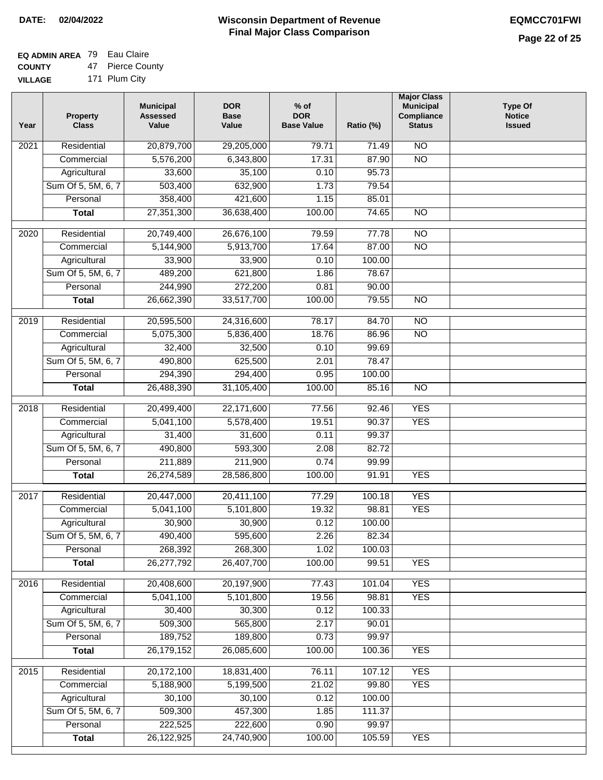# **EQ ADMIN AREA** 79 Eau Claire

**COUNTY VILLAGE** 47 Pierce County

|  | .             |
|--|---------------|
|  | 171 Plum City |

| Year              | <b>Property</b><br><b>Class</b> | <b>Municipal</b><br><b>Assessed</b><br>Value | <b>DOR</b><br><b>Base</b><br>Value | $%$ of<br><b>DOR</b><br><b>Base Value</b> | Ratio (%) | <b>Major Class</b><br><b>Municipal</b><br>Compliance<br><b>Status</b> | <b>Type Of</b><br><b>Notice</b><br><b>Issued</b> |
|-------------------|---------------------------------|----------------------------------------------|------------------------------------|-------------------------------------------|-----------|-----------------------------------------------------------------------|--------------------------------------------------|
| 2021              | Residential                     | 20,879,700                                   | 29,205,000                         | 79.71                                     | 71.49     | <b>NO</b>                                                             |                                                  |
|                   | Commercial                      | 5,576,200                                    | 6,343,800                          | 17.31                                     | 87.90     | $\overline{NO}$                                                       |                                                  |
|                   | Agricultural                    | 33,600                                       | 35,100                             | 0.10                                      | 95.73     |                                                                       |                                                  |
|                   | Sum Of 5, 5M, 6, 7              | 503,400                                      | 632,900                            | 1.73                                      | 79.54     |                                                                       |                                                  |
|                   | Personal                        | 358,400                                      | 421,600                            | 1.15                                      | 85.01     |                                                                       |                                                  |
|                   | <b>Total</b>                    | 27,351,300                                   | 36,638,400                         | 100.00                                    | 74.65     | $\overline{NO}$                                                       |                                                  |
| $\overline{20}20$ | Residential                     | 20,749,400                                   | 26,676,100                         | 79.59                                     | 77.78     | NO                                                                    |                                                  |
|                   | Commercial                      | 5,144,900                                    | 5,913,700                          | 17.64                                     | 87.00     | $\overline{NO}$                                                       |                                                  |
|                   | Agricultural                    | 33,900                                       | 33,900                             | 0.10                                      | 100.00    |                                                                       |                                                  |
|                   | Sum Of 5, 5M, 6, 7              | 489,200                                      | 621,800                            | 1.86                                      | 78.67     |                                                                       |                                                  |
|                   | Personal                        | 244,990                                      | 272,200                            | 0.81                                      | 90.00     |                                                                       |                                                  |
|                   | <b>Total</b>                    | 26,662,390                                   | 33,517,700                         | 100.00                                    | 79.55     | <b>NO</b>                                                             |                                                  |
|                   |                                 |                                              |                                    |                                           |           |                                                                       |                                                  |
| $\frac{1}{2019}$  | Residential                     | 20,595,500                                   | 24,316,600                         | 78.17                                     | 84.70     | $\overline{NO}$                                                       |                                                  |
|                   | Commercial                      | 5,075,300                                    | 5,836,400                          | 18.76                                     | 86.96     | $\overline{NO}$                                                       |                                                  |
|                   | Agricultural                    | 32,400                                       | 32,500                             | 0.10                                      | 99.69     |                                                                       |                                                  |
|                   | Sum Of 5, 5M, 6, 7              | 490,800                                      | 625,500                            | 2.01                                      | 78.47     |                                                                       |                                                  |
|                   | Personal                        | 294,390                                      | 294,400                            | 0.95                                      | 100.00    |                                                                       |                                                  |
|                   | <b>Total</b>                    | 26,488,390                                   | 31,105,400                         | 100.00                                    | 85.16     | $\overline{NO}$                                                       |                                                  |
| 2018              | Residential                     | 20,499,400                                   | 22,171,600                         | 77.56                                     | 92.46     | <b>YES</b>                                                            |                                                  |
|                   | Commercial                      | 5,041,100                                    | 5,578,400                          | 19.51                                     | 90.37     | <b>YES</b>                                                            |                                                  |
|                   | Agricultural                    | 31,400                                       | 31,600                             | 0.11                                      | 99.37     |                                                                       |                                                  |
|                   | Sum Of 5, 5M, 6, 7              | 490,800                                      | 593,300                            | 2.08                                      | 82.72     |                                                                       |                                                  |
|                   | Personal                        | 211,889                                      | 211,900                            | 0.74                                      | 99.99     |                                                                       |                                                  |
|                   | <b>Total</b>                    | 26,274,589                                   | 28,586,800                         | 100.00                                    | 91.91     | <b>YES</b>                                                            |                                                  |
| 2017              | Residential                     | 20,447,000                                   | 20,411,100                         | 77.29                                     | 100.18    | <b>YES</b>                                                            |                                                  |
|                   | Commercial                      | 5,041,100                                    | 5,101,800                          | 19.32                                     | 98.81     | <b>YES</b>                                                            |                                                  |
|                   | Agricultural                    | 30,900                                       | 30,900                             | 0.12                                      | 100.00    |                                                                       |                                                  |
|                   | Sum Of 5, 5M, 6, 7              | 490,400                                      | 595,600                            | 2.26                                      | 82.34     |                                                                       |                                                  |
|                   | Personal                        | 268,392                                      | 268,300                            | 1.02                                      | 100.03    |                                                                       |                                                  |
|                   | <b>Total</b>                    | 26,277,792                                   | 26,407,700                         | 100.00                                    | 99.51     | <b>YES</b>                                                            |                                                  |
| 2016              | Residential                     | 20,408,600                                   | 20,197,900                         | 77.43                                     | 101.04    | <b>YES</b>                                                            |                                                  |
|                   | Commercial                      | 5,041,100                                    | 5,101,800                          | 19.56                                     | 98.81     | <b>YES</b>                                                            |                                                  |
|                   | Agricultural                    | 30,400                                       | 30,300                             | 0.12                                      | 100.33    |                                                                       |                                                  |
|                   | Sum Of 5, 5M, 6, 7              | 509,300                                      | 565,800                            | 2.17                                      | 90.01     |                                                                       |                                                  |
|                   | Personal                        | 189,752                                      | 189,800                            | 0.73                                      | 99.97     |                                                                       |                                                  |
|                   | <b>Total</b>                    | 26, 179, 152                                 | 26,085,600                         | 100.00                                    | 100.36    | <b>YES</b>                                                            |                                                  |
| 2015              | Residential                     | 20,172,100                                   | 18,831,400                         | 76.11                                     | 107.12    | <b>YES</b>                                                            |                                                  |
|                   | Commercial                      | 5,188,900                                    | 5,199,500                          | 21.02                                     | 99.80     | <b>YES</b>                                                            |                                                  |
|                   | Agricultural                    | 30,100                                       | 30,100                             | 0.12                                      | 100.00    |                                                                       |                                                  |
|                   | Sum Of 5, 5M, 6, 7              | 509,300                                      | 457,300                            | 1.85                                      | 111.37    |                                                                       |                                                  |
|                   | Personal                        | 222,525                                      | 222,600                            | 0.90                                      | 99.97     |                                                                       |                                                  |
|                   | <b>Total</b>                    | 26,122,925                                   | 24,740,900                         | 100.00                                    | 105.59    | <b>YES</b>                                                            |                                                  |
|                   |                                 |                                              |                                    |                                           |           |                                                                       |                                                  |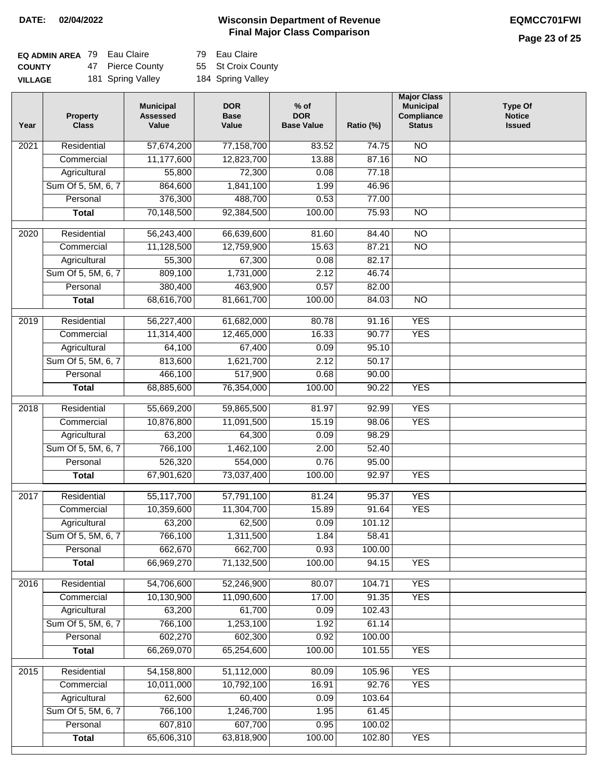### **Page 23 of 25**

| <b>EQ ADMIN AREA</b> 79 Eau Claire |                   | 79 Eau Claire      |
|------------------------------------|-------------------|--------------------|
| <b>COUNTY</b>                      | 47 Pierce County  | 55 St Croix County |
| <b>VILLAGE</b>                     | 181 Spring Valley | 184 Spring Valley  |

| Year | Property<br><b>Class</b> | <b>Municipal</b><br><b>Assessed</b><br>Value | <b>DOR</b><br><b>Base</b><br>Value | $%$ of<br><b>DOR</b><br><b>Base Value</b> | Ratio (%) | <b>Major Class</b><br><b>Municipal</b><br>Compliance<br><b>Status</b> | <b>Type Of</b><br><b>Notice</b><br><b>Issued</b> |
|------|--------------------------|----------------------------------------------|------------------------------------|-------------------------------------------|-----------|-----------------------------------------------------------------------|--------------------------------------------------|
| 2021 | Residential              | 57,674,200                                   | 77,158,700                         | 83.52                                     | 74.75     | $\overline{NO}$                                                       |                                                  |
|      | Commercial               | 11,177,600                                   | 12,823,700                         | 13.88                                     | 87.16     | $\overline{NO}$                                                       |                                                  |
|      | Agricultural             | 55,800                                       | 72,300                             | 0.08                                      | 77.18     |                                                                       |                                                  |
|      | Sum Of 5, 5M, 6, 7       | 864,600                                      | 1,841,100                          | 1.99                                      | 46.96     |                                                                       |                                                  |
|      | Personal                 | 376,300                                      | 488,700                            | 0.53                                      | 77.00     |                                                                       |                                                  |
|      | <b>Total</b>             | 70,148,500                                   | 92,384,500                         | 100.00                                    | 75.93     | $\overline{NO}$                                                       |                                                  |
| 2020 | Residential              | 56,243,400                                   | 66,639,600                         | 81.60                                     | 84.40     | $\overline{NO}$                                                       |                                                  |
|      | Commercial               | 11,128,500                                   | 12,759,900                         | 15.63                                     | 87.21     | $\overline{NO}$                                                       |                                                  |
|      | Agricultural             | 55,300                                       | 67,300                             | 0.08                                      | 82.17     |                                                                       |                                                  |
|      | Sum Of 5, 5M, 6, 7       | 809,100                                      | 1,731,000                          | 2.12                                      | 46.74     |                                                                       |                                                  |
|      | Personal                 | 380,400                                      | 463,900                            | 0.57                                      | 82.00     |                                                                       |                                                  |
|      | <b>Total</b>             | 68,616,700                                   | 81,661,700                         | 100.00                                    | 84.03     | $\overline{NO}$                                                       |                                                  |
|      |                          |                                              |                                    |                                           |           |                                                                       |                                                  |
| 2019 | Residential              | 56,227,400                                   | 61,682,000                         | 80.78                                     | 91.16     | <b>YES</b>                                                            |                                                  |
|      | Commercial               | 11,314,400                                   | 12,465,000                         | 16.33                                     | 90.77     | <b>YES</b>                                                            |                                                  |
|      | Agricultural             | 64,100                                       | 67,400                             | 0.09                                      | 95.10     |                                                                       |                                                  |
|      | Sum Of 5, 5M, 6, 7       | 813,600                                      | 1,621,700                          | 2.12                                      | 50.17     |                                                                       |                                                  |
|      | Personal                 | 466,100                                      | 517,900                            | 0.68                                      | 90.00     |                                                                       |                                                  |
|      | <b>Total</b>             | 68,885,600                                   | 76,354,000                         | 100.00                                    | 90.22     | <b>YES</b>                                                            |                                                  |
| 2018 | Residential              | 55,669,200                                   | 59,865,500                         | 81.97                                     | 92.99     | <b>YES</b>                                                            |                                                  |
|      | Commercial               | 10,876,800                                   | 11,091,500                         | 15.19                                     | 98.06     | <b>YES</b>                                                            |                                                  |
|      | Agricultural             | 63,200                                       | 64,300                             | 0.09                                      | 98.29     |                                                                       |                                                  |
|      | Sum Of 5, 5M, 6, 7       | 766,100                                      | 1,462,100                          | 2.00                                      | 52.40     |                                                                       |                                                  |
|      | Personal                 | 526,320                                      | 554,000                            | 0.76                                      | 95.00     |                                                                       |                                                  |
|      | <b>Total</b>             | 67,901,620                                   | 73,037,400                         | 100.00                                    | 92.97     | <b>YES</b>                                                            |                                                  |
| 2017 | Residential              | 55,117,700                                   | 57,791,100                         | 81.24                                     | 95.37     | <b>YES</b>                                                            |                                                  |
|      | Commercial               | 10,359,600                                   | 11,304,700                         | 15.89                                     | 91.64     | <b>YES</b>                                                            |                                                  |
|      | Agricultural             | 63,200                                       | 62,500                             | 0.09                                      | 101.12    |                                                                       |                                                  |
|      | Sum Of 5, 5M, 6, 7       | 766,100                                      | 1,311,500                          | 1.84                                      | 58.41     |                                                                       |                                                  |
|      | Personal                 | 662,670                                      | 662,700                            | 0.93                                      | 100.00    |                                                                       |                                                  |
|      | <b>Total</b>             | 66,969,270                                   | 71,132,500                         | 100.00                                    | 94.15     | <b>YES</b>                                                            |                                                  |
|      |                          |                                              |                                    |                                           |           |                                                                       |                                                  |
| 2016 | Residential              | 54,706,600                                   | 52,246,900                         | 80.07                                     | 104.71    | <b>YES</b>                                                            |                                                  |
|      | Commercial               | 10,130,900                                   | 11,090,600                         | 17.00                                     | 91.35     | <b>YES</b>                                                            |                                                  |
|      | Agricultural             | 63,200                                       | 61,700                             | 0.09                                      | 102.43    |                                                                       |                                                  |
|      | Sum Of 5, 5M, 6, 7       | 766,100                                      | 1,253,100                          | 1.92                                      | 61.14     |                                                                       |                                                  |
|      | Personal                 | 602,270                                      | 602,300                            | 0.92                                      | 100.00    |                                                                       |                                                  |
|      | <b>Total</b>             | 66,269,070                                   | 65,254,600                         | 100.00                                    | 101.55    | <b>YES</b>                                                            |                                                  |
| 2015 | Residential              | 54,158,800                                   | 51,112,000                         | 80.09                                     | 105.96    | <b>YES</b>                                                            |                                                  |
|      | Commercial               | 10,011,000                                   | 10,792,100                         | 16.91                                     | 92.76     | <b>YES</b>                                                            |                                                  |
|      | Agricultural             | 62,600                                       | 60,400                             | 0.09                                      | 103.64    |                                                                       |                                                  |
|      | Sum Of 5, 5M, 6, 7       | 766,100                                      | 1,246,700                          | 1.95                                      | 61.45     |                                                                       |                                                  |
|      | Personal                 | 607,810                                      | 607,700                            | 0.95                                      | 100.02    |                                                                       |                                                  |
|      | <b>Total</b>             | 65,606,310                                   | 63,818,900                         | 100.00                                    | 102.80    | <b>YES</b>                                                            |                                                  |
|      |                          |                                              |                                    |                                           |           |                                                                       |                                                  |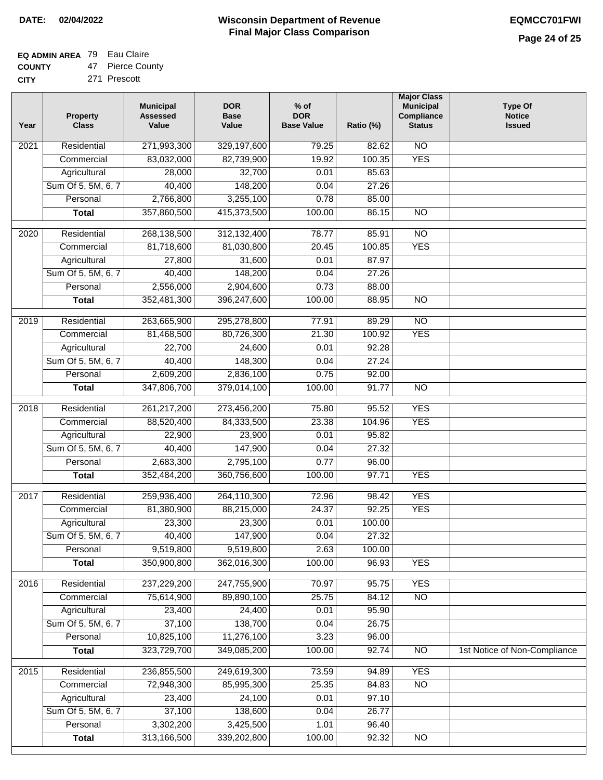# **EQ ADMIN AREA** 79 Eau Claire

**COUNTY CITY** 47 Pierce County

| 271 Prescott |  |  |  |
|--------------|--|--|--|

| Year              | <b>Property</b><br><b>Class</b> | <b>Municipal</b><br><b>Assessed</b><br>Value | <b>DOR</b><br><b>Base</b><br>Value | $%$ of<br><b>DOR</b><br><b>Base Value</b> | Ratio (%) | <b>Major Class</b><br><b>Municipal</b><br>Compliance<br><b>Status</b> | <b>Type Of</b><br><b>Notice</b><br><b>Issued</b> |
|-------------------|---------------------------------|----------------------------------------------|------------------------------------|-------------------------------------------|-----------|-----------------------------------------------------------------------|--------------------------------------------------|
| 2021              | Residential                     | 271,993,300                                  | 329,197,600                        | 79.25                                     | 82.62     | $\overline{NO}$                                                       |                                                  |
|                   | Commercial                      | 83,032,000                                   | 82,739,900                         | 19.92                                     | 100.35    | <b>YES</b>                                                            |                                                  |
|                   | Agricultural                    | 28,000                                       | 32,700                             | 0.01                                      | 85.63     |                                                                       |                                                  |
|                   | Sum Of 5, 5M, 6, 7              | 40,400                                       | 148,200                            | 0.04                                      | 27.26     |                                                                       |                                                  |
|                   | Personal                        | 2,766,800                                    | 3,255,100                          | 0.78                                      | 85.00     |                                                                       |                                                  |
|                   | <b>Total</b>                    | 357,860,500                                  | 415,373,500                        | 100.00                                    | 86.15     | $\overline{NO}$                                                       |                                                  |
| 2020              | Residential                     | 268,138,500                                  | 312,132,400                        | 78.77                                     | 85.91     | $\overline{N}$                                                        |                                                  |
|                   | Commercial                      | 81,718,600                                   | 81,030,800                         | 20.45                                     | 100.85    | <b>YES</b>                                                            |                                                  |
|                   | Agricultural                    | 27,800                                       | 31,600                             | 0.01                                      | 87.97     |                                                                       |                                                  |
|                   | Sum Of 5, 5M, 6, 7              | 40,400                                       | 148,200                            | 0.04                                      | 27.26     |                                                                       |                                                  |
|                   | Personal                        | 2,556,000                                    | 2,904,600                          | 0.73                                      | 88.00     |                                                                       |                                                  |
|                   | <b>Total</b>                    | 352,481,300                                  | 396,247,600                        | 100.00                                    | 88.95     | $\overline{NO}$                                                       |                                                  |
|                   |                                 |                                              |                                    |                                           |           |                                                                       |                                                  |
| 2019              | Residential                     | 263,665,900                                  | 295,278,800                        | 77.91                                     | 89.29     | N <sub>O</sub>                                                        |                                                  |
|                   | Commercial                      | 81,468,500                                   | 80,726,300                         | 21.30                                     | 100.92    | <b>YES</b>                                                            |                                                  |
|                   | Agricultural                    | 22,700                                       | 24,600                             | 0.01                                      | 92.28     |                                                                       |                                                  |
|                   | Sum Of 5, 5M, 6, 7              | 40,400                                       | 148,300                            | 0.04                                      | 27.24     |                                                                       |                                                  |
|                   | Personal                        | 2,609,200                                    | 2,836,100                          | 0.75                                      | 92.00     |                                                                       |                                                  |
|                   | <b>Total</b>                    | 347,806,700                                  | 379,014,100                        | 100.00                                    | 91.77     | <b>NO</b>                                                             |                                                  |
| $\overline{2018}$ | Residential                     | 261,217,200                                  | 273,456,200                        | 75.80                                     | 95.52     | <b>YES</b>                                                            |                                                  |
|                   | Commercial                      | 88,520,400                                   | 84,333,500                         | 23.38                                     | 104.96    | <b>YES</b>                                                            |                                                  |
|                   | Agricultural                    | 22,900                                       | 23,900                             | 0.01                                      | 95.82     |                                                                       |                                                  |
|                   | Sum Of 5, 5M, 6, 7              | 40,400                                       | 147,900                            | 0.04                                      | 27.32     |                                                                       |                                                  |
|                   | Personal                        | 2,683,300                                    | 2,795,100                          | 0.77                                      | 96.00     |                                                                       |                                                  |
|                   | <b>Total</b>                    | 352,484,200                                  | 360,756,600                        | 100.00                                    | 97.71     | <b>YES</b>                                                            |                                                  |
| 2017              | Residential                     | 259,936,400                                  | 264,110,300                        | 72.96                                     | 98.42     | <b>YES</b>                                                            |                                                  |
|                   | Commercial                      | 81,380,900                                   | 88,215,000                         | 24.37                                     | 92.25     | <b>YES</b>                                                            |                                                  |
|                   | Agricultural                    | 23,300                                       | 23,300                             | 0.01                                      | 100.00    |                                                                       |                                                  |
|                   | Sum Of 5, 5M, 6, 7              | 40,400                                       | 147,900                            | 0.04                                      | 27.32     |                                                                       |                                                  |
|                   | Personal                        | 9,519,800                                    | 9,519,800                          | 2.63                                      | 100.00    |                                                                       |                                                  |
|                   | <b>Total</b>                    | 350,900,800                                  | 362,016,300                        | 100.00                                    | 96.93     | <b>YES</b>                                                            |                                                  |
|                   |                                 |                                              |                                    |                                           |           |                                                                       |                                                  |
| 2016              | Residential                     | 237,229,200                                  | 247,755,900                        | 70.97                                     | 95.75     | <b>YES</b>                                                            |                                                  |
|                   | Commercial                      | 75,614,900                                   | 89,890,100                         | 25.75                                     | 84.12     | $\overline{NO}$                                                       |                                                  |
|                   | Agricultural                    | 23,400                                       | 24,400                             | 0.01                                      | 95.90     |                                                                       |                                                  |
|                   | Sum Of 5, 5M, 6, 7              | 37,100                                       | 138,700                            | 0.04                                      | 26.75     |                                                                       |                                                  |
|                   | Personal                        | 10,825,100                                   | 11,276,100                         | 3.23                                      | 96.00     |                                                                       |                                                  |
|                   | <b>Total</b>                    | 323,729,700                                  | 349,085,200                        | 100.00                                    | 92.74     | $\overline{NO}$                                                       | 1st Notice of Non-Compliance                     |
| 2015              | Residential                     | 236,855,500                                  | 249,619,300                        | 73.59                                     | 94.89     | <b>YES</b>                                                            |                                                  |
|                   | Commercial                      | 72,948,300                                   | 85,995,300                         | 25.35                                     | 84.83     | $\overline{NO}$                                                       |                                                  |
|                   | Agricultural                    | 23,400                                       | 24,100                             | 0.01                                      | 97.10     |                                                                       |                                                  |
|                   | Sum Of 5, 5M, 6, 7              | 37,100                                       | 138,600                            | 0.04                                      | 26.77     |                                                                       |                                                  |
|                   | Personal                        | 3,302,200                                    | 3,425,500                          | 1.01                                      | 96.40     |                                                                       |                                                  |
|                   | <b>Total</b>                    | 313,166,500                                  | 339,202,800                        | 100.00                                    | 92.32     | $\overline{NO}$                                                       |                                                  |
|                   |                                 |                                              |                                    |                                           |           |                                                                       |                                                  |